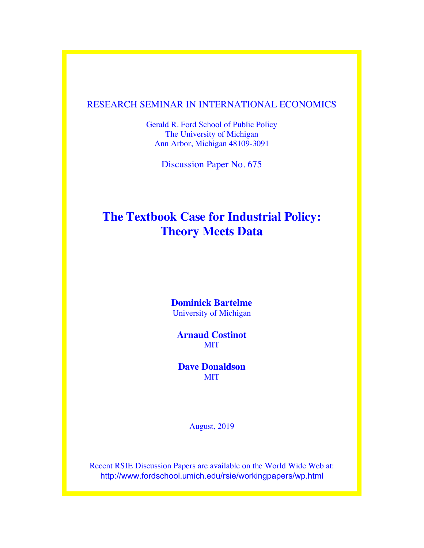### RESEARCH SEMINAR IN INTERNATIONAL ECONOMICS

Gerald R. Ford School of Public Policy The University of Michigan Ann Arbor, Michigan 48109-3091

Discussion Paper No. 675

# **The Textbook Case for Industrial Policy: Theory Meets Data**

**Dominick Bartelme**  University of Michigan

**Arnaud Costinot MIT** 

**Dave Donaldson**  MIT

August, 2019

Recent RSIE Discussion Papers are available on the World Wide Web at: http://www.fordschool.umich.edu/rsie/workingpapers/wp.html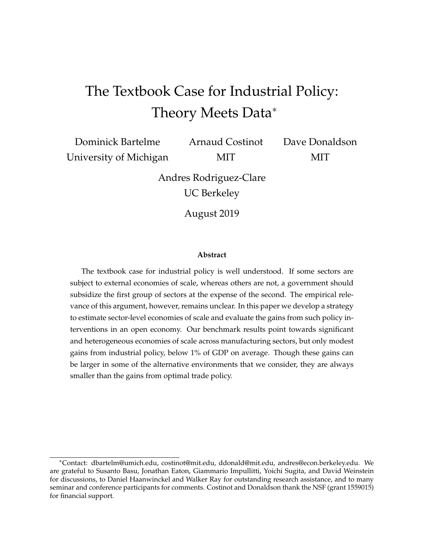# The Textbook Case for Industrial Policy: Theory Meets Data<sup>∗</sup>

Dominick Bartelme University of Michigan Arnaud Costinot MIT Dave Donaldson MIT

> Andres Rodriguez-Clare UC Berkeley

> > August 2019

#### **Abstract**

The textbook case for industrial policy is well understood. If some sectors are subject to external economies of scale, whereas others are not, a government should subsidize the first group of sectors at the expense of the second. The empirical relevance of this argument, however, remains unclear. In this paper we develop a strategy to estimate sector-level economies of scale and evaluate the gains from such policy interventions in an open economy. Our benchmark results point towards significant and heterogeneous economies of scale across manufacturing sectors, but only modest gains from industrial policy, below 1% of GDP on average. Though these gains can be larger in some of the alternative environments that we consider, they are always smaller than the gains from optimal trade policy.

<sup>∗</sup>Contact: dbartelm@umich.edu, costinot@mit.edu, ddonald@mit.edu, andres@econ.berkeley.edu. We are grateful to Susanto Basu, Jonathan Eaton, Giammario Impullitti, Yoichi Sugita, and David Weinstein for discussions, to Daniel Haanwinckel and Walker Ray for outstanding research assistance, and to many seminar and conference participants for comments. Costinot and Donaldson thank the NSF (grant 1559015) for financial support.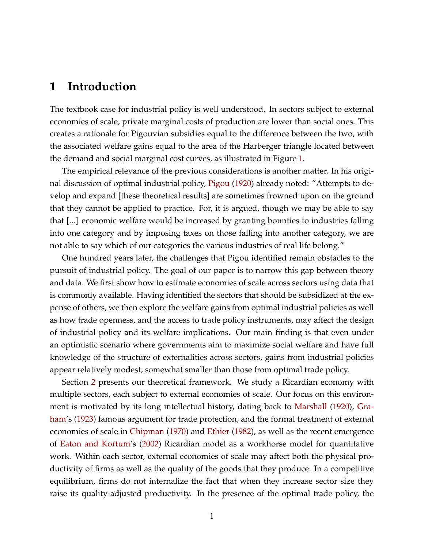### **1 Introduction**

The textbook case for industrial policy is well understood. In sectors subject to external economies of scale, private marginal costs of production are lower than social ones. This creates a rationale for Pigouvian subsidies equal to the difference between the two, with the associated welfare gains equal to the area of the Harberger triangle located between the demand and social marginal cost curves, as illustrated in Figure [1.](#page-3-0)

The empirical relevance of the previous considerations is another matter. In his original discussion of optimal industrial policy, [Pigou](#page-42-0) [\(1920\)](#page-42-0) already noted: "Attempts to develop and expand [these theoretical results] are sometimes frowned upon on the ground that they cannot be applied to practice. For, it is argued, though we may be able to say that [...] economic welfare would be increased by granting bounties to industries falling into one category and by imposing taxes on those falling into another category, we are not able to say which of our categories the various industries of real life belong."

One hundred years later, the challenges that Pigou identified remain obstacles to the pursuit of industrial policy. The goal of our paper is to narrow this gap between theory and data. We first show how to estimate economies of scale across sectors using data that is commonly available. Having identified the sectors that should be subsidized at the expense of others, we then explore the welfare gains from optimal industrial policies as well as how trade openness, and the access to trade policy instruments, may affect the design of industrial policy and its welfare implications. Our main finding is that even under an optimistic scenario where governments aim to maximize social welfare and have full knowledge of the structure of externalities across sectors, gains from industrial policies appear relatively modest, somewhat smaller than those from optimal trade policy.

Section [2](#page-7-0) presents our theoretical framework. We study a Ricardian economy with multiple sectors, each subject to external economies of scale. Our focus on this environment is motivated by its long intellectual history, dating back to [Marshall](#page-42-1) [\(1920\)](#page-42-1), [Gra](#page-40-0)[ham'](#page-40-0)s [\(1923\)](#page-40-0) famous argument for trade protection, and the formal treatment of external economies of scale in [Chipman](#page-39-0) [\(1970\)](#page-39-0) and [Ethier](#page-40-1) [\(1982\)](#page-40-1), as well as the recent emergence of [Eaton and Kortum'](#page-40-2)s [\(2002\)](#page-40-2) Ricardian model as a workhorse model for quantitative work. Within each sector, external economies of scale may affect both the physical productivity of firms as well as the quality of the goods that they produce. In a competitive equilibrium, firms do not internalize the fact that when they increase sector size they raise its quality-adjusted productivity. In the presence of the optimal trade policy, the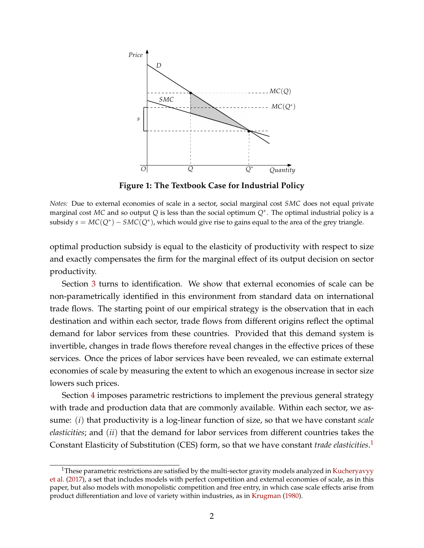<span id="page-3-0"></span>

**Figure 1: The Textbook Case for Industrial Policy**

*Notes:* Due to external economies of scale in a sector, social marginal cost *SMC* does not equal private marginal cost *MC* and so output *Q* is less than the social optimum *Q*<sup>∗</sup> . The optimal industrial policy is a subsidy  $s = MC(Q^*) - SMC(Q^*)$ , which would give rise to gains equal to the area of the grey triangle.

optimal production subsidy is equal to the elasticity of productivity with respect to size and exactly compensates the firm for the marginal effect of its output decision on sector productivity.

Section [3](#page-13-0) turns to identification. We show that external economies of scale can be non-parametrically identified in this environment from standard data on international trade flows. The starting point of our empirical strategy is the observation that in each destination and within each sector, trade flows from different origins reflect the optimal demand for labor services from these countries. Provided that this demand system is invertible, changes in trade flows therefore reveal changes in the effective prices of these services. Once the prices of labor services have been revealed, we can estimate external economies of scale by measuring the extent to which an exogenous increase in sector size lowers such prices.

Section [4](#page-17-0) imposes parametric restrictions to implement the previous general strategy with trade and production data that are commonly available. Within each sector, we assume: (*i*) that productivity is a log-linear function of size, so that we have constant *scale elasticities*; and (*ii*) that the demand for labor services from different countries takes the Constant Elasticity of Substitution (CES) form, so that we have constant *trade elasticities*. [1](#page-3-1)

<span id="page-3-1"></span><sup>&</sup>lt;sup>1</sup>These parametric restrictions are satisfied by the multi-sector gravity models analyzed in [Kucheryavyy](#page-41-0) [et al.](#page-41-0) [\(2017\)](#page-41-0), a set that includes models with perfect competition and external economies of scale, as in this paper, but also models with monopolistic competition and free entry, in which case scale effects arise from product differentiation and love of variety within industries, as in [Krugman](#page-41-1) [\(1980\)](#page-41-1).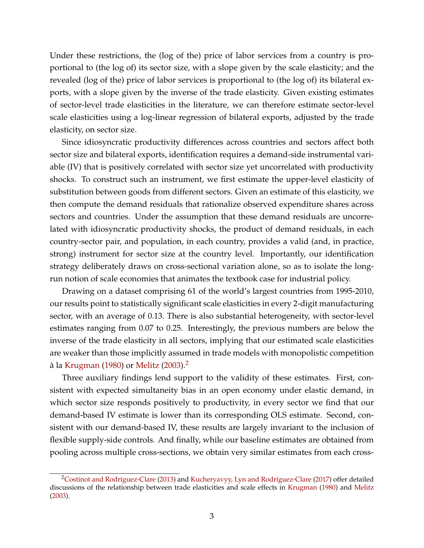Under these restrictions, the (log of the) price of labor services from a country is proportional to (the log of) its sector size, with a slope given by the scale elasticity; and the revealed (log of the) price of labor services is proportional to (the log of) its bilateral exports, with a slope given by the inverse of the trade elasticity. Given existing estimates of sector-level trade elasticities in the literature, we can therefore estimate sector-level scale elasticities using a log-linear regression of bilateral exports, adjusted by the trade elasticity, on sector size.

Since idiosyncratic productivity differences across countries and sectors affect both sector size and bilateral exports, identification requires a demand-side instrumental variable (IV) that is positively correlated with sector size yet uncorrelated with productivity shocks. To construct such an instrument, we first estimate the upper-level elasticity of substitution between goods from different sectors. Given an estimate of this elasticity, we then compute the demand residuals that rationalize observed expenditure shares across sectors and countries. Under the assumption that these demand residuals are uncorrelated with idiosyncratic productivity shocks, the product of demand residuals, in each country-sector pair, and population, in each country, provides a valid (and, in practice, strong) instrument for sector size at the country level. Importantly, our identification strategy deliberately draws on cross-sectional variation alone, so as to isolate the longrun notion of scale economies that animates the textbook case for industrial policy.

Drawing on a dataset comprising 61 of the world's largest countries from 1995-2010, our results point to statistically significant scale elasticities in every 2-digit manufacturing sector, with an average of 0.13. There is also substantial heterogeneity, with sector-level estimates ranging from 0.07 to 0.25. Interestingly, the previous numbers are below the inverse of the trade elasticity in all sectors, implying that our estimated scale elasticities are weaker than those implicitly assumed in trade models with monopolistic competition à la [Krugman](#page-41-1) [\(1980\)](#page-41-1) or [Melitz](#page-42-2) [\(2003\)](#page-42-2).<sup>[2](#page-4-0)</sup>

Three auxiliary findings lend support to the validity of these estimates. First, consistent with expected simultaneity bias in an open economy under elastic demand, in which sector size responds positively to productivity, in every sector we find that our demand-based IV estimate is lower than its corresponding OLS estimate. Second, consistent with our demand-based IV, these results are largely invariant to the inclusion of flexible supply-side controls. And finally, while our baseline estimates are obtained from pooling across multiple cross-sections, we obtain very similar estimates from each cross-

<span id="page-4-0"></span><sup>&</sup>lt;sup>2</sup>[Costinot and Rodríguez-Clare](#page-40-3) [\(2013\)](#page-40-3) and [Kucheryavyy, Lyn and Rodríguez-Clare](#page-41-0) [\(2017\)](#page-41-0) offer detailed discussions of the relationship between trade elasticities and scale effects in [Krugman](#page-41-1) [\(1980\)](#page-41-1) and [Melitz](#page-42-2) [\(2003\)](#page-42-2).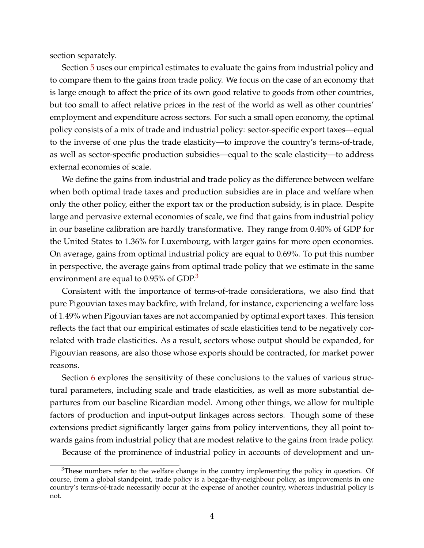section separately.

Section [5](#page-26-0) uses our empirical estimates to evaluate the gains from industrial policy and to compare them to the gains from trade policy. We focus on the case of an economy that is large enough to affect the price of its own good relative to goods from other countries, but too small to affect relative prices in the rest of the world as well as other countries' employment and expenditure across sectors. For such a small open economy, the optimal policy consists of a mix of trade and industrial policy: sector-specific export taxes—equal to the inverse of one plus the trade elasticity—to improve the country's terms-of-trade, as well as sector-specific production subsidies—equal to the scale elasticity—to address external economies of scale.

We define the gains from industrial and trade policy as the difference between welfare when both optimal trade taxes and production subsidies are in place and welfare when only the other policy, either the export tax or the production subsidy, is in place. Despite large and pervasive external economies of scale, we find that gains from industrial policy in our baseline calibration are hardly transformative. They range from 0.40% of GDP for the United States to 1.36% for Luxembourg, with larger gains for more open economies. On average, gains from optimal industrial policy are equal to 0.69%. To put this number in perspective, the average gains from optimal trade policy that we estimate in the same environment are equal to  $0.95\%$  of GDP.<sup>[3](#page-5-0)</sup>

Consistent with the importance of terms-of-trade considerations, we also find that pure Pigouvian taxes may backfire, with Ireland, for instance, experiencing a welfare loss of 1.49% when Pigouvian taxes are not accompanied by optimal export taxes. This tension reflects the fact that our empirical estimates of scale elasticities tend to be negatively correlated with trade elasticities. As a result, sectors whose output should be expanded, for Pigouvian reasons, are also those whose exports should be contracted, for market power reasons.

Section [6](#page-32-0) explores the sensitivity of these conclusions to the values of various structural parameters, including scale and trade elasticities, as well as more substantial departures from our baseline Ricardian model. Among other things, we allow for multiple factors of production and input-output linkages across sectors. Though some of these extensions predict significantly larger gains from policy interventions, they all point towards gains from industrial policy that are modest relative to the gains from trade policy.

Because of the prominence of industrial policy in accounts of development and un-

<span id="page-5-0"></span><sup>&</sup>lt;sup>3</sup>These numbers refer to the welfare change in the country implementing the policy in question. Of course, from a global standpoint, trade policy is a beggar-thy-neighbour policy, as improvements in one country's terms-of-trade necessarily occur at the expense of another country, whereas industrial policy is not.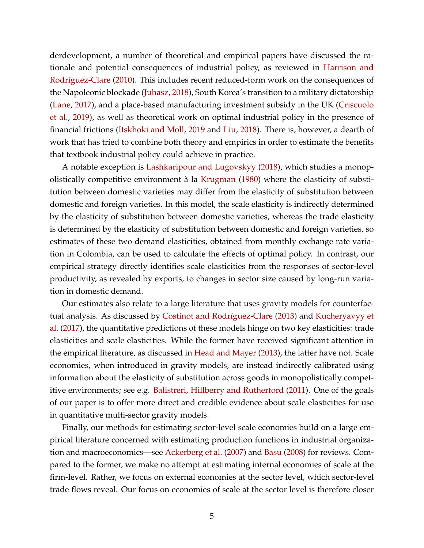derdevelopment, a number of theoretical and empirical papers have discussed the rationale and potential consequences of industrial policy, as reviewed in [Harrison and](#page-40-4) [Rodríguez-Clare](#page-40-4) [\(2010\)](#page-40-4). This includes recent reduced-form work on the consequences of the Napoleonic blockade [\(Juhasz,](#page-41-2) [2018\)](#page-41-2), South Korea's transition to a military dictatorship [\(Lane,](#page-41-3) [2017\)](#page-41-3), and a place-based manufacturing investment subsidy in the UK [\(Criscuolo](#page-40-5) [et al.,](#page-40-5) [2019\)](#page-40-5), as well as theoretical work on optimal industrial policy in the presence of financial frictions [\(Itskhoki and Moll,](#page-41-4) [2019](#page-41-4) and [Liu,](#page-41-5) [2018\)](#page-41-5). There is, however, a dearth of work that has tried to combine both theory and empirics in order to estimate the benefits that textbook industrial policy could achieve in practice.

A notable exception is [Lashkaripour and Lugovskyy](#page-41-6) [\(2018\)](#page-41-6), which studies a monopolistically competitive environment à la [Krugman](#page-41-1) [\(1980\)](#page-41-1) where the elasticity of substitution between domestic varieties may differ from the elasticity of substitution between domestic and foreign varieties. In this model, the scale elasticity is indirectly determined by the elasticity of substitution between domestic varieties, whereas the trade elasticity is determined by the elasticity of substitution between domestic and foreign varieties, so estimates of these two demand elasticities, obtained from monthly exchange rate variation in Colombia, can be used to calculate the effects of optimal policy. In contrast, our empirical strategy directly identifies scale elasticities from the responses of sector-level productivity, as revealed by exports, to changes in sector size caused by long-run variation in domestic demand.

Our estimates also relate to a large literature that uses gravity models for counterfactual analysis. As discussed by [Costinot and Rodríguez-Clare](#page-40-3) [\(2013\)](#page-40-3) and [Kucheryavyy et](#page-41-0) [al.](#page-41-0) [\(2017\)](#page-41-0), the quantitative predictions of these models hinge on two key elasticities: trade elasticities and scale elasticities. While the former have received significant attention in the empirical literature, as discussed in [Head and Mayer](#page-41-7) [\(2013\)](#page-41-7), the latter have not. Scale economies, when introduced in gravity models, are instead indirectly calibrated using information about the elasticity of substitution across goods in monopolistically competitive environments; see e.g. [Balistreri, Hillberry and Rutherford](#page-39-1) [\(2011\)](#page-39-1). One of the goals of our paper is to offer more direct and credible evidence about scale elasticities for use in quantitative multi-sector gravity models.

Finally, our methods for estimating sector-level scale economies build on a large empirical literature concerned with estimating production functions in industrial organization and macroeconomics—see [Ackerberg et al.](#page-39-2) [\(2007\)](#page-39-2) and [Basu](#page-39-3) [\(2008\)](#page-39-3) for reviews. Compared to the former, we make no attempt at estimating internal economies of scale at the firm-level. Rather, we focus on external economies at the sector level, which sector-level trade flows reveal. Our focus on economies of scale at the sector level is therefore closer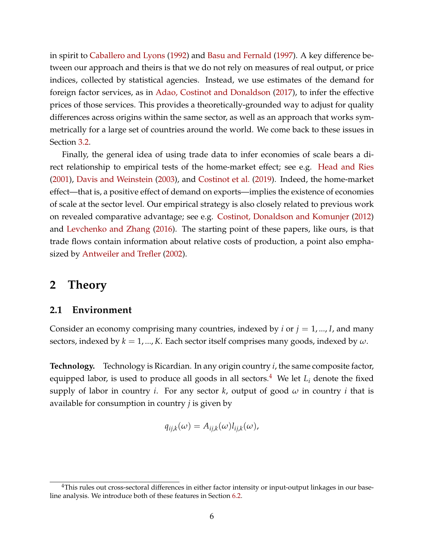in spirit to [Caballero and Lyons](#page-39-4) [\(1992\)](#page-39-4) and [Basu and Fernald](#page-39-5) [\(1997\)](#page-39-5). A key difference between our approach and theirs is that we do not rely on measures of real output, or price indices, collected by statistical agencies. Instead, we use estimates of the demand for foreign factor services, as in [Adao, Costinot and Donaldson](#page-39-6) [\(2017\)](#page-39-6), to infer the effective prices of those services. This provides a theoretically-grounded way to adjust for quality differences across origins within the same sector, as well as an approach that works symmetrically for a large set of countries around the world. We come back to these issues in Section [3.2.](#page-15-0)

Finally, the general idea of using trade data to infer economies of scale bears a direct relationship to empirical tests of the home-market effect; see e.g. [Head and Ries](#page-41-8) [\(2001\)](#page-41-8), [Davis and Weinstein](#page-40-6) [\(2003\)](#page-40-6), and [Costinot et al.](#page-40-7) [\(2019\)](#page-40-7). Indeed, the home-market effect—that is, a positive effect of demand on exports—implies the existence of economies of scale at the sector level. Our empirical strategy is also closely related to previous work on revealed comparative advantage; see e.g. [Costinot, Donaldson and Komunjer](#page-40-8) [\(2012\)](#page-40-8) and [Levchenko and Zhang](#page-41-9) [\(2016\)](#page-41-9). The starting point of these papers, like ours, is that trade flows contain information about relative costs of production, a point also emphasized by [Antweiler and Trefler](#page-39-7) [\(2002\)](#page-39-7).

### <span id="page-7-0"></span>**2 Theory**

#### <span id="page-7-2"></span>**2.1 Environment**

Consider an economy comprising many countries, indexed by  $i$  or  $j = 1, ..., I$ , and many sectors, indexed by  $k = 1, ..., K$ . Each sector itself comprises many goods, indexed by  $\omega$ .

**Technology.** Technology is Ricardian. In any origin country *i*, the same composite factor, equipped labor, is used to produce all goods in all sectors.<sup>[4](#page-7-1)</sup> We let  $L_i$  denote the fixed supply of labor in country *i*. For any sector *k*, output of good  $\omega$  in country *i* that is available for consumption in country *j* is given by

$$
q_{ij,k}(\omega) = A_{ij,k}(\omega)l_{ij,k}(\omega),
$$

<span id="page-7-1"></span><sup>4</sup>This rules out cross-sectoral differences in either factor intensity or input-output linkages in our baseline analysis. We introduce both of these features in Section [6.2.](#page-35-0)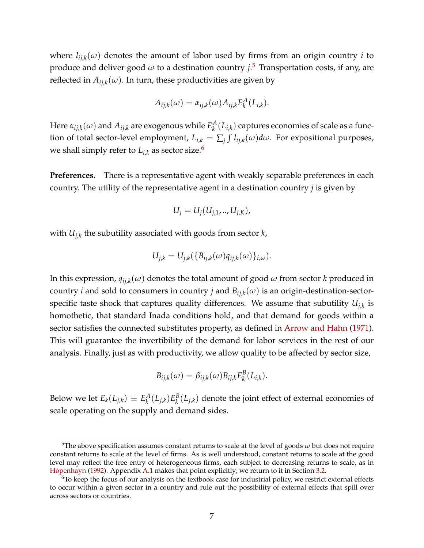where  $l_{ijk}(\omega)$  denotes the amount of labor used by firms from an origin country *i* to produce and deliver good *ω* to a destination country *j*. [5](#page-8-0) Transportation costs, if any, are reflected in  $A_{ij,k}(\omega)$ . In turn, these productivities are given by

$$
A_{ij,k}(\omega) = \alpha_{ij,k}(\omega) A_{ij,k} E_k^A(L_{i,k}).
$$

Here  $\alpha_{ij,k}(\omega)$  and  $A_{ij,k}$  are exogenous while  $E^A_k$  $\binom{A}{k}(L_{i,k})$  captures economies of scale as a function of total sector-level employment,  $L_{i,k} = \sum_j \int l_{ij,k}(\omega) d\omega$ . For expositional purposes, we shall simply refer to  $L_{i,k}$  as sector size.<sup>[6](#page-8-1)</sup>

**Preferences.** There is a representative agent with weakly separable preferences in each country. The utility of the representative agent in a destination country *j* is given by

$$
U_j=U_j(U_{j,1},...,U_{j,K}),
$$

with *Uj*,*<sup>k</sup>* the subutility associated with goods from sector *k*,

$$
U_{j,k} = U_{j,k}(\{B_{ij,k}(\omega)q_{ij,k}(\omega)\}_{i,\omega}).
$$

In this expression,  $q_{ij,k}(\omega)$  denotes the total amount of good  $\omega$  from sector *k* produced in country *i* and sold to consumers in country *j* and  $B_{ij,k}(\omega)$  is an origin-destination-sectorspecific taste shock that captures quality differences. We assume that subutility *Uj*,*<sup>k</sup>* is homothetic, that standard Inada conditions hold, and that demand for goods within a sector satisfies the connected substitutes property, as defined in [Arrow and Hahn](#page-39-8) [\(1971\)](#page-39-8). This will guarantee the invertibility of the demand for labor services in the rest of our analysis. Finally, just as with productivity, we allow quality to be affected by sector size,

$$
B_{ij,k}(\omega) = \beta_{ij,k}(\omega) B_{ij,k} E_k^B(L_{i,k}).
$$

Below we let  $E_k(L_{j,k}) \equiv E_k^A$  $_{k}^{A}(L_{j,k})E_{k}^{B}$  ${}_{k}^{B}(L_{j,k})$  denote the joint effect of external economies of scale operating on the supply and demand sides.

<span id="page-8-0"></span><sup>5</sup>The above specification assumes constant returns to scale at the level of goods *ω* but does not require constant returns to scale at the level of firms. As is well understood, constant returns to scale at the good level may reflect the free entry of heterogeneous firms, each subject to decreasing returns to scale, as in [Hopenhayn](#page-41-10) [\(1992\)](#page-41-10). Appendix [A.1](#page-43-0) makes that point explicitly; we return to it in Section [3.2.](#page-15-0)

<span id="page-8-1"></span> $6T<sub>0</sub>$  for the focus of our analysis on the textbook case for industrial policy, we restrict external effects to occur within a given sector in a country and rule out the possibility of external effects that spill over across sectors or countries.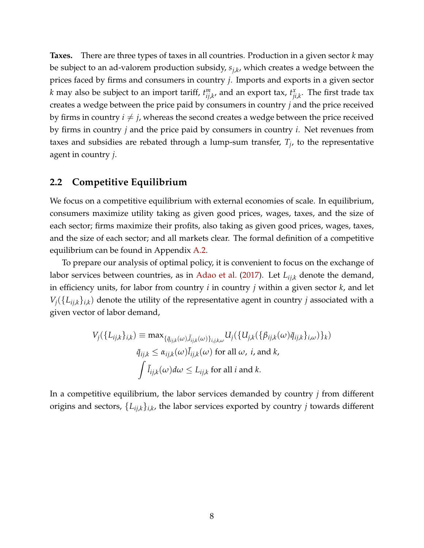**Taxes.** There are three types of taxes in all countries. Production in a given sector *k* may be subject to an ad-valorem production subsidy, *sj*,*<sup>k</sup>* , which creates a wedge between the prices faced by firms and consumers in country *j*. Imports and exports in a given sector *k* may also be subject to an import tariff, *t m*  $_{ij,k}^m$ , and an export tax,  $t_{ji}^x$ *ji*,*k* . The first trade tax creates a wedge between the price paid by consumers in country *j* and the price received by firms in country  $i \neq j$ , whereas the second creates a wedge between the price received by firms in country *j* and the price paid by consumers in country *i*. Net revenues from taxes and subsidies are rebated through a lump-sum transfer, *T<sup>j</sup>* , to the representative agent in country *j*.

#### <span id="page-9-0"></span>**2.2 Competitive Equilibrium**

We focus on a competitive equilibrium with external economies of scale. In equilibrium, consumers maximize utility taking as given good prices, wages, taxes, and the size of each sector; firms maximize their profits, also taking as given good prices, wages, taxes, and the size of each sector; and all markets clear. The formal definition of a competitive equilibrium can be found in Appendix [A.2.](#page-44-0)

To prepare our analysis of optimal policy, it is convenient to focus on the exchange of labor services between countries, as in [Adao et al.](#page-39-6) [\(2017\)](#page-39-6). Let *Lij*,*<sup>k</sup>* denote the demand, in efficiency units, for labor from country *i* in country *j* within a given sector *k*, and let  $V_i({L_{i,j,k}})$  denote the utility of the representative agent in country *j* associated with a given vector of labor demand,

$$
V_j(\{L_{ij,k}\}_{i,k}) \equiv \max_{\{\tilde{q}_{ij,k}(\omega), \tilde{l}_{ij,k}(\omega)\}_{i,j,k,\omega}} U_j(\{U_{j,k}(\{\beta_{ij,k}(\omega)\tilde{q}_{ij,k}\}_{i,\omega})\}_k)
$$

$$
\tilde{q}_{ij,k} \leq \alpha_{ij,k}(\omega)\tilde{l}_{ij,k}(\omega) \text{ for all } \omega, \text{ i, and } k,
$$

$$
\int \tilde{l}_{ij,k}(\omega)d\omega \leq L_{ij,k} \text{ for all } i \text{ and } k.
$$

In a competitive equilibrium, the labor services demanded by country *j* from different origins and sectors, {*Lij*,*k*}*i*,*<sup>k</sup>* , the labor services exported by country *j* towards different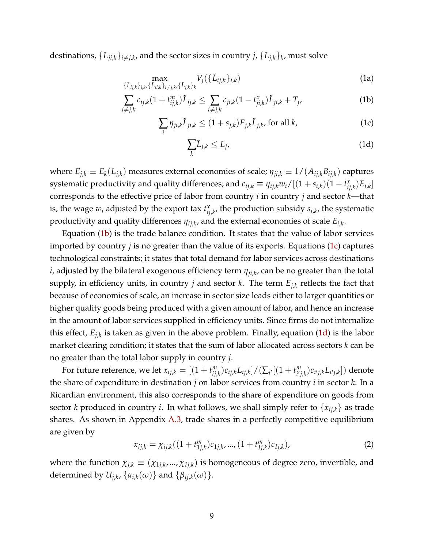destinations,  $\{L_{ji,k}\}_{i \neq j,k}$ , and the sector sizes in country  $j$ ,  $\{L_{j,k}\}_k$ , must solve

$$
\max_{\{\tilde{L}_{ij,k}\}_{i,k},\{\tilde{L}_{ji,k}\}_{i\neq j,k},\{\tilde{L}_{j,k}\}_k} V_j(\{\tilde{L}_{ij,k}\}_{i,k})
$$
(1a)

$$
\sum_{i \neq j,k} c_{ij,k} (1 + t_{ij,k}^m) \tilde{L}_{ij,k} \leq \sum_{i \neq j,k} c_{ji,k} (1 - t_{ji,k}^x) \tilde{L}_{ji,k} + T_j,
$$
 (1b)

$$
\sum_{i} \eta_{ji,k} \tilde{L}_{ji,k} \le (1 + s_{j,k}) E_{j,k} \tilde{L}_{j,k}, \text{ for all } k,
$$
 (1c)

<span id="page-10-3"></span><span id="page-10-2"></span><span id="page-10-1"></span><span id="page-10-0"></span>
$$
\sum_{k} \tilde{L}_{j,k} \le L_j,\tag{1d}
$$

where  $E_{i,k} \equiv E_k(L_{i,k})$  measures external economies of scale;  $\eta_{i,k} \equiv 1/(A_{i,j,k}B_{i,j,k})$  captures systematic productivity and quality differences; and  $c_{ij,k} \equiv \eta_{ij,k} w_i/[(1+s_{i,k})(1-t_{ij}^x)]$  $\binom{x}{i j,k} E_{i,k}$ corresponds to the effective price of labor from country *i* in country *j* and sector *k*—that is, the wage  $w_i$  adjusted by the export tax  $t_{ij}^x$  $\int_{ij,k'}^x$  the production subsidy  $s_{i,k'}$  the systematic productivity and quality differences *ηij*,*<sup>k</sup>* , and the external economies of scale *Ei*,*<sup>k</sup>* .

Equation [\(1b\)](#page-10-0) is the trade balance condition. It states that the value of labor services imported by country *j* is no greater than the value of its exports. Equations [\(1c\)](#page-10-1) captures technological constraints; it states that total demand for labor services across destinations *i*, adjusted by the bilateral exogenous efficiency term *ηji*,*<sup>k</sup>* , can be no greater than the total supply, in efficiency units, in country *j* and sector *k*. The term *Ej*,*<sup>k</sup>* reflects the fact that because of economies of scale, an increase in sector size leads either to larger quantities or higher quality goods being produced with a given amount of labor, and hence an increase in the amount of labor services supplied in efficiency units. Since firms do not internalize this effect*, E<sub>j,k</sub>* is taken as given in the above problem. Finally, equation [\(1d\)](#page-10-2) is the labor market clearing condition; it states that the sum of labor allocated across sectors *k* can be no greater than the total labor supply in country *j*.

For future reference, we let  $x_{ij,k} = [(1 + t_{ij,k}^m)]$  $\binom{m}{i j,k} c_{i j,k} L_{i j,k}$ ] /  $(\sum_{i'} [(1 + t_{i' j}^m)]$ *i* 0 *j*,*k* )*ci* 0 *<sup>j</sup>*,*kL<sup>i</sup>* 0 *j*,*k* ]) denote the share of expenditure in destination *j* on labor services from country *i* in sector *k*. In a Ricardian environment, this also corresponds to the share of expenditure on goods from sector *k* produced in country *i*. In what follows, we shall simply refer to  $\{x_{i,j,k}\}\)$  as trade shares. As shown in Appendix [A.3,](#page-45-0) trade shares in a perfectly competitive equilibrium are given by

<span id="page-10-4"></span>
$$
x_{ij,k} = \chi_{ij,k}((1 + t_{1j,k}^m)c_{1j,k}, ..., (1 + t_{Ij,k}^m)c_{Ij,k}),
$$
\n(2)

where the function  $\chi_{j,k} \equiv (\chi_{1j,k},...,\chi_{Ij,k})$  is homogeneous of degree zero, invertible, and determined by  $U_{j,k}$ ,  $\{\alpha_{i,k}(\omega)\}\$  and  $\{\beta_{ij,k}(\omega)\}.$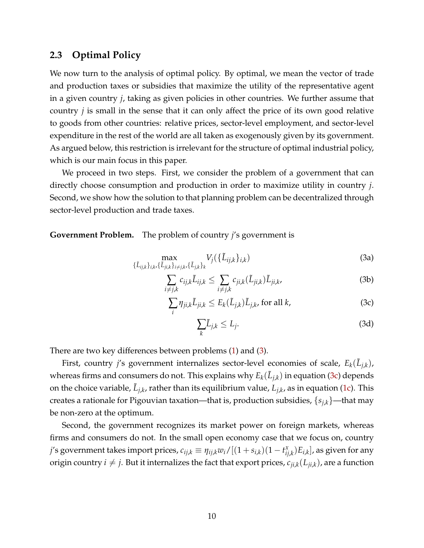#### <span id="page-11-4"></span>**2.3 Optimal Policy**

We now turn to the analysis of optimal policy. By optimal, we mean the vector of trade and production taxes or subsidies that maximize the utility of the representative agent in a given country *j*, taking as given policies in other countries. We further assume that country *j* is small in the sense that it can only affect the price of its own good relative to goods from other countries: relative prices, sector-level employment, and sector-level expenditure in the rest of the world are all taken as exogenously given by its government. As argued below, this restriction is irrelevant for the structure of optimal industrial policy, which is our main focus in this paper.

We proceed in two steps. First, we consider the problem of a government that can directly choose consumption and production in order to maximize utility in country *j*. Second, we show how the solution to that planning problem can be decentralized through sector-level production and trade taxes.

**Government Problem.** The problem of country *j*'s government is

$$
\max_{\{\tilde{L}_{ij,k}\}_{i,k}\{\tilde{L}_{ji,k}\}_{i\neq j,k}\{\tilde{L}_{j,k}\}_k} V_j(\{\tilde{L}_{ij,k}\}_{i,k})
$$
(3a)

$$
\sum_{i \neq j,k} c_{ij,k} \tilde{L}_{ij,k} \leq \sum_{i \neq j,k} c_{ji,k} (\tilde{L}_{ji,k}) \tilde{L}_{ji,k},\tag{3b}
$$

$$
\sum_{i} \eta_{ji,k} \tilde{L}_{ji,k} \le E_k(\tilde{L}_{j,k}) \tilde{L}_{j,k}, \text{ for all } k,
$$
\n(3c)

<span id="page-11-3"></span><span id="page-11-2"></span><span id="page-11-1"></span><span id="page-11-0"></span>
$$
\sum_{k} \tilde{L}_{j,k} \le L_j. \tag{3d}
$$

There are two key differences between problems [\(1\)](#page-10-3) and [\(3\)](#page-11-0).

First, country *j's* government internalizes sector-level economies of scale,  $E_k(\tilde{L}_{j,k})$ , whereas firms and consumers do not. This explains why  $E_k(\tilde{L}_{j,k})$  in equation [\(3c\)](#page-11-1) depends on the choice variable,  $\tilde{L}_{j,k}$ , rather than its equilibrium value,  $L_{j,k}$ , as in equation [\(1c\)](#page-10-1). This creates a rationale for Pigouvian taxation—that is, production subsidies, {*sj*,*k*}—that may be non-zero at the optimum.

Second, the government recognizes its market power on foreign markets, whereas firms and consumers do not. In the small open economy case that we focus on, country *j'*s government takes import prices,  $c_{ij,k} \equiv \eta_{ij,k} w_i/[(1+s_{i,k})(1-t_{ij}^x)]$  $\left\{ \begin{array}{l} x \ i_{j,k} \end{array} \right\}$ , as given for any origin country  $i \neq j$ . But it internalizes the fact that export prices,  $c_{ii,k}(L_{ii,k})$ , are a function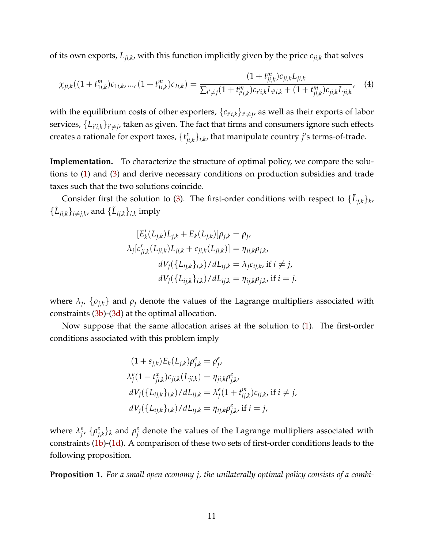of its own exports*,*  $L_{ji,k}$ *,* with this function implicitly given by the price  $c_{ji,k}$  that solves

<span id="page-12-1"></span>
$$
\chi_{ji,k}((1+t_{1i,k}^m)c_{1i,k},..., (1+t_{1i,k}^m)c_{1i,k}) = \frac{(1+t_{ji,k}^m)c_{ji,k}L_{ji,k}}{\sum_{i' \neq j}(1+t_{i'i,k}^m)c_{i'i,k}L_{i'i,k} + (1+t_{ji,k}^m)c_{ji,k}L_{ji,k}},
$$
(4)

with the equilibrium costs of other exporters,  $\{c_{i'i,k}\}_{i'\neq j'}$  as well as their exports of labor services,  $\{L_{i'i,k}\}_{i'\neq j}$ , taken as given. The fact that firms and consumers ignore such effects creates a rationale for export taxes, {*t x*  $\int_{j\hat{t},k}^{x}$ *)*, $i$ , $k$ , that manipulate country *j*'s terms-of-trade.

**Implementation.** To characterize the structure of optimal policy, we compare the solutions to [\(1\)](#page-10-3) and [\(3\)](#page-11-0) and derive necessary conditions on production subsidies and trade taxes such that the two solutions coincide.

Consider first the solution to [\(3\)](#page-11-0). The first-order conditions with respect to  $\{\tilde{L}_{j,k}\}_k$ ,  $\{\tilde{L}_{ji,k}\}_{i \neq j,k}$ , and  $\{\tilde{L}_{ij,k}\}_{i,k}$  imply

$$
[E'_{k}(L_{j,k})L_{j,k} + E_{k}(L_{j,k})]\rho_{j,k} = \rho_{j},
$$
  
\n
$$
\lambda_{j}[c'_{ji,k}(L_{ji,k})L_{ji,k} + c_{ji,k}(L_{ji,k})] = \eta_{ji,k}\rho_{j,k},
$$
  
\n
$$
dV_{j}(\{L_{ij,k}\}_{i,k})/dL_{ij,k} = \lambda_{j}c_{ij,k}, \text{ if } i \neq j,
$$
  
\n
$$
dV_{j}(\{L_{ij,k}\}_{i,k})/dL_{ij,k} = \eta_{ij,k}\rho_{j,k}, \text{ if } i = j.
$$

where  $\lambda_j$ ,  $\{\rho_{j,k}\}\$  and  $\rho_j$  denote the values of the Lagrange multipliers associated with constraints [\(3b\)](#page-11-2)-[\(3d\)](#page-11-3) at the optimal allocation.

Now suppose that the same allocation arises at the solution to [\(1\)](#page-10-3). The first-order conditions associated with this problem imply

$$
(1 + s_{j,k})E_k(L_{j,k})\rho_{j,k}^e = \rho_j^e,
$$
  
\n
$$
\lambda_j^e (1 - t_{ji,k}^x) c_{ji,k}(L_{ji,k}) = \eta_{ji,k} \rho_{j,k}^e,
$$
  
\n
$$
dV_j(\{L_{ij,k}\}_{i,k})/dL_{ij,k} = \lambda_j^e (1 + t_{ij,k}^m) c_{ij,k}, \text{ if } i \neq j,
$$
  
\n
$$
dV_j(\{L_{ij,k}\}_{i,k})/dL_{ij,k} = \eta_{ij,k} \rho_{j,k}^e, \text{ if } i = j,
$$

where  $\lambda_i^e$ *j* , {*ρ e*  $\{\theta_{j,k}^e\}_k$  and  $\rho_j^e$  $\frac{e}{j}$  denote the values of the Lagrange multipliers associated with constraints [\(1b\)](#page-10-0)-[\(1d\)](#page-10-2). A comparison of these two sets of first-order conditions leads to the following proposition.

<span id="page-12-0"></span>**Proposition 1.** *For a small open economy j, the unilaterally optimal policy consists of a combi-*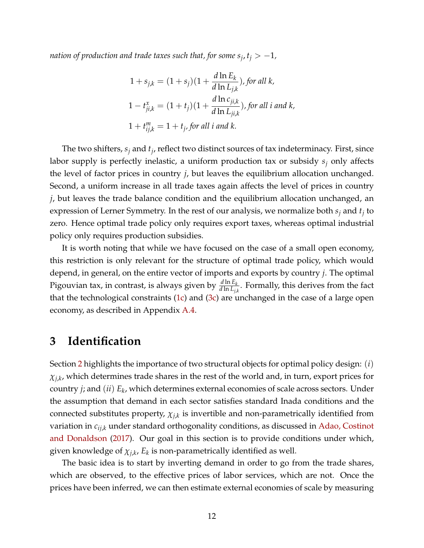*nation of production and trade taxes such that, for some*  $s_j$ *,*  $t_j > -1$ *,* 

$$
1 + s_{j,k} = (1 + s_j)(1 + \frac{d \ln E_k}{d \ln L_{j,k}}), \text{ for all } k,
$$
  

$$
1 - t_{ji,k}^x = (1 + t_j)(1 + \frac{d \ln c_{ji,k}}{d \ln L_{ji,k}}), \text{ for all } i \text{ and } k,
$$
  

$$
1 + t_{ij,k}^m = 1 + t_j, \text{ for all } i \text{ and } k.
$$

The two shifters, *s<sup>j</sup>* and *t<sup>j</sup>* , reflect two distinct sources of tax indeterminacy. First, since labor supply is perfectly inelastic, a uniform production tax or subsidy *s<sup>j</sup>* only affects the level of factor prices in country *j*, but leaves the equilibrium allocation unchanged. Second, a uniform increase in all trade taxes again affects the level of prices in country *j*, but leaves the trade balance condition and the equilibrium allocation unchanged, an expression of Lerner Symmetry. In the rest of our analysis, we normalize both *s<sup>j</sup>* and *t<sup>j</sup>* to zero. Hence optimal trade policy only requires export taxes, whereas optimal industrial policy only requires production subsidies.

It is worth noting that while we have focused on the case of a small open economy, this restriction is only relevant for the structure of optimal trade policy, which would depend, in general, on the entire vector of imports and exports by country *j*. The optimal Pigouvian tax, in contrast, is always given by  $\frac{d \ln E_k}{d \ln L_{j,k}}.$  Formally, this derives from the fact that the technological constraints  $(1c)$  and  $(3c)$  are unchanged in the case of a large open economy, as described in Appendix [A.4.](#page-46-0)

### <span id="page-13-0"></span>**3 Identification**

Section [2](#page-7-0) highlights the importance of two structural objects for optimal policy design: (*i*) *χj*,*k* , which determines trade shares in the rest of the world and, in turn, export prices for country *j*; and (*ii*) *E<sup>k</sup>* , which determines external economies of scale across sectors. Under the assumption that demand in each sector satisfies standard Inada conditions and the connected substitutes property, *χj*,*<sup>k</sup>* is invertible and non-parametrically identified from variation in *cij*,*<sup>k</sup>* under standard orthogonality conditions, as discussed in [Adao, Costinot](#page-39-6) [and Donaldson](#page-39-6) [\(2017\)](#page-39-6). Our goal in this section is to provide conditions under which, given knowledge of *χj*,*<sup>k</sup>* , *E<sup>k</sup>* is non-parametrically identified as well.

The basic idea is to start by inverting demand in order to go from the trade shares, which are observed, to the effective prices of labor services, which are not. Once the prices have been inferred, we can then estimate external economies of scale by measuring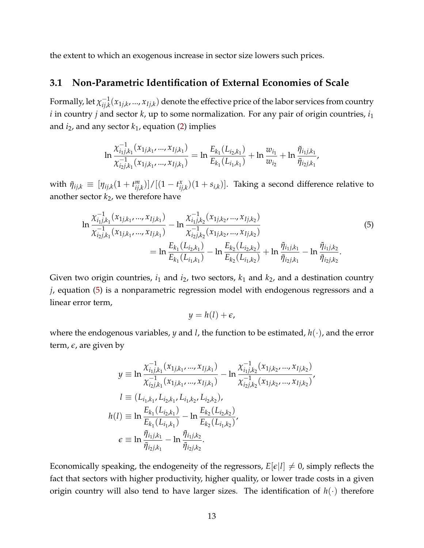the extent to which an exogenous increase in sector size lowers such prices.

#### <span id="page-14-1"></span>**3.1 Non-Parametric Identification of External Economies of Scale**

Formally, let  $\chi_{i i k}^{-1}$  $\hat{f}_{ij,k}^{-1}(x_{1j,k},...,x_{Ij,k})$  denote the effective price of the labor services from country  $i$  in country  $j$  and sector  $k$ , up to some normalization. For any pair of origin countries,  $i_1$ and *i*2, and any sector *k*1, equation [\(2\)](#page-10-4) implies

$$
\ln\frac{\chi_{i_1j,k_1}^{-1}(x_{1j,k_1},...,x_{Ij,k_1})}{\chi_{i_2j,k_1}^{-1}(x_{1j,k_1},...,x_{Ij,k_1})} = \ln\frac{E_{k_1}(L_{i_2,k_1})}{E_{k_1}(L_{i_1,k_1})} + \ln\frac{w_{i_1}}{w_{i_2}} + \ln\frac{\tilde{\eta}_{i_1j,k_1}}{\tilde{\eta}_{i_2j,k_1}},
$$

with  $\tilde{\eta}_{ij,k} \equiv [\eta_{ij,k}(1 + t_{ij}^m)]$  $\binom{m}{i j,k}$ ]/[(1 –  $t_{ij}^x$  $f_{ij,k}^x$ ) $(1 + s_{i,k})$ ]. Taking a second difference relative to another sector  $k_2$ , we therefore have

$$
\ln \frac{\chi_{i_1 j, k_1}^{-1}(x_{1 j, k_1}, ..., x_{I j, k_1})}{\chi_{i_2 j, k_1}^{-1}(x_{1 j, k_1}, ..., x_{I j, k_1})} - \ln \frac{\chi_{i_1 j, k_2}^{-1}(x_{1 j, k_2}, ..., x_{I j, k_2})}{\chi_{i_2 j, k_2}^{-1}(x_{1 j, k_2}, ..., x_{I j, k_2})}
$$
\n
$$
= \ln \frac{E_{k_1}(L_{i_2, k_1})}{E_{k_1}(L_{i_1, k_1})} - \ln \frac{E_{k_2}(L_{i_2, k_2})}{E_{k_2}(L_{i_1, k_2})} + \ln \frac{\tilde{\eta}_{i_1 j, k_1}}{\tilde{\eta}_{i_2 j, k_1}} - \ln \frac{\tilde{\eta}_{i_1 j, k_2}}{\tilde{\eta}_{i_2 j, k_2}}.
$$
\n(5)

Given two origin countries,  $i_1$  and  $i_2$ , two sectors,  $k_1$  and  $k_2$ , and a destination country *j*, equation [\(5\)](#page-14-0) is a nonparametric regression model with endogenous regressors and a linear error term,

<span id="page-14-0"></span>
$$
y = h(l) + \epsilon,
$$

where the endogenous variables, *y* and *l*, the function to be estimated,  $h(\cdot)$ , and the error term, *e*, are given by

$$
y \equiv \ln \frac{\chi_{i_1j,k_1}^{-1}(x_{1j,k_1},...,x_{Ij,k_1})}{\chi_{i_2j,k_1}^{-1}(x_{1j,k_1},...,x_{Ij,k_1})} - \ln \frac{\chi_{i_1j,k_2}^{-1}(x_{1j,k_2},...,x_{Ij,k_2})}{\chi_{i_2j,k_2}^{-1}(x_{1j,k_2},...,x_{Ij,k_2})},
$$
  
\n
$$
l \equiv (L_{i_1,k_1}, L_{i_2,k_1}, L_{i_1,k_2}, L_{i_2,k_2}),
$$
  
\n
$$
h(l) \equiv \ln \frac{E_{k_1}(L_{i_2,k_1})}{E_{k_1}(L_{i_1,k_1})} - \ln \frac{E_{k_2}(L_{i_2,k_2})}{E_{k_2}(L_{i_1,k_2})},
$$
  
\n
$$
\epsilon \equiv \ln \frac{\tilde{\eta}_{i_1j,k_1}}{\tilde{\eta}_{i_2j,k_1}} - \ln \frac{\tilde{\eta}_{i_1j,k_2}}{\tilde{\eta}_{i_2j,k_2}}.
$$

Economically speaking, the endogeneity of the regressors,  $E[\epsilon|l] \neq 0$ , simply reflects the fact that sectors with higher productivity, higher quality, or lower trade costs in a given origin country will also tend to have larger sizes. The identification of  $h(\cdot)$  therefore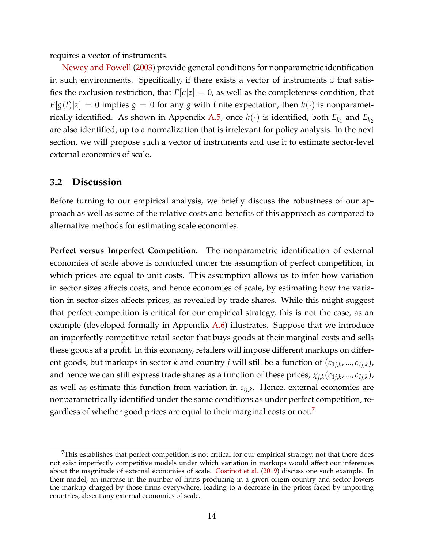requires a vector of instruments.

[Newey and Powell](#page-42-3) [\(2003\)](#page-42-3) provide general conditions for nonparametric identification in such environments. Specifically, if there exists a vector of instruments *z* that satisfies the exclusion restriction, that  $E[\epsilon|z] = 0$ , as well as the completeness condition, that  $E[g(l)|z] = 0$  implies  $g = 0$  for any g with finite expectation, then  $h(\cdot)$  is nonparamet-rically identified. As shown in Appendix [A.5,](#page-46-1) once  $h(\cdot)$  is identified, both  $E_{k_1}$  and  $E_{k_2}$ are also identified, up to a normalization that is irrelevant for policy analysis. In the next section, we will propose such a vector of instruments and use it to estimate sector-level external economies of scale.

#### <span id="page-15-0"></span>**3.2 Discussion**

Before turning to our empirical analysis, we briefly discuss the robustness of our approach as well as some of the relative costs and benefits of this approach as compared to alternative methods for estimating scale economies.

**Perfect versus Imperfect Competition.** The nonparametric identification of external economies of scale above is conducted under the assumption of perfect competition, in which prices are equal to unit costs. This assumption allows us to infer how variation in sector sizes affects costs, and hence economies of scale, by estimating how the variation in sector sizes affects prices, as revealed by trade shares. While this might suggest that perfect competition is critical for our empirical strategy, this is not the case, as an example (developed formally in Appendix [A.6\)](#page-47-0) illustrates. Suppose that we introduce an imperfectly competitive retail sector that buys goods at their marginal costs and sells these goods at a profit. In this economy, retailers will impose different markups on different goods, but markups in sector *k* and country *j* will still be a function of (*c*1*j*,*<sup>k</sup>* , ..., *cIj*,*k*), and hence we can still express trade shares as a function of these prices,  $\chi_{j,k}(c_{1j,k},...,c_{Ij,k})$ , as well as estimate this function from variation in *cij*,*<sup>k</sup>* . Hence, external economies are nonparametrically identified under the same conditions as under perfect competition, re-gardless of whether good prices are equal to their marginal costs or not.<sup>[7](#page-15-1)</sup>

<span id="page-15-1"></span> $7$ This establishes that perfect competition is not critical for our empirical strategy, not that there does not exist imperfectly competitive models under which variation in markups would affect our inferences about the magnitude of external economies of scale. [Costinot et al.](#page-40-7) [\(2019\)](#page-40-7) discuss one such example. In their model, an increase in the number of firms producing in a given origin country and sector lowers the markup charged by those firms everywhere, leading to a decrease in the prices faced by importing countries, absent any external economies of scale.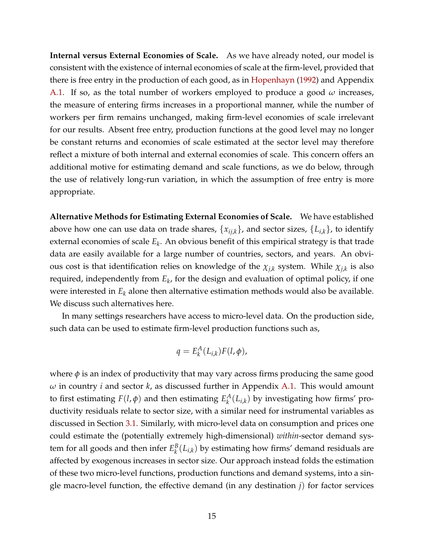**Internal versus External Economies of Scale.** As we have already noted, our model is consistent with the existence of internal economies of scale at the firm-level, provided that there is free entry in the production of each good, as in [Hopenhayn](#page-41-10) [\(1992\)](#page-41-10) and Appendix [A.1.](#page-43-0) If so, as the total number of workers employed to produce a good *ω* increases, the measure of entering firms increases in a proportional manner, while the number of workers per firm remains unchanged, making firm-level economies of scale irrelevant for our results. Absent free entry, production functions at the good level may no longer be constant returns and economies of scale estimated at the sector level may therefore reflect a mixture of both internal and external economies of scale. This concern offers an additional motive for estimating demand and scale functions, as we do below, through the use of relatively long-run variation, in which the assumption of free entry is more appropriate.

**Alternative Methods for Estimating External Economies of Scale.** We have established above how one can use data on trade shares,  $\{x_{ij,k}\}\$ , and sector sizes,  $\{L_{i,k}\}\$ , to identify external economies of scale *E<sup>k</sup>* . An obvious benefit of this empirical strategy is that trade data are easily available for a large number of countries, sectors, and years. An obvious cost is that identification relies on knowledge of the  $\chi_{j,k}$  system. While  $\chi_{j,k}$  is also required, independently from *E<sup>k</sup>* , for the design and evaluation of optimal policy, if one were interested in  $E_k$  alone then alternative estimation methods would also be available. We discuss such alternatives here.

In many settings researchers have access to micro-level data. On the production side, such data can be used to estimate firm-level production functions such as,

$$
q = E_k^A(L_{i,k}) F(l,\phi),
$$

where  $\phi$  is an index of productivity that may vary across firms producing the same good *ω* in country *i* and sector *k*, as discussed further in Appendix [A.1.](#page-43-0) This would amount to first estimating  $F(l, \phi)$  and then estimating  $E_k^A$  $\binom{A}{k}(L_{i,k})$  by investigating how firms' productivity residuals relate to sector size, with a similar need for instrumental variables as discussed in Section [3.1.](#page-14-1) Similarly, with micro-level data on consumption and prices one could estimate the (potentially extremely high-dimensional) *within*-sector demand system for all goods and then infer  $E_k^B$  $k_R^B(L_{i,k})$  by estimating how firms' demand residuals are affected by exogenous increases in sector size. Our approach instead folds the estimation of these two micro-level functions, production functions and demand systems, into a single macro-level function, the effective demand (in any destination *j*) for factor services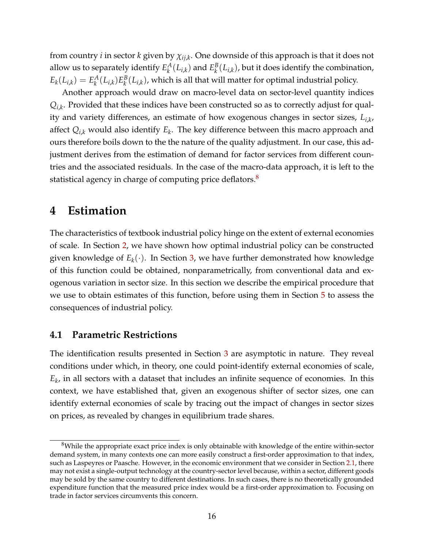from country *i* in sector *k* given by *χij*,*<sup>k</sup>* . One downside of this approach is that it does not allow us to separately identify  $E_k^A$  $_{k}^{A}(L_{i,k})$  and  $E_{k}^{B}$  $k_R^B(L_{i,k})$ , but it does identify the combination,  $E_k(L_{i,k}) = E_k^A$  $_{k}^{A}(L_{i,k})E_{k}^{B}$  $k_R^B(L_{i,k})$ , which is all that will matter for optimal industrial policy.

Another approach would draw on macro-level data on sector-level quantity indices  $Q_{i,k}$ . Provided that these indices have been constructed so as to correctly adjust for quality and variety differences, an estimate of how exogenous changes in sector sizes, *Li*,*<sup>k</sup>* , affect *Qi*,*<sup>k</sup>* would also identify *E<sup>k</sup>* . The key difference between this macro approach and ours therefore boils down to the the nature of the quality adjustment. In our case, this adjustment derives from the estimation of demand for factor services from different countries and the associated residuals. In the case of the macro-data approach, it is left to the statistical agency in charge of computing price deflators.<sup>[8](#page-17-1)</sup>

### <span id="page-17-0"></span>**4 Estimation**

The characteristics of textbook industrial policy hinge on the extent of external economies of scale. In Section [2,](#page-7-0) we have shown how optimal industrial policy can be constructed given knowledge of  $E_k(\cdot)$ . In Section [3,](#page-13-0) we have further demonstrated how knowledge of this function could be obtained, nonparametrically, from conventional data and exogenous variation in sector size. In this section we describe the empirical procedure that we use to obtain estimates of this function, before using them in Section [5](#page-26-0) to assess the consequences of industrial policy.

#### **4.1 Parametric Restrictions**

The identification results presented in Section [3](#page-13-0) are asymptotic in nature. They reveal conditions under which, in theory, one could point-identify external economies of scale, *Ek* , in all sectors with a dataset that includes an infinite sequence of economies. In this context, we have established that, given an exogenous shifter of sector sizes, one can identify external economies of scale by tracing out the impact of changes in sector sizes on prices, as revealed by changes in equilibrium trade shares.

<span id="page-17-1"></span><sup>8</sup>While the appropriate exact price index is only obtainable with knowledge of the entire within-sector demand system, in many contexts one can more easily construct a first-order approximation to that index, such as Laspeyres or Paasche. However, in the economic environment that we consider in Section [2.1,](#page-7-2) there may not exist a single-output technology at the country-sector level because, within a sector, different goods may be sold by the same country to different destinations. In such cases, there is no theoretically grounded expenditure function that the measured price index would be a first-order approximation to. Focusing on trade in factor services circumvents this concern.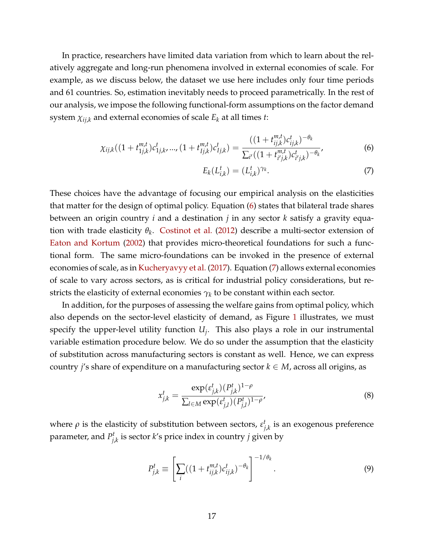In practice, researchers have limited data variation from which to learn about the relatively aggregate and long-run phenomena involved in external economies of scale. For example, as we discuss below, the dataset we use here includes only four time periods and 61 countries. So, estimation inevitably needs to proceed parametrically. In the rest of our analysis, we impose the following functional-form assumptions on the factor demand system  $\chi_{ij,k}$  and external economies of scale  $E_k$  at all times *t*:

$$
\chi_{ij,k}((1+t_{1j,k}^{m,t})c_{1j,k}^t,\ldots,(1+t_{Ij,k}^{m,t})c_{Ij,k}^t) = \frac{((1+t_{ij,k}^{m,t})c_{ij,k}^t)^{-\theta_k}}{\sum_{i'}((1+t_{i'j,k}^{m,t})c_{i'j,k}^t)^{-\theta_k}},\tag{6}
$$

<span id="page-18-1"></span><span id="page-18-0"></span>
$$
E_k(L_{i,k}^t) = (L_{i,k}^t)^{\gamma_k}.
$$
\n<sup>(7)</sup>

These choices have the advantage of focusing our empirical analysis on the elasticities that matter for the design of optimal policy. Equation [\(6\)](#page-18-0) states that bilateral trade shares between an origin country *i* and a destination *j* in any sector *k* satisfy a gravity equation with trade elasticity *θ<sup>k</sup>* . [Costinot et al.](#page-40-8) [\(2012\)](#page-40-8) describe a multi-sector extension of [Eaton and Kortum](#page-40-2) [\(2002\)](#page-40-2) that provides micro-theoretical foundations for such a functional form. The same micro-foundations can be invoked in the presence of external economies of scale, as in [Kucheryavyy et al.](#page-41-0) [\(2017\)](#page-41-0). Equation [\(7\)](#page-18-1) allows external economies of scale to vary across sectors, as is critical for industrial policy considerations, but restricts the elasticity of external economies  $\gamma_k$  to be constant within each sector.

In addition, for the purposes of assessing the welfare gains from optimal policy, which also depends on the sector-level elasticity of demand, as Figure [1](#page-3-0) illustrates, we must specify the upper-level utility function *U<sup>j</sup>* . This also plays a role in our instrumental variable estimation procedure below. We do so under the assumption that the elasticity of substitution across manufacturing sectors is constant as well. Hence, we can express country *j's* share of expenditure on a manufacturing sector  $k \in M$ , across all origins, as

<span id="page-18-3"></span>
$$
x_{j,k}^t = \frac{\exp(\varepsilon_{j,k}^t)(P_{j,k}^t)^{1-\rho}}{\sum_{l \in M} \exp(\varepsilon_{j,l}^t)(P_{j,l}^t)^{1-\rho}},
$$
\n(8)

where  $\rho$  is the elasticity of substitution between sectors,  $\varepsilon_j^t$ *j*,*k* is an exogenous preference parameter, and *P t j*,*k* is sector *k*'s price index in country *j* given by

<span id="page-18-2"></span>
$$
P_{j,k}^t \equiv \left[ \sum_i ((1 + t_{ij,k}^{m,t}) c_{ij,k}^t)^{-\theta_k} \right]^{-1/\theta_k}.
$$
\n(9)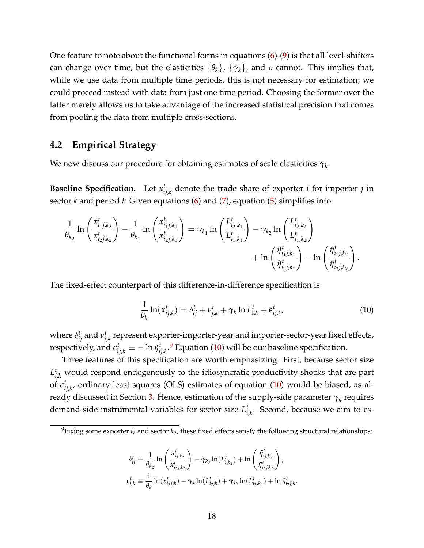One feature to note about the functional forms in equations  $(6)-(9)$  $(6)-(9)$  $(6)-(9)$  is that all level-shifters can change over time, but the elasticities  $\{\theta_k\}$ ,  $\{\gamma_k\}$ , and  $\rho$  cannot. This implies that, while we use data from multiple time periods, this is not necessary for estimation; we could proceed instead with data from just one time period. Choosing the former over the latter merely allows us to take advantage of the increased statistical precision that comes from pooling the data from multiple cross-sections.

#### **4.2 Empirical Strategy**

We now discuss our procedure for obtaining estimates of scale elasticities *γ<sup>k</sup>* .

<span id="page-19-2"></span>**Baseline Specification.** Let *x t ij*,*k* denote the trade share of exporter *i* for importer *j* in sector *k* and period *t*. Given equations [\(6\)](#page-18-0) and [\(7\)](#page-18-1), equation [\(5\)](#page-14-0) simplifies into

$$
\frac{1}{\theta_{k_2}} \ln \left( \frac{x_{i_1 j, k_2}^t}{x_{i_2 j, k_2}^t} \right) - \frac{1}{\theta_{k_1}} \ln \left( \frac{x_{i_1 j, k_1}^t}{x_{i_2 j, k_1}^t} \right) = \gamma_{k_1} \ln \left( \frac{L_{i_2, k_1}^t}{L_{i_1, k_1}^t} \right) - \gamma_{k_2} \ln \left( \frac{L_{i_2, k_2}^t}{L_{i_1, k_2}^t} \right) + \ln \left( \frac{\tilde{\eta}_{i_1 j, k_1}^t}{\tilde{\eta}_{i_2 j, k_1}^t} \right) - \ln \left( \frac{\tilde{\eta}_{i_1 j, k_2}^t}{\tilde{\eta}_{i_2 j, k_2}^t} \right).
$$

The fixed-effect counterpart of this difference-in-difference specification is

<span id="page-19-1"></span>
$$
\frac{1}{\theta_k} \ln(x_{ij,k}^t) = \delta_{ij}^t + \nu_{j,k}^t + \gamma_k \ln L_{i,k}^t + \epsilon_{ij,k'}^t
$$
\n(10)

where  $\delta_{ij}^t$  and  $\nu_{j}^t$ *j*,*k* represent exporter-importer-year and importer-sector-year fixed effects, respectively, and  $\epsilon_{ij,k}^t \equiv -\ln \tilde{\eta}_i^t$  $i_{ijk}$ <sup>[9](#page-19-0)</sup> Equation [\(10\)](#page-19-1) will be our baseline specification.

Three features of this specification are worth emphasizing. First, because sector size  $L_{i,k}^t$  would respond endogenously to the idiosyncratic productivity shocks that are part of  $\epsilon_i^t$ *ij*,*k* , ordinary least squares (OLS) estimates of equation [\(10\)](#page-19-1) would be biased, as al-ready discussed in Section [3.](#page-13-0) Hence, estimation of the supply-side parameter  $\gamma_k$  requires demand-side instrumental variables for sector size *L t*  $i_{i,k}$ . Second, because we aim to es-

$$
\delta_{ij}^t \equiv \frac{1}{\theta_{k_2}} \ln \left( \frac{x_{ij,k_2}^t}{x_{ij,k_2}^t} \right) - \gamma_{k_2} \ln(L_{i,k_2}^t) + \ln \left( \frac{\tilde{\eta}_{ij,k_2}^t}{\tilde{\eta}_{ij,k_2}^t} \right),
$$
  

$$
v_{j,k}^t \equiv \frac{1}{\theta_k} \ln(x_{ij,k}^t) - \gamma_k \ln(L_{i_2,k}^t) + \gamma_{k_2} \ln(L_{i_2,k_2}^t) + \ln \tilde{\eta}_{ij,k}^t.
$$

<span id="page-19-0"></span><sup>&</sup>lt;sup>9</sup>Fixing some exporter  $i_2$  and sector  $k_2$ , these fixed effects satisfy the following structural relationships: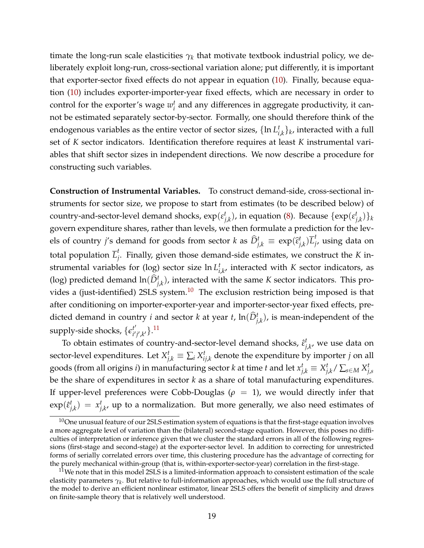timate the long-run scale elasticities *γ<sup>k</sup>* that motivate textbook industrial policy, we deliberately exploit long-run, cross-sectional variation alone; put differently, it is important that exporter-sector fixed effects do not appear in equation [\(10\)](#page-19-1). Finally, because equation [\(10\)](#page-19-1) includes exporter-importer-year fixed effects, which are necessary in order to control for the exporter's wage *w t i* and any differences in aggregate productivity, it cannot be estimated separately sector-by-sector. Formally, one should therefore think of the endogenous variables as the entire vector of sector sizes,  $\{\ln L_i^t\}$  $\{t_{i,k}\}_k$ , interacted with a full set of *K* sector indicators. Identification therefore requires at least *K* instrumental variables that shift sector sizes in independent directions. We now describe a procedure for constructing such variables.

**Construction of Instrumental Variables.** To construct demand-side, cross-sectional instruments for sector size, we propose to start from estimates (to be described below) of country-and-sector-level demand shocks, exp(*ε t j*,*k* ), in equation [\(8\)](#page-18-3). Because {exp(*ε t j*,*k* )}*<sup>k</sup>* govern expenditure shares, rather than levels, we then formulate a prediction for the levels of country *j*'s demand for goods from sector *k* as  $\widehat{D}_{j,k}^t \equiv \exp(\widehat{\epsilon}_j^t)$  $_{j,k}^t$ ) $\overline{L}_j^t$ *j* , using data on total population  $\overline{L}_{i}^{t}$ *j* . Finally, given those demand-side estimates, we construct the *K* instrumental variables for (log) sector size ln *L t i*,*k* , interacted with *K* sector indicators, as (log) predicted demand  $\ln(\hat{D}_{j,k}^t)$ , interacted with the same *K* sector indicators. This provides a (just-identified)  $2SLS$  system.<sup>[10](#page-20-0)</sup> The exclusion restriction being imposed is that after conditioning on importer-exporter-year and importer-sector-year fixed effects, predicted demand in country *i* and sector *k* at year *t*,  $\ln(\widehat{D}_{j,k}^t)$ , is mean-independent of the supply-side shocks,  $\{ \epsilon^{t'}_{i'} \}$ *i* 0 *j* 0 ,*k* 0}. [11](#page-20-1)

To obtain estimates of country-and-sector-level demand shocks, *ε*ˆ *t j*,*k* , we use data on sector-level expenditures. Let  $X^t_{j,k} \equiv \sum_i X^t_i$ *ij*,*k* denote the expenditure by importer *j* on all goods (from all origins *i*) in manufacturing sector  $k$  at time  $t$  and let  $x_{j,k}^t \equiv X_j^t$  $_{j,k}^t$  /  $\sum_{s \in M} X_j^t$ *j*,*s* be the share of expenditures in sector *k* as a share of total manufacturing expenditures. If upper-level preferences were Cobb-Douglas ( $\rho = 1$ ), we would directly infer that exp(*ε*ˆ *t*  $f_{j,k}$ ) =  $x_j^t$ *j*,*k* , up to a normalization. But more generally, we also need estimates of

<span id="page-20-0"></span> $10$ One unusual feature of our 2SLS estimation system of equations is that the first-stage equation involves a more aggregate level of variation than the (bilateral) second-stage equation. However, this poses no difficulties of interpretation or inference given that we cluster the standard errors in all of the following regressions (first-stage and second-stage) at the exporter-sector level. In addition to correcting for unrestricted forms of serially correlated errors over time, this clustering procedure has the advantage of correcting for the purely mechanical within-group (that is, within-exporter-sector-year) correlation in the first-stage.

<span id="page-20-1"></span> $11$ We note that in this model 2SLS is a limited-information approach to consistent estimation of the scale elasticity parameters  $\gamma_k.$  But relative to full-information approaches, which would use the full structure of the model to derive an efficient nonlinear estimator, linear 2SLS offers the benefit of simplicity and draws on finite-sample theory that is relatively well understood.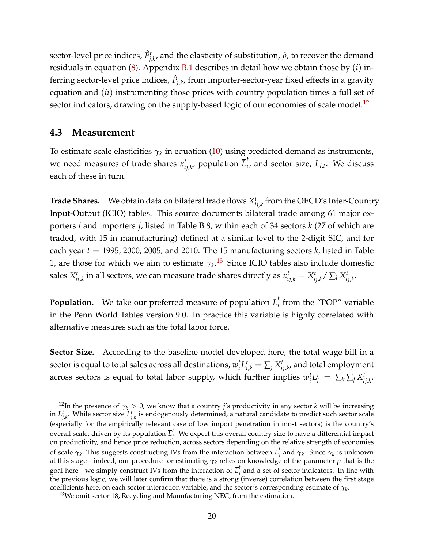sector-level price indices,  $\hat{P}^t_{j,k'}$  and the elasticity of substitution,  $\hat{\rho}$ , to recover the demand residuals in equation [\(8\)](#page-18-3). Appendix [B.1](#page-57-0) describes in detail how we obtain those by (*i*) inferring sector-level price indices,  $\hat{P}_{j,k}$ , from importer-sector-year fixed effects in a gravity equation and (*ii*) instrumenting those prices with country population times a full set of sector indicators, drawing on the supply-based logic of our economies of scale model.<sup>[12](#page-21-0)</sup>

#### **4.3 Measurement**

To estimate scale elasticities  $\gamma_k$  in equation [\(10\)](#page-19-1) using predicted demand as instruments, we need measures of trade shares  $x_i^t$  $_{ij,k^{\prime}}^{t}$  population  $\overline{L}_{i}^{t}$  $\int_{i}^{t}$ , and sector size,  $L_{i,t}$ . We discuss each of these in turn.

**Trade Shares.** We obtain data on bilateral trade flows *X t ij*,*k* from the OECD's Inter-Country Input-Output (ICIO) tables. This source documents bilateral trade among 61 major exporters *i* and importers *j*, listed in Table B.8, within each of 34 sectors *k* (27 of which are traded, with 15 in manufacturing) defined at a similar level to the 2-digit SIC, and for each year  $t = 1995$ , 2000, 2005, and 2010. The 15 manufacturing sectors  $k$ , listed in Table 1, are those for which we aim to estimate  $\gamma_k$ <sup>[13](#page-21-1)</sup> Since ICIO tables also include domestic sales *X t*  $i$ <sub>*ii,k*</sub> in all sectors, we can measure trade shares directly as  $x_{ij,k}^t = X_i^t$  $t_{ij,k}^t / \sum_l X_l^t$ *lj*,*k* .

**Population.** We take our preferred measure of population  $\overline{L}_i^t$ *i* from the "POP" variable in the Penn World Tables version 9.0. In practice this variable is highly correlated with alternative measures such as the total labor force.

**Sector Size.** According to the baseline model developed here, the total wage bill in a sector is equal to total sales across all destinations*,*  $w_i^t$  ${}_{i}^{t}L_{i,k}^{t} = \sum_{j} X_{i}^{t}$ *ij*,*k* , and total employment across sectors is equal to total labor supply, which further implies  $w_i^t$  $i^t L_i^t = \sum_k \sum_j X_i^t$ *ij*,*k* .

<span id="page-21-0"></span><sup>&</sup>lt;sup>12</sup>In the presence of  $\gamma_k > 0$ , we know that a country *j's* productivity in any sector *k* will be increasing in  $L^{t}_{j,k}$ . While sector size  $L^{t}_{j,k}$  is endogenously determined, a natural candidate to predict such sector scale (especially for the empirically relevant case of low import penetration in most sectors) is the country's overall scale, driven by its population  $\overline{L}_{i}^{t}$ *j* . We expect this overall country size to have a differential impact on productivity, and hence price reduction, across sectors depending on the relative strength of economies of scale  $\gamma_k$ . This suggests constructing IVs from the interaction between  $\overline{L}_j^t$  and  $\gamma_k$ . Since  $\gamma_k$  is unknown at this stage—indeed, our procedure for estimating *γ<sup>k</sup>* relies on knowledge of the parameter *ρ* that is the goal here—we simply construct IVs from the interaction of  $\overline{L}_j^t$  and a set of sector indicators. In line with the previous logic, we will later confirm that there is a strong (inverse) correlation between the first stage  $\alpha$  coefficients here, on each sector interaction variable, and the sector's corresponding estimate of  $\gamma_k$ .

<span id="page-21-1"></span> $13$ We omit sector 18, Recycling and Manufacturing NEC, from the estimation.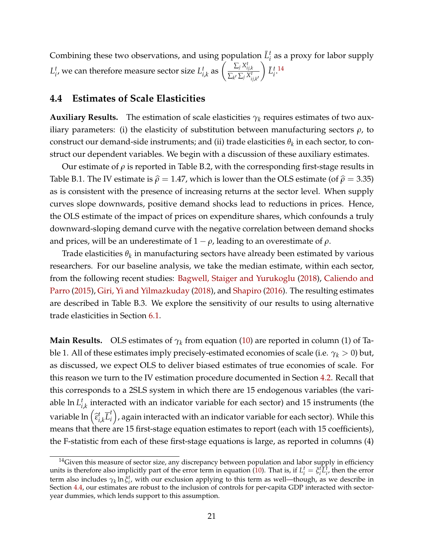Combining these two observations, and using population  $\bar{L}_i^t$  as a proxy for labor supply  $L_i^t$  $i_t$ , we can therefore measure sector size  $L_i^t$  $\int_{i,k}^{t}$  as  $\left( \frac{\sum_{j} X_{ij,k}^{t}}{\sum_{i} \sum_{j} X_{ij}^{t}} \right)$  $\sum_{k'} \sum_{j} X^t_{ij,k'}$  $\left( \prod_{i=1}^{t} \frac{1}{i} \right)$ 

#### <span id="page-22-1"></span>**4.4 Estimates of Scale Elasticities**

**Auxiliary Results.** The estimation of scale elasticities *γ<sup>k</sup>* requires estimates of two auxiliary parameters: (i) the elasticity of substitution between manufacturing sectors *ρ*, to  $\epsilon$ onstruct our demand-side instruments; and (ii) trade elasticities  $\theta_k$  in each sector, to construct our dependent variables. We begin with a discussion of these auxiliary estimates.

Our estimate of *ρ* is reported in Table B.2, with the corresponding first-stage results in Table B.1. The IV estimate is  $\hat{\rho} = 1.47$ , which is lower than the OLS estimate (of  $\hat{\rho} = 3.35$ ) as is consistent with the presence of increasing returns at the sector level. When supply curves slope downwards, positive demand shocks lead to reductions in prices. Hence, the OLS estimate of the impact of prices on expenditure shares, which confounds a truly downward-sloping demand curve with the negative correlation between demand shocks and prices, will be an underestimate of  $1 - \rho$ , leading to an overestimate of  $\rho$ .

Trade elasticities *θ<sup>k</sup>* in manufacturing sectors have already been estimated by various researchers. For our baseline analysis, we take the median estimate, within each sector, from the following recent studies: [Bagwell, Staiger and Yurukoglu](#page-39-9) [\(2018\)](#page-39-9), [Caliendo and](#page-39-10) [Parro](#page-39-10) [\(2015\)](#page-39-10), [Giri, Yi and Yilmazkuday](#page-40-9) [\(2018\)](#page-40-9), and [Shapiro](#page-42-4) [\(2016\)](#page-42-4). The resulting estimates are described in Table B.3. We explore the sensitivity of our results to using alternative trade elasticities in Section [6.1.](#page-32-1)

**Main Results.** OLS estimates of *γ<sup>k</sup>* from equation [\(10\)](#page-19-1) are reported in column (1) of Table 1. All of these estimates imply precisely-estimated economies of scale (i.e.  $\gamma_k > 0$ ) but, as discussed, we expect OLS to deliver biased estimates of true economies of scale. For this reason we turn to the IV estimation procedure documented in Section [4.2.](#page-19-2) Recall that this corresponds to a 2SLS system in which there are 15 endogenous variables (the variable ln *L t i*,*k* interacted with an indicator variable for each sector) and 15 instruments (the *variable* ln  $\left(\hat{\epsilon}^t_i\right)$  $\sum_{i,k}^t \overline{L}_i^t$  $\mathcal{C}_i^{t})$ , again interacted with an indicator variable for each sector). While this means that there are 15 first-stage equation estimates to report (each with 15 coefficients), the F-statistic from each of these first-stage equations is large, as reported in columns (4)

<span id="page-22-0"></span><sup>&</sup>lt;sup>14</sup>Given this measure of sector size, any discrepancy between population and labor supply in efficiency units is therefore also implicitly part of the error term in equation [\(10\)](#page-19-1). That is, if  $L_i^t = \xi_i^t \overline{L}_{i}^t$ , then the error term also includes  $\gamma_k \ln \xi_i^t$ , with our exclusion applying to this term as well—though, as we describe in Section [4.4,](#page-22-1) our estimates are robust to the inclusion of controls for per-capita GDP interacted with sectoryear dummies, which lends support to this assumption.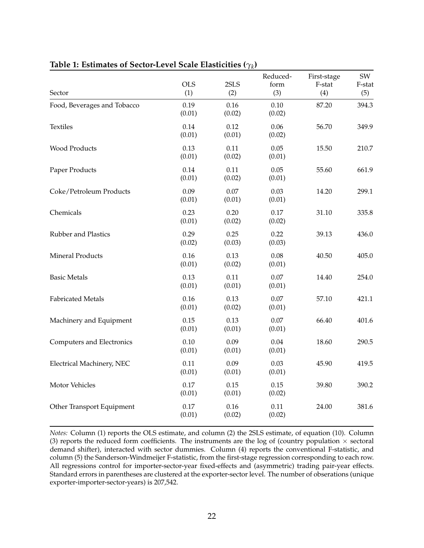| Sector                      | <b>OLS</b><br>(1) | 2SLS<br>(2)    | Reduced-<br>form<br>(3) | First-stage<br>F-stat<br>(4) | SW<br>F-stat<br>(5) |
|-----------------------------|-------------------|----------------|-------------------------|------------------------------|---------------------|
| Food, Beverages and Tobacco | 0.19<br>(0.01)    | 0.16<br>(0.02) | 0.10<br>(0.02)          | 87.20                        | 394.3               |
| <b>Textiles</b>             | 0.14<br>(0.01)    | 0.12<br>(0.01) | 0.06<br>(0.02)          | 56.70                        | 349.9               |
| Wood Products               | 0.13<br>(0.01)    | 0.11<br>(0.02) | 0.05<br>(0.01)          | 15.50                        | 210.7               |
| Paper Products              | 0.14<br>(0.01)    | 0.11<br>(0.02) | 0.05<br>(0.01)          | 55.60                        | 661.9               |
| Coke/Petroleum Products     | 0.09<br>(0.01)    | 0.07<br>(0.01) | 0.03<br>(0.01)          | 14.20                        | 299.1               |
| Chemicals                   | 0.23<br>(0.01)    | 0.20<br>(0.02) | 0.17<br>(0.02)          | 31.10                        | 335.8               |
| Rubber and Plastics         | 0.29<br>(0.02)    | 0.25<br>(0.03) | 0.22<br>(0.03)          | 39.13                        | 436.0               |
| Mineral Products            | 0.16<br>(0.01)    | 0.13<br>(0.02) | 0.08<br>(0.01)          | 40.50                        | 405.0               |
| <b>Basic Metals</b>         | 0.13<br>(0.01)    | 0.11<br>(0.01) | 0.07<br>(0.01)          | 14.40                        | 254.0               |
| <b>Fabricated Metals</b>    | 0.16<br>(0.01)    | 0.13<br>(0.02) | 0.07<br>(0.01)          | 57.10                        | 421.1               |
| Machinery and Equipment     | 0.15<br>(0.01)    | 0.13<br>(0.01) | 0.07<br>(0.01)          | 66.40                        | 401.6               |
| Computers and Electronics   | 0.10<br>(0.01)    | 0.09<br>(0.01) | 0.04<br>(0.01)          | 18.60                        | 290.5               |
| Electrical Machinery, NEC   | 0.11<br>(0.01)    | 0.09<br>(0.01) | 0.03<br>(0.01)          | 45.90                        | 419.5               |
| Motor Vehicles              | 0.17<br>(0.01)    | 0.15<br>(0.01) | 0.15<br>(0.02)          | 39.80                        | 390.2               |
| Other Transport Equipment   | 0.17<br>(0.01)    | 0.16<br>(0.02) | 0.11<br>(0.02)          | 24.00                        | 381.6               |

### **Table 1: Estimates of Sector-Level Scale Elasticities (***γ<sup>k</sup>* **)**

*Notes:* Column (1) reports the OLS estimate, and column (2) the 2SLS estimate, of equation (10). Column (3) reports the reduced form coefficients. The instruments are the log of (country population  $\times$  sectoral demand shifter), interacted with sector dummies. Column (4) reports the conventional F-statistic, and column (5) the Sanderson-Windmeijer F-statistic, from the first-stage regression corresponding to each row. All regressions control for importer-sector-year fixed-effects and (asymmetric) trading pair-year effects. Standard errors in parentheses are clustered at the exporter-sector level. The number of obserations (unique exporter-importer-sector-years) is 207,542.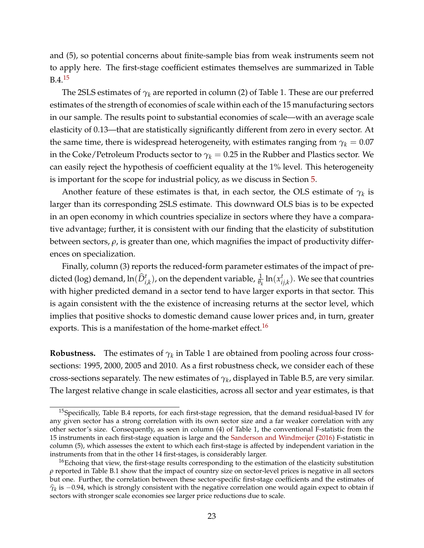and (5), so potential concerns about finite-sample bias from weak instruments seem not to apply here. The first-stage coefficient estimates themselves are summarized in Table  $B.4.15$  $B.4.15$ 

The 2SLS estimates of *γ<sup>k</sup>* are reported in column (2) of Table 1. These are our preferred estimates of the strength of economies of scale within each of the 15 manufacturing sectors in our sample. The results point to substantial economies of scale—with an average scale elasticity of 0.13—that are statistically significantly different from zero in every sector. At the same time, there is widespread heterogeneity, with estimates ranging from  $\gamma_k = 0.07$ in the Coke/Petroleum Products sector to  $\gamma_k = 0.25$  in the Rubber and Plastics sector. We can easily reject the hypothesis of coefficient equality at the 1% level. This heterogeneity is important for the scope for industrial policy, as we discuss in Section [5.](#page-26-0)

Another feature of these estimates is that, in each sector, the OLS estimate of  $\gamma_k$  is larger than its corresponding 2SLS estimate. This downward OLS bias is to be expected in an open economy in which countries specialize in sectors where they have a comparative advantage; further, it is consistent with our finding that the elasticity of substitution between sectors, *ρ*, is greater than one, which magnifies the impact of productivity differences on specialization.

Finally, column (3) reports the reduced-form parameter estimates of the impact of predicted (log) demand,  $\ln(\widehat{D}_{i,k}^t)$ , on the dependent variable,  $\frac{1}{\theta_k}\ln(x_i^t)$ *ij*,*k* ). We see that countries with higher predicted demand in a sector tend to have larger exports in that sector. This is again consistent with the the existence of increasing returns at the sector level, which implies that positive shocks to domestic demand cause lower prices and, in turn, greater exports. This is a manifestation of the home-market effect.<sup>[16](#page-24-1)</sup>

**Robustness.** The estimates of *γ<sup>k</sup>* in Table 1 are obtained from pooling across four crosssections: 1995, 2000, 2005 and 2010. As a first robustness check, we consider each of these cross-sections separately. The new estimates of *γ<sup>k</sup>* , displayed in Table B.5, are very similar. The largest relative change in scale elasticities, across all sector and year estimates, is that

<span id="page-24-0"></span><sup>&</sup>lt;sup>15</sup>Specifically, Table B.4 reports, for each first-stage regression, that the demand residual-based IV for any given sector has a strong correlation with its own sector size and a far weaker correlation with any other sector's size. Consequently, as seen in column (4) of Table 1, the conventional F-statistic from the 15 instruments in each first-stage equation is large and the [Sanderson and Windmeijer](#page-42-5) [\(2016\)](#page-42-5) F-statistic in column (5), which assesses the extent to which each first-stage is affected by independent variation in the instruments from that in the other 14 first-stages, is considerably larger.

<span id="page-24-1"></span><sup>&</sup>lt;sup>16</sup>Echoing that view, the first-stage results corresponding to the estimation of the elasticity substitution *ρ* reported in Table B.1 show that the impact of country size on sector-level prices is negative in all sectors but one. Further, the correlation between these sector-specific first-stage coefficients and the estimates of  $\hat{\gamma}_k$  is −0.94, which is strongly consistent with the negative correlation one would again expect to obtain if<br>sectors with stronger scale comprises see larger price reductions due to scale sectors with stronger scale economies see larger price reductions due to scale.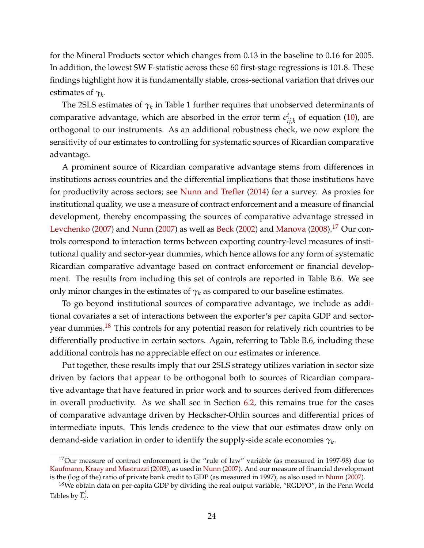for the Mineral Products sector which changes from 0.13 in the baseline to 0.16 for 2005. In addition, the lowest SW F-statistic across these 60 first-stage regressions is 101.8. These findings highlight how it is fundamentally stable, cross-sectional variation that drives our estimates of *γ<sup>k</sup>* .

The 2SLS estimates of  $\gamma_k$  in Table 1 further requires that unobserved determinants of comparative advantage, which are absorbed in the error term  $\epsilon_i^t$ *ij*,*k* of equation [\(10\)](#page-19-1), are orthogonal to our instruments. As an additional robustness check, we now explore the sensitivity of our estimates to controlling for systematic sources of Ricardian comparative advantage.

A prominent source of Ricardian comparative advantage stems from differences in institutions across countries and the differential implications that those institutions have for productivity across sectors; see [Nunn and Trefler](#page-42-6) [\(2014\)](#page-42-6) for a survey. As proxies for institutional quality, we use a measure of contract enforcement and a measure of financial development, thereby encompassing the sources of comparative advantage stressed in [Levchenko](#page-41-11) [\(2007\)](#page-42-7) and [Nunn](#page-42-7) (2007) as well as [Beck](#page-39-11) [\(2002\)](#page-39-11) and [Manova](#page-42-8) [\(2008\)](#page-42-8).<sup>[17](#page-25-0)</sup> Our controls correspond to interaction terms between exporting country-level measures of institutional quality and sector-year dummies, which hence allows for any form of systematic Ricardian comparative advantage based on contract enforcement or financial development. The results from including this set of controls are reported in Table B.6. We see only minor changes in the estimates of  $\gamma_k$  as compared to our baseline estimates.

To go beyond institutional sources of comparative advantage, we include as additional covariates a set of interactions between the exporter's per capita GDP and sector-year dummies.<sup>[18](#page-25-1)</sup> This controls for any potential reason for relatively rich countries to be differentially productive in certain sectors. Again, referring to Table B.6, including these additional controls has no appreciable effect on our estimates or inference.

Put together, these results imply that our 2SLS strategy utilizes variation in sector size driven by factors that appear to be orthogonal both to sources of Ricardian comparative advantage that have featured in prior work and to sources derived from differences in overall productivity. As we shall see in Section [6.2,](#page-35-0) this remains true for the cases of comparative advantage driven by Heckscher-Ohlin sources and differential prices of intermediate inputs. This lends credence to the view that our estimates draw only on demand-side variation in order to identify the supply-side scale economies *γ<sup>k</sup>* .

<span id="page-25-0"></span> $17$ Our measure of contract enforcement is the "rule of law" variable (as measured in 1997-98) due to [Kaufmann, Kraay and Mastruzzi](#page-41-12) [\(2003\)](#page-41-12), as used in [Nunn](#page-42-7) [\(2007\)](#page-42-7). And our measure of financial development is the (log of the) ratio of private bank credit to GDP (as measured in 1997), as also used in [Nunn](#page-42-7) [\(2007\)](#page-42-7).

<span id="page-25-1"></span><sup>&</sup>lt;sup>18</sup>We obtain data on per-capita GDP by dividing the real output variable, "RGDPO", in the Penn World Tables by  $\overline{L}_{i}^{t}$ *i* .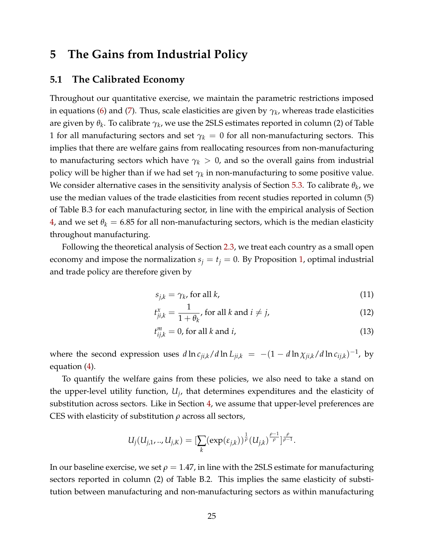### <span id="page-26-0"></span>**5 The Gains from Industrial Policy**

#### **5.1 The Calibrated Economy**

Throughout our quantitative exercise, we maintain the parametric restrictions imposed in equations [\(6\)](#page-18-0) and [\(7\)](#page-18-1). Thus, scale elasticities are given by  $\gamma_k$ , whereas trade elasticities are given by *θ<sup>k</sup>* . To calibrate *γ<sup>k</sup>* , we use the 2SLS estimates reported in column (2) of Table 1 for all manufacturing sectors and set  $\gamma_k = 0$  for all non-manufacturing sectors. This implies that there are welfare gains from reallocating resources from non-manufacturing to manufacturing sectors which have  $\gamma_k > 0$ , and so the overall gains from industrial policy will be higher than if we had set *γ<sup>k</sup>* in non-manufacturing to some positive value. We consider alternative cases in the sensitivity analysis of Section [5.3.](#page-30-0) To calibrate *θ<sup>k</sup>* , we use the median values of the trade elasticities from recent studies reported in column (5) of Table B.3 for each manufacturing sector, in line with the empirical analysis of Section [4,](#page-17-0) and we set  $\theta_k = 6.85$  for all non-manufacturing sectors, which is the median elasticity throughout manufacturing.

Following the theoretical analysis of Section [2.3,](#page-11-4) we treat each country as a small open economy and impose the normalization  $s_j = t_j = 0$ . By Proposition [1,](#page-12-0) optimal industrial and trade policy are therefore given by

<span id="page-26-2"></span><span id="page-26-1"></span>
$$
s_{j,k} = \gamma_k \text{ for all } k,\tag{11}
$$

$$
t_{ji,k}^x = \frac{1}{1 + \theta_k}, \text{ for all } k \text{ and } i \neq j,
$$
 (12)

$$
t_{ij,k}^m = 0, \text{ for all } k \text{ and } i,
$$
 (13)

where the second expression uses  $d\ln c_{ji,k}/d\ln L_{ji,k} = -(1-d\ln \chi_{ji,k}/d\ln c_{ij,k})^{-1}$ , by equation [\(4\)](#page-12-1).

To quantify the welfare gains from these policies, we also need to take a stand on the upper-level utility function, *U<sup>j</sup>* , that determines expenditures and the elasticity of substitution across sectors. Like in Section [4,](#page-17-0) we assume that upper-level preferences are CES with elasticity of substitution *ρ* across all sectors,

$$
U_j(U_{j,1},..,U_{j,K})=[\sum_k(\exp(\varepsilon_{j,k}))^{\frac{1}{\rho}}(U_{j,k})^{\frac{\rho-1}{\rho}}]^{\frac{\rho}{\rho-1}}.
$$

In our baseline exercise, we set  $\rho = 1.47$ , in line with the 2SLS estimate for manufacturing sectors reported in column (2) of Table B.2. This implies the same elasticity of substitution between manufacturing and non-manufacturing sectors as within manufacturing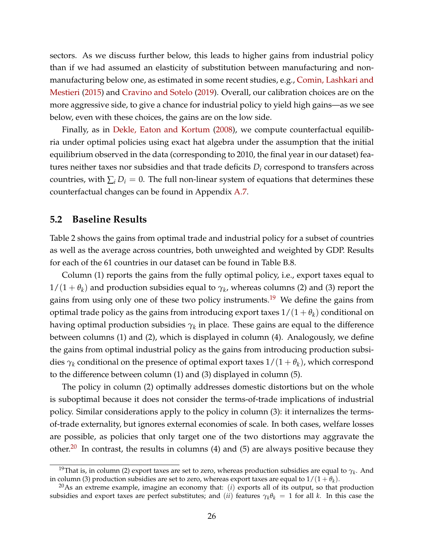sectors. As we discuss further below, this leads to higher gains from industrial policy than if we had assumed an elasticity of substitution between manufacturing and nonmanufacturing below one, as estimated in some recent studies, e.g., [Comin, Lashkari and](#page-40-10) [Mestieri](#page-40-10) [\(2015\)](#page-40-10) and [Cravino and Sotelo](#page-40-11) [\(2019\)](#page-40-11). Overall, our calibration choices are on the more aggressive side, to give a chance for industrial policy to yield high gains—as we see below, even with these choices, the gains are on the low side.

Finally, as in [Dekle, Eaton and Kortum](#page-40-12) [\(2008\)](#page-40-12), we compute counterfactual equilibria under optimal policies using exact hat algebra under the assumption that the initial equilibrium observed in the data (corresponding to 2010, the final year in our dataset) features neither taxes nor subsidies and that trade deficits *D<sup>i</sup>* correspond to transfers across countries, with  $\sum_i D_i = 0$ . The full non-linear system of equations that determines these counterfactual changes can be found in Appendix [A.7.](#page-48-0)

#### **5.2 Baseline Results**

Table 2 shows the gains from optimal trade and industrial policy for a subset of countries as well as the average across countries, both unweighted and weighted by GDP. Results for each of the 61 countries in our dataset can be found in Table B.8.

Column (1) reports the gains from the fully optimal policy, i.e., export taxes equal to  $1/(1+\theta_k)$  and production subsidies equal to  $\gamma_k$ , whereas columns (2) and (3) report the gains from using only one of these two policy instruments.<sup>[19](#page-27-0)</sup> We define the gains from optimal trade policy as the gains from introducing export taxes  $1/(1 + \theta_k)$  conditional on having optimal production subsidies *γ<sup>k</sup>* in place. These gains are equal to the difference between columns (1) and (2), which is displayed in column (4). Analogously, we define the gains from optimal industrial policy as the gains from introducing production subsidies  $\gamma_k$  conditional on the presence of optimal export taxes  $1/(1 + \theta_k)$ , which correspond to the difference between column (1) and (3) displayed in column (5).

The policy in column (2) optimally addresses domestic distortions but on the whole is suboptimal because it does not consider the terms-of-trade implications of industrial policy. Similar considerations apply to the policy in column (3): it internalizes the termsof-trade externality, but ignores external economies of scale. In both cases, welfare losses are possible, as policies that only target one of the two distortions may aggravate the other.<sup>[20](#page-27-1)</sup> In contrast, the results in columns (4) and (5) are always positive because they

<span id="page-27-0"></span><sup>&</sup>lt;sup>19</sup>That is, in column (2) export taxes are set to zero, whereas production subsidies are equal to  $γ_k$ . And in column (3) production subsidies are set to zero, whereas export taxes are equal to  $1/(1+\theta_k).$ 

<span id="page-27-1"></span><sup>20</sup>As an extreme example, imagine an economy that: (*i*) exports all of its output, so that production subsidies and export taxes are perfect substitutes; and (*ii*) features  $\gamma_k \theta_k = 1$  for all *k*. In this case the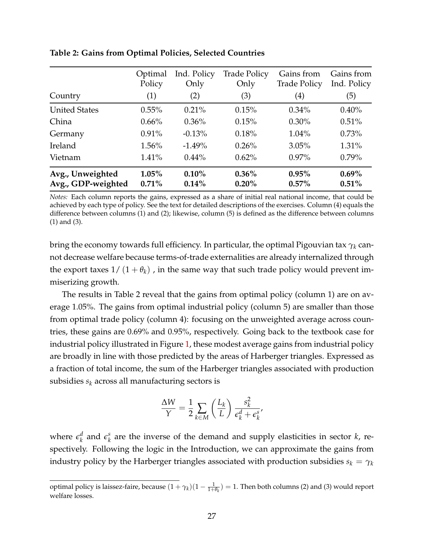|                                        | Optimal<br>Policy | Ind. Policy<br>Only | <b>Trade Policy</b><br>Only | Gains from<br><b>Trade Policy</b> | Gains from<br>Ind. Policy |
|----------------------------------------|-------------------|---------------------|-----------------------------|-----------------------------------|---------------------------|
| Country                                | (1)               | (2)                 | (3)                         | $\left( 4\right)$                 | (5)                       |
| <b>United States</b>                   | $0.55\%$          | 0.21%               | 0.15%                       | $0.34\%$                          | 0.40%                     |
| China                                  | $0.66\%$          | $0.36\%$            | 0.15%                       | $0.30\%$                          | 0.51%                     |
| Germany                                | 0.91%             | $-0.13%$            | 0.18%                       | 1.04%                             | 0.73%                     |
| Ireland                                | 1.56%             | $-1.49%$            | $0.26\%$                    | 3.05%                             | 1.31%                     |
| Vietnam                                | 1.41%             | $0.44\%$            | $0.62\%$                    | $0.97\%$                          | $0.79\%$                  |
| Avg., Unweighted<br>Avg., GDP-weighted | $1.05\%$<br>0.71% | 0.10%<br>0.14%      | $0.36\%$<br>$0.20\%$        | 0.95%<br>$0.57\%$                 | $0.69\%$<br>0.51%         |

#### **Table 2: Gains from Optimal Policies, Selected Countries**

*Notes:* Each column reports the gains, expressed as a share of initial real national income, that could be achieved by each type of policy. See the text for detailed descriptions of the exercises. Column (4) equals the difference between columns (1) and (2); likewise, column (5) is defined as the difference between columns (1) and (3).

bring the economy towards full efficiency. In particular, the optimal Pigouvian tax *γ<sup>k</sup>* cannot decrease welfare because terms-of-trade externalities are already internalized through the export taxes  $1/(1+\theta_k)$ , in the same way that such trade policy would prevent immiserizing growth.

The results in Table 2 reveal that the gains from optimal policy (column 1) are on average 1.05%. The gains from optimal industrial policy (column 5) are smaller than those from optimal trade policy (column 4): focusing on the unweighted average across countries, these gains are 0.69% and 0.95%, respectively. Going back to the textbook case for industrial policy illustrated in Figure [1,](#page-3-0) these modest average gains from industrial policy are broadly in line with those predicted by the areas of Harberger triangles. Expressed as a fraction of total income, the sum of the Harberger triangles associated with production subsidies  $s_k$  across all manufacturing sectors is

$$
\frac{\Delta W}{Y} = \frac{1}{2} \sum_{k \in M} \left(\frac{L_k}{L}\right) \frac{s_k^2}{\epsilon_k^d + \epsilon_k^{s'}}
$$

where  $\epsilon_k^d$  $\epsilon_k^d$  and  $\epsilon_k^s$ *k* are the inverse of the demand and supply elasticities in sector *k*, respectively. Following the logic in the Introduction, we can approximate the gains from industry policy by the Harberger triangles associated with production subsidies  $s_k = \gamma_k$ 

optimal policy is laissez-faire, because  $(1 + \gamma_k)(1 - \frac{1}{1 + \theta_k}) = 1$ . Then both columns (2) and (3) would report welfare losses.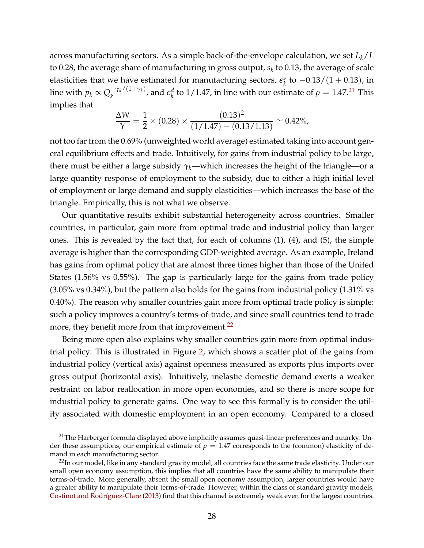across manufacturing sectors. As a simple back-of-the-envelope calculation, we set *Lk*/*L* to 0.28, the average share of manufacturing in gross output, *s<sup>k</sup>* to 0.13, the average of scale elasticities that we have estimated for manufacturing sectors,  $\epsilon_k^s$  $\frac{s}{k}$  to −0.13/(1 + 0.13), in line with  $p_k \propto Q_k^{-\gamma_k/(1+\gamma_k)}$  $\int_{k}^{-\gamma_k/(1+\gamma_k)}$ , and  $\epsilon_k^d$  $k \atop k$  to 1/1.47, in line with our estimate of  $ρ = 1.47<sup>21</sup>$  $ρ = 1.47<sup>21</sup>$  $ρ = 1.47<sup>21</sup>$  This implies that

$$
\frac{\Delta W}{Y} = \frac{1}{2} \times (0.28) \times \frac{(0.13)^2}{(1/1.47) - (0.13/1.13)} \simeq 0.42\%,
$$

not too far from the 0.69% (unweighted world average) estimated taking into account general equilibrium effects and trade. Intuitively, for gains from industrial policy to be large, there must be either a large subsidy  $\gamma_k$ —which increases the height of the triangle—or a large quantity response of employment to the subsidy, due to either a high initial level of employment or large demand and supply elasticities—which increases the base of the triangle. Empirically, this is not what we observe.

Our quantitative results exhibit substantial heterogeneity across countries. Smaller countries, in particular, gain more from optimal trade and industrial policy than larger ones. This is revealed by the fact that, for each of columns (1), (4), and (5), the simple average is higher than the corresponding GDP-weighted average. As an example, Ireland has gains from optimal policy that are almost three times higher than those of the United States (1.56% vs 0.55%). The gap is particularly large for the gains from trade policy (3.05% vs 0.34%), but the pattern also holds for the gains from industrial policy (1.31% vs 0.40%). The reason why smaller countries gain more from optimal trade policy is simple: such a policy improves a country's terms-of-trade, and since small countries tend to trade more, they benefit more from that improvement. $^{22}$  $^{22}$  $^{22}$ 

Being more open also explains why smaller countries gain more from optimal industrial policy. This is illustrated in Figure [2,](#page-30-1) which shows a scatter plot of the gains from industrial policy (vertical axis) against openness measured as exports plus imports over gross output (horizontal axis). Intuitively, inelastic domestic demand exerts a weaker restraint on labor reallocation in more open economies, and so there is more scope for industrial policy to generate gains. One way to see this formally is to consider the utility associated with domestic employment in an open economy. Compared to a closed

<span id="page-29-0"></span> $21$ The Harberger formula displayed above implicitly assumes quasi-linear preferences and autarky. Under these assumptions, our empirical estimate of *ρ* = 1.47 corresponds to the (common) elasticity of demand in each manufacturing sector.

<span id="page-29-1"></span> $22$ In our model, like in any standard gravity model, all countries face the same trade elasticity. Under our small open economy assumption, this implies that all countries have the same ability to manipulate their terms-of-trade. More generally, absent the small open economy assumption, larger countries would have a greater ability to manipulate their terms-of-trade. However, within the class of standard gravity models, [Costinot and Rodríguez-Clare](#page-40-3) [\(2013\)](#page-40-3) find that this channel is extremely weak even for the largest countries.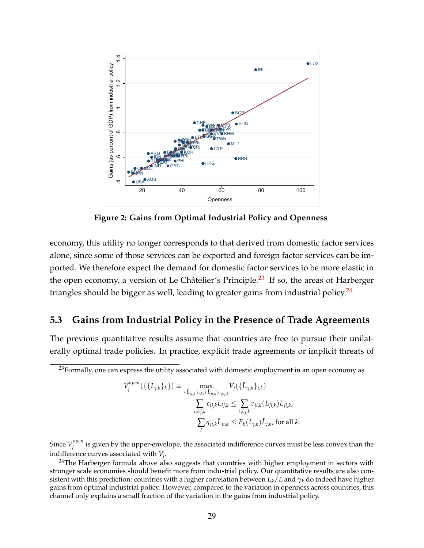<span id="page-30-1"></span>

**Figure 2: Gains from Optimal Industrial Policy and Openness**

economy, this utility no longer corresponds to that derived from domestic factor services alone, since some of those services can be exported and foreign factor services can be imported. We therefore expect the demand for domestic factor services to be more elastic in the open economy, a version of Le Châtelier's Principle.<sup>[23](#page-30-2)</sup> If so, the areas of Harberger triangles should be bigger as well, leading to greater gains from industrial policy. $^{24}$  $^{24}$  $^{24}$ 

#### <span id="page-30-0"></span>**5.3 Gains from Industrial Policy in the Presence of Trade Agreements**

The previous quantitative results assume that countries are free to pursue their unilaterally optimal trade policies. In practice, explicit trade agreements or implicit threats of

$$
V_j^{open}(\{\{L_{j,k}\}_k\}) \equiv \max_{\{L_{ij,k}\}_{i,k},\{L_{ji,k}\}_{i\neq j,k}} V_j(\{\tilde{L}_{ij,k}\}_{i,k})
$$

$$
\sum_{i \neq j,k} c_{ij,k} \tilde{L}_{ij,k} \leq \sum_{i \neq j,k} c_{ji,k} (\tilde{L}_{ji,k}) \tilde{L}_{ji,k},
$$

$$
\sum_i \eta_{ji,k} \tilde{L}_{ji,k} \leq E_k(L_{j,k}) \tilde{L}_{j,k}, \text{ for all } k.
$$

Since  $V_i^{open}$  $j$ <sup>*ppen*</sup> is given by the upper-envelope, the associated indifference curves must be less convex than the indifference curves associated with *V<sup>j</sup>* .

<span id="page-30-2"></span><sup>&</sup>lt;sup>23</sup>Formally, one can express the utility associated with domestic employment in an open economy as

<span id="page-30-3"></span> $24$ The Harberger formula above also suggests that countries with higher employment in sectors with stronger scale economies should benefit more from industrial policy. Our quantitative results are also consistent with this prediction: countries with a higher correlation between  $L_k/L$  and  $\gamma_k$  do indeed have higher gains from optimal industrial policy. However, compared to the variation in openness across countries, this channel only explains a small fraction of the variation in the gains from industrial policy.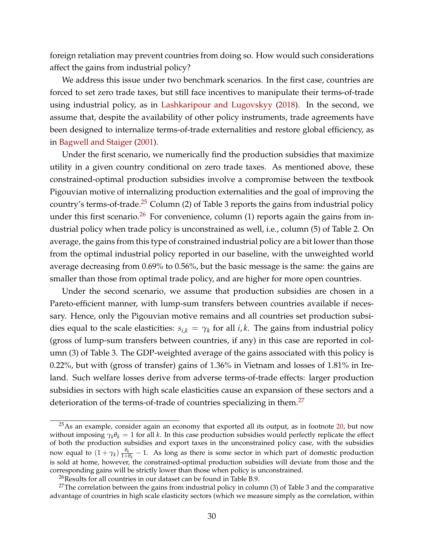foreign retaliation may prevent countries from doing so. How would such considerations affect the gains from industrial policy?

We address this issue under two benchmark scenarios. In the first case, countries are forced to set zero trade taxes, but still face incentives to manipulate their terms-of-trade using industrial policy, as in [Lashkaripour and Lugovskyy](#page-41-6) [\(2018\)](#page-41-6). In the second, we assume that, despite the availability of other policy instruments, trade agreements have been designed to internalize terms-of-trade externalities and restore global efficiency, as in [Bagwell and Staiger](#page-39-12) [\(2001\)](#page-39-12).

Under the first scenario, we numerically find the production subsidies that maximize utility in a given country conditional on zero trade taxes. As mentioned above, these constrained-optimal production subsidies involve a compromise between the textbook Pigouvian motive of internalizing production externalities and the goal of improving the country's terms-of-trade. $25$  Column (2) of Table 3 reports the gains from industrial policy under this first scenario.<sup>[26](#page-31-1)</sup> For convenience, column  $(1)$  reports again the gains from industrial policy when trade policy is unconstrained as well, i.e., column (5) of Table 2. On average, the gains from this type of constrained industrial policy are a bit lower than those from the optimal industrial policy reported in our baseline, with the unweighted world average decreasing from 0.69% to 0.56%, but the basic message is the same: the gains are smaller than those from optimal trade policy, and are higher for more open countries.

Under the second scenario, we assume that production subsidies are chosen in a Pareto-efficient manner, with lump-sum transfers between countries available if necessary. Hence, only the Pigouvian motive remains and all countries set production subsidies equal to the scale elasticities:  $s_{i,k} = \gamma_k$  for all *i*, *k*. The gains from industrial policy (gross of lump-sum transfers between countries, if any) in this case are reported in column (3) of Table 3. The GDP-weighted average of the gains associated with this policy is 0.22%, but with (gross of transfer) gains of 1.36% in Vietnam and losses of 1.81% in Ireland. Such welfare losses derive from adverse terms-of-trade effects: larger production subsidies in sectors with high scale elasticities cause an expansion of these sectors and a deterioration of the terms-of-trade of countries specializing in them.<sup>[27](#page-31-2)</sup>

<span id="page-31-0"></span> $^{25}$ As an example, consider again an economy that exported all its output, as in footnote  $20$ , but now without imposing  $\gamma_k \theta_k = 1$  for all *k*. In this case production subsidies would perfectly replicate the effect of both the production subsidies and export taxes in the unconstrained policy case, with the subsidies now equal to  $(1 + \gamma_k) \frac{\theta_k}{1 + \theta_k} - 1$ . As long as there is some sector in which part of domestic production is sold at home, however, the constrained-optimal production subsidies will deviate from those and the corresponding gains will be strictly lower than those when policy is unconstrained.

<span id="page-31-2"></span><span id="page-31-1"></span><sup>&</sup>lt;sup>26</sup>Results for all countries in our dataset can be found in Table B.9.

 $27$ The correlation between the gains from industrial policy in column (3) of Table 3 and the comparative advantage of countries in high scale elasticity sectors (which we measure simply as the correlation, within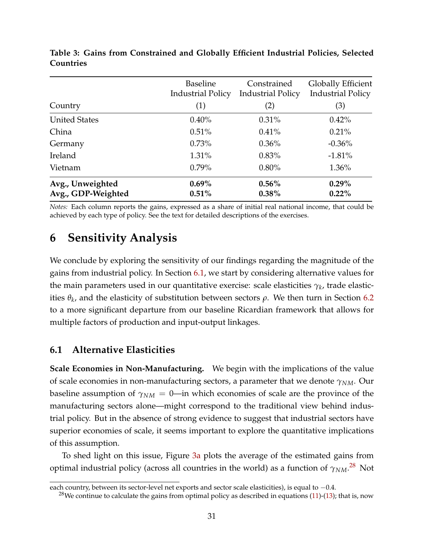|                                        | <b>Baseline</b><br><b>Industrial Policy</b> | Constrained<br><b>Industrial Policy</b> | <b>Globally Efficient</b><br><b>Industrial Policy</b> |
|----------------------------------------|---------------------------------------------|-----------------------------------------|-------------------------------------------------------|
| Country                                | (1)                                         | (2)                                     | (3)                                                   |
| <b>United States</b>                   | 0.40%                                       | 0.31%                                   | 0.42%                                                 |
| China                                  | 0.51%                                       | 0.41%                                   | 0.21%                                                 |
| Germany                                | 0.73%                                       | $0.36\%$                                | $-0.36\%$                                             |
| Ireland                                | 1.31%                                       | 0.83%                                   | $-1.81%$                                              |
| Vietnam                                | $0.79\%$                                    | $0.80\%$                                | $1.36\%$                                              |
| Avg., Unweighted<br>Avg., GDP-Weighted | $0.69\%$<br>0.51%                           | $0.56\%$<br>$0.38\%$                    | $0.29\%$<br>$0.22\%$                                  |

**Table 3: Gains from Constrained and Globally Efficient Industrial Policies, Selected Countries**

*Notes:* Each column reports the gains, expressed as a share of initial real national income, that could be achieved by each type of policy. See the text for detailed descriptions of the exercises.

### <span id="page-32-0"></span>**6 Sensitivity Analysis**

We conclude by exploring the sensitivity of our findings regarding the magnitude of the gains from industrial policy. In Section [6.1,](#page-32-1) we start by considering alternative values for the main parameters used in our quantitative exercise: scale elasticities *γ<sup>k</sup>* , trade elasticities *θ<sup>k</sup>* , and the elasticity of substitution between sectors *ρ*. We then turn in Section [6.2](#page-35-0) to a more significant departure from our baseline Ricardian framework that allows for multiple factors of production and input-output linkages.

### <span id="page-32-1"></span>**6.1 Alternative Elasticities**

**Scale Economies in Non-Manufacturing.** We begin with the implications of the value of scale economies in non-manufacturing sectors, a parameter that we denote *γNM*. Our baseline assumption of  $\gamma_{NM} = 0$ —in which economies of scale are the province of the manufacturing sectors alone—might correspond to the traditional view behind industrial policy. But in the absence of strong evidence to suggest that industrial sectors have superior economies of scale, it seems important to explore the quantitative implications of this assumption.

To shed light on this issue, Figure [3a](#page-33-0) plots the average of the estimated gains from optimal industrial policy (across all countries in the world) as a function of *γNM*. [28](#page-32-2) Not

each country, between its sector-level net exports and sector scale elasticities), is equal to −0.4.

<span id="page-32-2"></span><sup>&</sup>lt;sup>28</sup>We continue to calculate the gains from optimal policy as described in equations [\(11\)](#page-26-1)-[\(13\)](#page-26-2); that is, now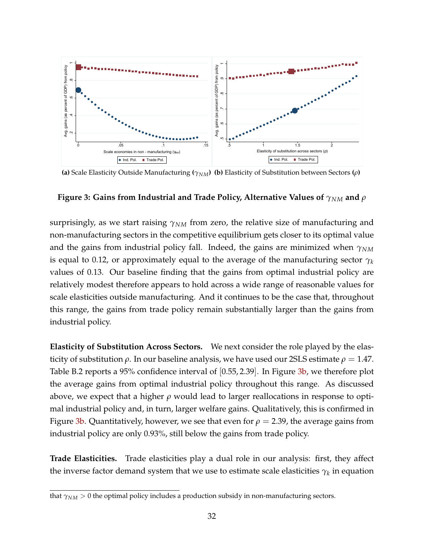<span id="page-33-0"></span>

<span id="page-33-1"></span>**(a)** Scale Elasticity Outside Manufacturing  $(\gamma_{NM})$  **(b)** Elasticity of Substitution between Sectors  $(\rho)$ 

#### **Figure 3: Gains from Industrial and Trade Policy, Alternative Values of**  $\gamma_{NM}$  and  $\rho$

surprisingly, as we start raising *γNM* from zero, the relative size of manufacturing and non-manufacturing sectors in the competitive equilibrium gets closer to its optimal value and the gains from industrial policy fall. Indeed, the gains are minimized when *γNM* is equal to 0.12, or approximately equal to the average of the manufacturing sector *γ<sup>k</sup>* values of 0.13. Our baseline finding that the gains from optimal industrial policy are relatively modest therefore appears to hold across a wide range of reasonable values for scale elasticities outside manufacturing. And it continues to be the case that, throughout this range, the gains from trade policy remain substantially larger than the gains from industrial policy.

**Elasticity of Substitution Across Sectors.** We next consider the role played by the elasticity of substitution  $ρ$ . In our baseline analysis, we have used our 2SLS estimate  $ρ = 1.47$ . Table B.2 reports a 95% confidence interval of [0.55, 2.39]. In Figure [3b,](#page-33-1) we therefore plot the average gains from optimal industrial policy throughout this range. As discussed above, we expect that a higher *ρ* would lead to larger reallocations in response to optimal industrial policy and, in turn, larger welfare gains. Qualitatively, this is confirmed in Figure [3b.](#page-33-1) Quantitatively, however, we see that even for  $\rho = 2.39$ , the average gains from industrial policy are only 0.93%, still below the gains from trade policy.

**Trade Elasticities.** Trade elasticities play a dual role in our analysis: first, they affect the inverse factor demand system that we use to estimate scale elasticities  $\gamma_k$  in equation

that  $\gamma_{NM} > 0$  the optimal policy includes a production subsidy in non-manufacturing sectors.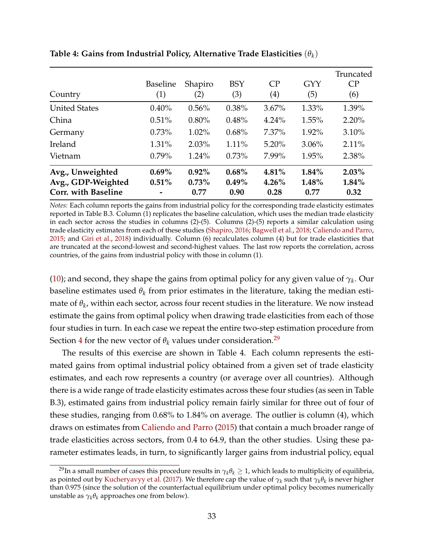| Country                                                       | <b>Baseline</b><br>(1) | Shapiro<br>$\left( 2\right)$ | <b>BSY</b><br>(3)      | CP<br>$\left( 4\right)$   | <b>GYY</b><br>(5)         | Truncated<br>CP<br>(6)    |
|---------------------------------------------------------------|------------------------|------------------------------|------------------------|---------------------------|---------------------------|---------------------------|
| <b>United States</b>                                          | 0.40%                  | $0.56\%$                     | 0.38%                  | 3.67%                     | 1.33%                     | 1.39%                     |
| China                                                         | 0.51%                  | 0.80%                        | 0.48%                  | 4.24%                     | 1.55%                     | 2.20%                     |
| Germany                                                       | 0.73%                  | $1.02\%$                     | 0.68%                  | $7.37\%$                  | 1.92%                     | 3.10%                     |
| Ireland                                                       | 1.31%                  | $2.03\%$                     | 1.11%                  | 5.20%                     | 3.06%                     | 2.11%                     |
| Vietnam                                                       | $0.79\%$               | 1.24%                        | 0.73%                  | 7.99%                     | 1.95%                     | 2.38%                     |
| Avg., Unweighted<br>Avg., GDP-Weighted<br>Corr. with Baseline | $0.69\%$<br>0.51%      | $0.92\%$<br>$0.73\%$<br>0.77 | 0.68%<br>0.49%<br>0.90 | 4.81%<br>$4.26\%$<br>0.28 | $1.84\%$<br>1.48%<br>0.77 | $2.03\%$<br>1.84%<br>0.32 |

**Table 4: Gains from Industrial Policy, Alternative Trade Elasticities** (*θk*)

*Notes:* Each column reports the gains from industrial policy for the corresponding trade elasticity estimates reported in Table B.3. Column (1) replicates the baseline calculation, which uses the median trade elasticity in each sector across the studies in columns (2)-(5). Columns (2)-(5) reports a similar calculation using trade elasticity estimates from each of these studies [\(Shapiro,](#page-42-4) [2016;](#page-42-4) [Bagwell et al.,](#page-39-9) [2018;](#page-39-9) [Caliendo and Parro,](#page-39-10) [2015;](#page-39-10) and [Giri et al.,](#page-40-9) [2018\)](#page-40-9) individually. Column (6) recalculates column (4) but for trade elasticities that are truncated at the second-lowest and second-highest values. The last row reports the correlation, across countries, of the gains from industrial policy with those in column (1).

[\(10\)](#page-19-1); and second, they shape the gains from optimal policy for any given value of  $\gamma_k$ . Our baseline estimates used  $\theta_k$  from prior estimates in the literature, taking the median estimate of  $\theta_k$ , within each sector, across four recent studies in the literature. We now instead estimate the gains from optimal policy when drawing trade elasticities from each of those four studies in turn. In each case we repeat the entire two-step estimation procedure from Section [4](#page-17-0) for the new vector of  $\theta_k$  values under consideration.<sup>[29](#page-34-0)</sup>

The results of this exercise are shown in Table 4. Each column represents the estimated gains from optimal industrial policy obtained from a given set of trade elasticity estimates, and each row represents a country (or average over all countries). Although there is a wide range of trade elasticity estimates across these four studies (as seen in Table B.3), estimated gains from industrial policy remain fairly similar for three out of four of these studies, ranging from 0.68% to 1.84% on average. The outlier is column (4), which draws on estimates from [Caliendo and Parro](#page-39-10) [\(2015\)](#page-39-10) that contain a much broader range of trade elasticities across sectors, from 0.4 to 64.9, than the other studies. Using these parameter estimates leads, in turn, to significantly larger gains from industrial policy, equal

<span id="page-34-0"></span><sup>&</sup>lt;sup>29</sup>In a small number of cases this procedure results in  $\gamma_k \theta_k \geq 1$ , which leads to multiplicity of equilibria, as pointed out by [Kucheryavyy et al.](#page-41-0) [\(2017\)](#page-41-0). We therefore cap the value of  $\gamma_k$  such that  $\gamma_k\theta_k$  is never higher than 0.975 (since the solution of the counterfactual equilibrium under optimal policy becomes numerically unstable as  $\gamma_k \theta_k$  approaches one from below).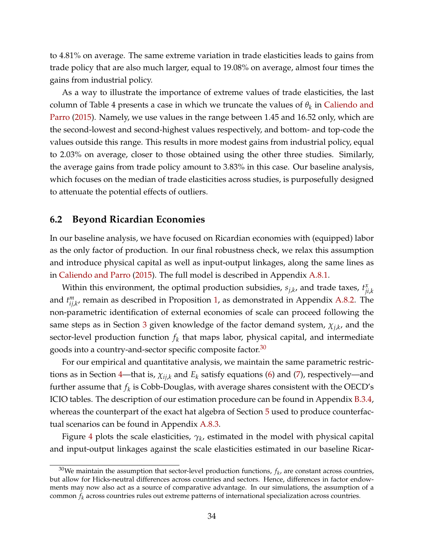to 4.81% on average. The same extreme variation in trade elasticities leads to gains from trade policy that are also much larger, equal to 19.08% on average, almost four times the gains from industrial policy.

As a way to illustrate the importance of extreme values of trade elasticities, the last column of Table 4 presents a case in which we truncate the values of *θ<sup>k</sup>* in [Caliendo and](#page-39-10) [Parro](#page-39-10) [\(2015\)](#page-39-10). Namely, we use values in the range between 1.45 and 16.52 only, which are the second-lowest and second-highest values respectively, and bottom- and top-code the values outside this range. This results in more modest gains from industrial policy, equal to 2.03% on average, closer to those obtained using the other three studies. Similarly, the average gains from trade policy amount to 3.83% in this case. Our baseline analysis, which focuses on the median of trade elasticities across studies, is purposefully designed to attenuate the potential effects of outliers.

#### <span id="page-35-0"></span>**6.2 Beyond Ricardian Economies**

In our baseline analysis, we have focused on Ricardian economies with (equipped) labor as the only factor of production. In our final robustness check, we relax this assumption and introduce physical capital as well as input-output linkages, along the same lines as in [Caliendo and Parro](#page-39-10) [\(2015\)](#page-39-10). The full model is described in Appendix [A.8.1.](#page-51-0)

Within this environment, the optimal production subsidies,  $s_{j,k}$ , and trade taxes,  $t_{j}^x$ *ji*,*k* and *t m ij*,*k* , remain as described in Proposition [1,](#page-12-0) as demonstrated in Appendix [A.8.2.](#page-52-0) The non-parametric identification of external economies of scale can proceed following the same steps as in Section [3](#page-13-0) given knowledge of the factor demand system, *χj*,*<sup>k</sup>* , and the sector-level production function *f<sup>k</sup>* that maps labor, physical capital, and intermediate goods into a country-and-sector specific composite factor.<sup>[30](#page-35-1)</sup>

For our empirical and quantitative analysis, we maintain the same parametric restric-tions as in Section [4—](#page-17-0)that is,  $\chi_{ijk}$  and  $E_k$  satisfy equations [\(6\)](#page-18-0) and [\(7\)](#page-18-1), respectively—and further assume that *f<sup>k</sup>* is Cobb-Douglas, with average shares consistent with the OECD's ICIO tables. The description of our estimation procedure can be found in Appendix [B.3.4,](#page-63-0) whereas the counterpart of the exact hat algebra of Section [5](#page-26-0) used to produce counterfactual scenarios can be found in Appendix [A.8.3.](#page-54-0)

Figure [4](#page-36-0) plots the scale elasticities,  $\gamma_k$ , estimated in the model with physical capital and input-output linkages against the scale elasticities estimated in our baseline Ricar-

<span id="page-35-1"></span> $30$ We maintain the assumption that sector-level production functions,  $f_k$ , are constant across countries, but allow for Hicks-neutral differences across countries and sectors. Hence, differences in factor endowments may now also act as a source of comparative advantage. In our simulations, the assumption of a common  $f_k$  across countries rules out extreme patterns of international specialization across countries.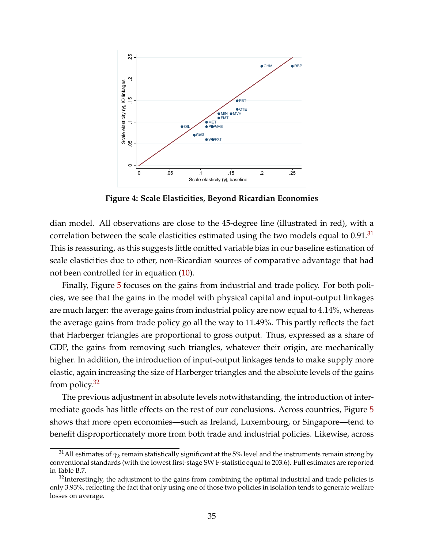<span id="page-36-0"></span>

**Figure 4: Scale Elasticities, Beyond Ricardian Economies**

dian model. All observations are close to the 45-degree line (illustrated in red), with a correlation between the scale elasticities estimated using the two models equal to  $0.91$ .<sup>[31](#page-36-1)</sup> This is reassuring, as this suggests little omitted variable bias in our baseline estimation of scale elasticities due to other, non-Ricardian sources of comparative advantage that had not been controlled for in equation [\(10\)](#page-19-1).

Finally, Figure [5](#page-37-0) focuses on the gains from industrial and trade policy. For both policies, we see that the gains in the model with physical capital and input-output linkages are much larger: the average gains from industrial policy are now equal to 4.14%, whereas the average gains from trade policy go all the way to 11.49%. This partly reflects the fact that Harberger triangles are proportional to gross output. Thus, expressed as a share of GDP, the gains from removing such triangles, whatever their origin, are mechanically higher. In addition, the introduction of input-output linkages tends to make supply more elastic, again increasing the size of Harberger triangles and the absolute levels of the gains from policy. $32$ 

The previous adjustment in absolute levels notwithstanding, the introduction of intermediate goods has little effects on the rest of our conclusions. Across countries, Figure [5](#page-37-0) shows that more open economies—such as Ireland, Luxembourg, or Singapore—tend to benefit disproportionately more from both trade and industrial policies. Likewise, across

<span id="page-36-1"></span> $^{31}$ All estimates of  $\gamma_k$  remain statistically significant at the 5% level and the instruments remain strong by conventional standards (with the lowest first-stage SW F-statistic equal to 203.6). Full estimates are reported in Table B.7.

<span id="page-36-2"></span> $32$ Interestingly, the adjustment to the gains from combining the optimal industrial and trade policies is only 3.93%, reflecting the fact that only using one of those two policies in isolation tends to generate welfare losses on average.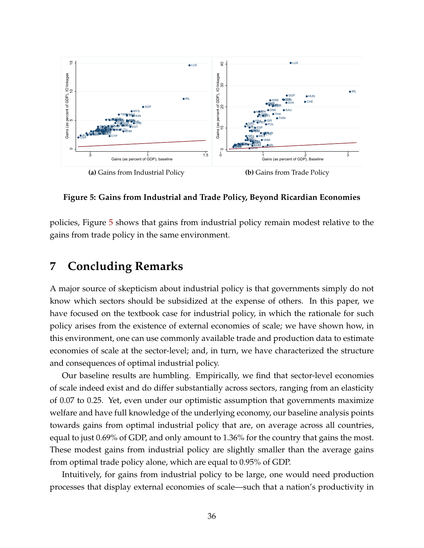<span id="page-37-0"></span>

**Figure 5: Gains from Industrial and Trade Policy, Beyond Ricardian Economies**

policies, Figure [5](#page-37-0) shows that gains from industrial policy remain modest relative to the gains from trade policy in the same environment.

### **7 Concluding Remarks**

A major source of skepticism about industrial policy is that governments simply do not know which sectors should be subsidized at the expense of others. In this paper, we have focused on the textbook case for industrial policy, in which the rationale for such policy arises from the existence of external economies of scale; we have shown how, in this environment, one can use commonly available trade and production data to estimate economies of scale at the sector-level; and, in turn, we have characterized the structure and consequences of optimal industrial policy.

Our baseline results are humbling. Empirically, we find that sector-level economies of scale indeed exist and do differ substantially across sectors, ranging from an elasticity of 0.07 to 0.25. Yet, even under our optimistic assumption that governments maximize welfare and have full knowledge of the underlying economy, our baseline analysis points towards gains from optimal industrial policy that are, on average across all countries, equal to just 0.69% of GDP, and only amount to 1.36% for the country that gains the most. These modest gains from industrial policy are slightly smaller than the average gains from optimal trade policy alone, which are equal to 0.95% of GDP.

Intuitively, for gains from industrial policy to be large, one would need production processes that display external economies of scale—such that a nation's productivity in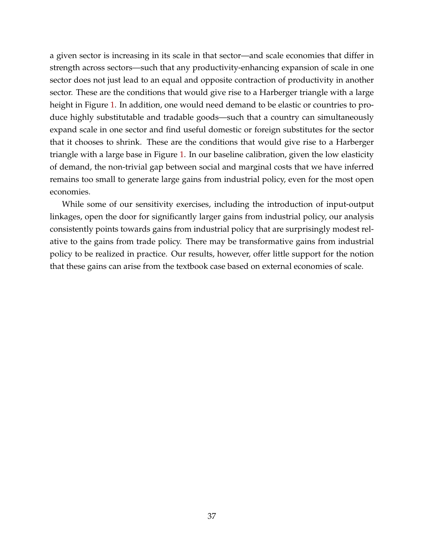a given sector is increasing in its scale in that sector—and scale economies that differ in strength across sectors—such that any productivity-enhancing expansion of scale in one sector does not just lead to an equal and opposite contraction of productivity in another sector. These are the conditions that would give rise to a Harberger triangle with a large height in Figure [1.](#page-3-0) In addition, one would need demand to be elastic or countries to produce highly substitutable and tradable goods—such that a country can simultaneously expand scale in one sector and find useful domestic or foreign substitutes for the sector that it chooses to shrink. These are the conditions that would give rise to a Harberger triangle with a large base in Figure [1.](#page-3-0) In our baseline calibration, given the low elasticity of demand, the non-trivial gap between social and marginal costs that we have inferred remains too small to generate large gains from industrial policy, even for the most open economies.

While some of our sensitivity exercises, including the introduction of input-output linkages, open the door for significantly larger gains from industrial policy, our analysis consistently points towards gains from industrial policy that are surprisingly modest relative to the gains from trade policy. There may be transformative gains from industrial policy to be realized in practice. Our results, however, offer little support for the notion that these gains can arise from the textbook case based on external economies of scale.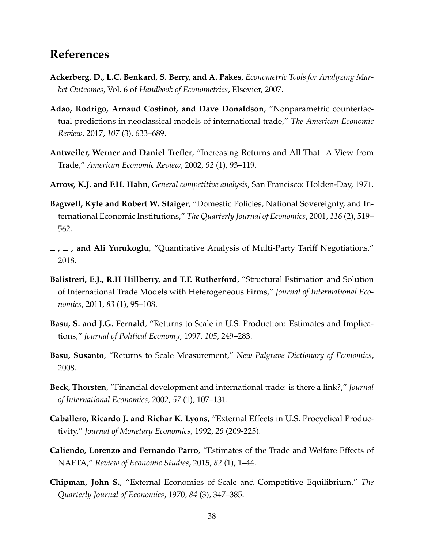### **References**

- <span id="page-39-2"></span>**Ackerberg, D., L.C. Benkard, S. Berry, and A. Pakes**, *Econometric Tools for Analyzing Market Outcomes*, Vol. 6 of *Handbook of Econometrics*, Elsevier, 2007.
- <span id="page-39-6"></span>**Adao, Rodrigo, Arnaud Costinot, and Dave Donaldson**, "Nonparametric counterfactual predictions in neoclassical models of international trade," *The American Economic Review*, 2017, *107* (3), 633–689.
- <span id="page-39-7"></span>**Antweiler, Werner and Daniel Trefler**, "Increasing Returns and All That: A View from Trade," *American Economic Review*, 2002, *92* (1), 93–119.
- <span id="page-39-8"></span>**Arrow, K.J. and F.H. Hahn**, *General competitive analysis*, San Francisco: Holden-Day, 1971.
- <span id="page-39-12"></span>**Bagwell, Kyle and Robert W. Staiger**, "Domestic Policies, National Sovereignty, and International Economic Institutions," *The Quarterly Journal of Economics*, 2001, *116* (2), 519– 562.
- <span id="page-39-9"></span>**, , and Ali Yurukoglu**, "Quantitative Analysis of Multi-Party Tariff Negotiations," 2018.
- <span id="page-39-1"></span>**Balistreri, E.J., R.H Hillberry, and T.F. Rutherford**, "Structural Estimation and Solution of International Trade Models with Heterogeneous Firms," *Journal of Intermational Economics*, 2011, *83* (1), 95–108.
- <span id="page-39-5"></span>**Basu, S. and J.G. Fernald**, "Returns to Scale in U.S. Production: Estimates and Implications," *Journal of Political Economy*, 1997, *105*, 249–283.
- <span id="page-39-3"></span>**Basu, Susanto**, "Returns to Scale Measurement," *New Palgrave Dictionary of Economics*, 2008.
- <span id="page-39-11"></span>**Beck, Thorsten**, "Financial development and international trade: is there a link?," *Journal of International Economics*, 2002, *57* (1), 107–131.
- <span id="page-39-4"></span>**Caballero, Ricardo J. and Richar K. Lyons**, "External Effects in U.S. Procyclical Productivity," *Journal of Monetary Economics*, 1992, *29* (209-225).
- <span id="page-39-10"></span>**Caliendo, Lorenzo and Fernando Parro**, "Estimates of the Trade and Welfare Effects of NAFTA," *Review of Economic Studies*, 2015, *82* (1), 1–44.
- <span id="page-39-0"></span>**Chipman, John S.**, "External Economies of Scale and Competitive Equilibrium," *The Quarterly Journal of Economics*, 1970, *84* (3), 347–385.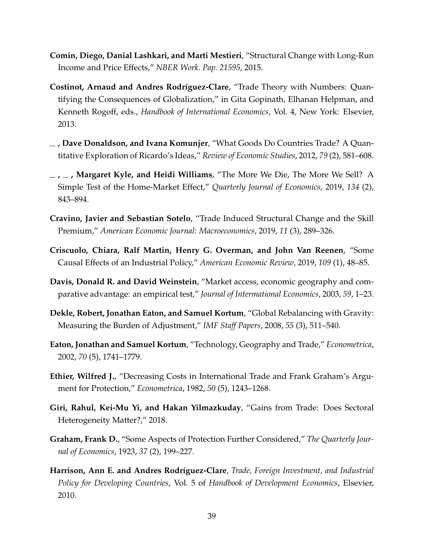- <span id="page-40-10"></span>**Comin, Diego, Danial Lashkari, and Marti Mestieri**, "Structural Change with Long-Run Income and Price Effects," *NBER Work. Pap. 21595*, 2015.
- <span id="page-40-3"></span>**Costinot, Arnaud and Andres Rodríguez-Clare**, "Trade Theory with Numbers: Quantifying the Consequences of Globalization," in Gita Gopinath, Elhanan Helpman, and Kenneth Rogoff, eds., *Handbook of International Economics*, Vol. 4, New York: Elsevier, 2013.
- <span id="page-40-8"></span>**, Dave Donaldson, and Ivana Komunjer**, "What Goods Do Countries Trade? A Quantitative Exploration of Ricardo's Ideas," *Review of Economic Studies*, 2012, *79* (2), 581–608.
- <span id="page-40-7"></span>**, , Margaret Kyle, and Heidi Williams**, "The More We Die, The More We Sell? A Simple Test of the Home-Market Effect," *Quarterly Journal of Economics*, 2019, *134* (2), 843–894.
- <span id="page-40-11"></span>**Cravino, Javier and Sebastian Sotelo**, "Trade Induced Structural Change and the Skill Premium," *American Economic Journal: Macroeconomics*, 2019, *11* (3), 289–326.
- <span id="page-40-5"></span>**Criscuolo, Chiara, Ralf Martin, Henry G. Overman, and John Van Reenen**, "Some Causal Effects of an Industrial Policy," *American Economic Review*, 2019, *109* (1), 48–85.
- <span id="page-40-6"></span>**Davis, Donald R. and David Weinstein**, "Market access, economic geography and comparative advantage: an empirical test," *Journal of Intermational Economics*, 2003, *59*, 1–23.
- <span id="page-40-12"></span>**Dekle, Robert, Jonathan Eaton, and Samuel Kortum**, "Global Rebalancing with Gravity: Measuring the Burden of Adjustment," *IMF Staff Papers*, 2008, *55* (3), 511–540.
- <span id="page-40-2"></span>**Eaton, Jonathan and Samuel Kortum**, "Technology, Geography and Trade," *Econometrica*, 2002, *70* (5), 1741–1779.
- <span id="page-40-1"></span>**Ethier, Wilfred J.**, "Decreasing Costs in International Trade and Frank Graham's Argument for Protection," *Econometrica*, 1982, *50* (5), 1243–1268.
- <span id="page-40-9"></span>**Giri, Rahul, Kei-Mu Yi, and Hakan Yilmazkuday**, "Gains from Trade: Does Sectoral Heterogeneity Matter?," 2018.
- <span id="page-40-0"></span>**Graham, Frank D.**, "Some Aspects of Protection Further Considered," *The Quarterly Journal of Economics*, 1923, *37* (2), 199–227.
- <span id="page-40-4"></span>**Harrison, Ann E. and Andres Rodríguez-Clare**, *Trade, Foreign Investment, and Industrial Policy for Developing Countries*, Vol. 5 of *Handbook of Development Economics*, Elsevier, 2010.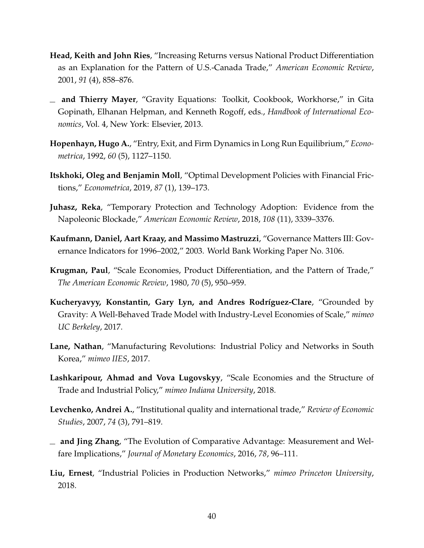- <span id="page-41-8"></span>**Head, Keith and John Ries**, "Increasing Returns versus National Product Differentiation as an Explanation for the Pattern of U.S.-Canada Trade," *American Economic Review*, 2001, *91* (4), 858–876.
- <span id="page-41-7"></span>**and Thierry Mayer**, "Gravity Equations: Toolkit, Cookbook, Workhorse," in Gita Gopinath, Elhanan Helpman, and Kenneth Rogoff, eds., *Handbook of International Economics*, Vol. 4, New York: Elsevier, 2013.
- <span id="page-41-10"></span>**Hopenhayn, Hugo A.**, "Entry, Exit, and Firm Dynamics in Long Run Equilibrium," *Econometrica*, 1992, *60* (5), 1127–1150.
- <span id="page-41-4"></span>**Itskhoki, Oleg and Benjamin Moll**, "Optimal Development Policies with Financial Frictions," *Econometrica*, 2019, *87* (1), 139–173.
- <span id="page-41-2"></span>**Juhasz, Reka**, "Temporary Protection and Technology Adoption: Evidence from the Napoleonic Blockade," *American Economic Review*, 2018, *108* (11), 3339–3376.
- <span id="page-41-12"></span>**Kaufmann, Daniel, Aart Kraay, and Massimo Mastruzzi**, "Governance Matters III: Governance Indicators for 1996–2002," 2003. World Bank Working Paper No. 3106.
- <span id="page-41-1"></span>**Krugman, Paul**, "Scale Economies, Product Differentiation, and the Pattern of Trade," *The American Economic Review*, 1980, *70* (5), 950–959.
- <span id="page-41-0"></span>**Kucheryavyy, Konstantin, Gary Lyn, and Andres Rodríguez-Clare**, "Grounded by Gravity: A Well-Behaved Trade Model with Industry-Level Economies of Scale," *mimeo UC Berkeley*, 2017.
- <span id="page-41-3"></span>**Lane, Nathan**, "Manufacturing Revolutions: Industrial Policy and Networks in South Korea," *mimeo IIES*, 2017.
- <span id="page-41-6"></span>**Lashkaripour, Ahmad and Vova Lugovskyy**, "Scale Economies and the Structure of Trade and Industrial Policy," *mimeo Indiana University*, 2018.
- <span id="page-41-11"></span>**Levchenko, Andrei A.**, "Institutional quality and international trade," *Review of Economic Studies*, 2007, *74* (3), 791–819.
- <span id="page-41-9"></span>**and Jing Zhang**, "The Evolution of Comparative Advantage: Measurement and Welfare Implications," *Journal of Monetary Economics*, 2016, *78*, 96–111.
- <span id="page-41-5"></span>**Liu, Ernest**, "Industrial Policies in Production Networks," *mimeo Princeton University*, 2018.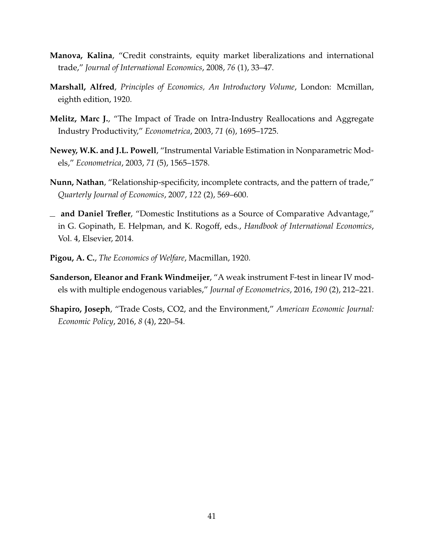- <span id="page-42-8"></span>**Manova, Kalina**, "Credit constraints, equity market liberalizations and international trade," *Journal of International Economics*, 2008, *76* (1), 33–47.
- <span id="page-42-1"></span>**Marshall, Alfred**, *Principles of Economics, An Introductory Volume*, London: Mcmillan, eighth edition, 1920.
- <span id="page-42-2"></span>**Melitz, Marc J.**, "The Impact of Trade on Intra-Industry Reallocations and Aggregate Industry Productivity," *Econometrica*, 2003, *71* (6), 1695–1725.
- <span id="page-42-3"></span>**Newey, W.K. and J.L. Powell**, "Instrumental Variable Estimation in Nonparametric Models," *Econometrica*, 2003, *71* (5), 1565–1578.
- <span id="page-42-7"></span>**Nunn, Nathan**, "Relationship-specificity, incomplete contracts, and the pattern of trade," *Quarterly Journal of Economics*, 2007, *122* (2), 569–600.
- <span id="page-42-6"></span>**and Daniel Trefler**, "Domestic Institutions as a Source of Comparative Advantage," in G. Gopinath, E. Helpman, and K. Rogoff, eds., *Handbook of International Economics*, Vol. 4, Elsevier, 2014.
- <span id="page-42-0"></span>**Pigou, A. C.**, *The Economics of Welfare*, Macmillan, 1920.
- <span id="page-42-5"></span>**Sanderson, Eleanor and Frank Windmeijer**, "A weak instrument F-test in linear IV models with multiple endogenous variables," *Journal of Econometrics*, 2016, *190* (2), 212–221.
- <span id="page-42-4"></span>**Shapiro, Joseph**, "Trade Costs, CO2, and the Environment," *American Economic Journal: Economic Policy*, 2016, *8* (4), 220–54.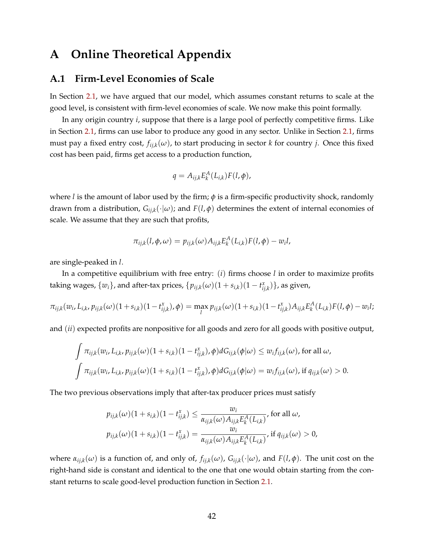### **A Online Theoretical Appendix**

#### <span id="page-43-0"></span>**A.1 Firm-Level Economies of Scale**

In Section [2.1,](#page-7-2) we have argued that our model, which assumes constant returns to scale at the good level, is consistent with firm-level economies of scale. We now make this point formally.

In any origin country *i*, suppose that there is a large pool of perfectly competitive firms. Like in Section [2.1,](#page-7-2) firms can use labor to produce any good in any sector. Unlike in Section [2.1,](#page-7-2) firms must pay a fixed entry cost,  $f_{ij,k}(\omega)$ , to start producing in sector *k* for country *j*. Once this fixed cost has been paid, firms get access to a production function,

$$
q = A_{ij,k} E_k^A(L_{i,k}) F(l,\phi),
$$

where *l* is the amount of labor used by the firm; *φ* is a firm-specific productivity shock, randomly drawn from a distribution,  $G_{ijk}(\cdot|\omega)$ ; and  $F(l, \phi)$  determines the extent of internal economies of scale. We assume that they are such that profits,

$$
\pi_{ij,k}(l,\phi,\omega)=p_{ij,k}(\omega)A_{ij,k}E_k^A(L_{i,k})F(l,\phi)-w_i l,
$$

are single-peaked in *l*.

In a competitive equilibrium with free entry: (*i*) firms choose *l* in order to maximize profits taking wages,  $\{w_i\}$ , and after-tax prices,  $\{p_{ij,k}(\omega)(1+s_{i,k})(1-t_{ij,k}^x)\}$ , as given,

$$
\pi_{ij,k}(w_i, L_{i,k}, p_{ij,k}(\omega)(1+s_{i,k})(1-t_{ij,k}^{\alpha}), \phi) = \max_l p_{ij,k}(\omega)(1+s_{i,k})(1-t_{ij,k}^{\alpha})A_{ij,k}E_k^A(L_{i,k})F(l, \phi) - w_i l;
$$

and (*ii*) expected profits are nonpositive for all goods and zero for all goods with positive output,

$$
\int \pi_{ij,k}(w_i, L_{i,k}, p_{ij,k}(\omega)(1 + s_{i,k})(1 - t_{ij,k}^x), \phi) dG_{ij,k}(\phi|\omega) \le w_i f_{ij,k}(\omega), \text{ for all } \omega,
$$
  

$$
\int \pi_{ij,k}(w_i, L_{i,k}, p_{ij,k}(\omega)(1 + s_{i,k})(1 - t_{ij,k}^x), \phi) dG_{ij,k}(\phi|\omega) = w_i f_{ij,k}(\omega), \text{ if } q_{ij,k}(\omega) > 0.
$$

The two previous observations imply that after-tax producer prices must satisfy

$$
p_{ij,k}(\omega)(1+s_{i,k})(1-t_{ij,k}^x) \le \frac{w_i}{\alpha_{ij,k}(\omega)A_{ij,k}E_k^A(L_{i,k})}
$$
, for all  $\omega$ ,  

$$
p_{ij,k}(\omega)(1+s_{i,k})(1-t_{ij,k}^x) = \frac{w_i}{\alpha_{ij,k}(\omega)A_{ij,k}E_k^A(L_{i,k})}
$$
, if  $q_{ij,k}(\omega) > 0$ ,

where  $\alpha_{ijk}(\omega)$  is a function of, and only of,  $f_{ijk}(\omega)$ ,  $G_{ijk}(\cdot|\omega)$ , and  $F(l, \phi)$ . The unit cost on the right-hand side is constant and identical to the one that one would obtain starting from the constant returns to scale good-level production function in Section [2.1.](#page-7-2)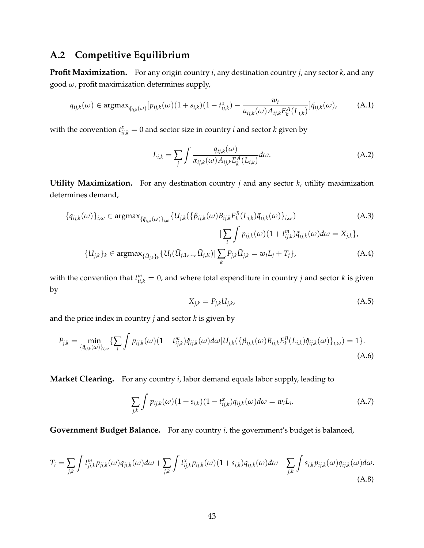### <span id="page-44-0"></span>**A.2 Competitive Equilibrium**

**Profit Maximization.** For any origin country *i*, any destination country *j*, any sector *k*, and any good *ω*, profit maximization determines supply,

<span id="page-44-1"></span>
$$
q_{ij,k}(\omega) \in \operatorname{argmax}_{\tilde{q}_{ij,k}(\omega)} [p_{ij,k}(\omega)(1+s_{i,k})(1-t_{ij,k}^x) - \frac{w_i}{\alpha_{ij,k}(\omega)A_{ij,k}E_k^A(L_{i,k})}] \tilde{q}_{ij,k}(\omega), \tag{A.1}
$$

with the convention  $t_{ii,k}^x = 0$  and sector size in country *i* and sector *k* given by

$$
L_{i,k} = \sum_{j} \int \frac{q_{ij,k}(\omega)}{\alpha_{ij,k}(\omega) A_{ij,k} E_k^A(L_{i,k})} d\omega.
$$
 (A.2)

**Utility Maximization.** For any destination country *j* and any sector *k*, utility maximization determines demand,

$$
\{q_{ij,k}(\omega)\}_{i,\omega} \in \operatorname{argmax}_{\{\tilde{q}_{ij,k}(\omega)\}_{i,\omega}} \{U_{j,k}(\{\beta_{ij,k}(\omega)B_{ij,k}E_{k}^{B}(L_{i,k})\tilde{q}_{ij,k}(\omega)\}_{i,\omega}) \qquad (A.3)
$$
\n
$$
|\sum_{i} \int p_{ij,k}(\omega)(1+t_{ij,k}^{m})\tilde{q}_{ij,k}(\omega)d\omega = X_{j,k}\},\
$$
\n
$$
\{U_{j,k}\}_{k} \in \operatorname{argmax}_{\{\tilde{U}_{j,k}\}_{k}} \{U_{j}(\tilde{U}_{j,1},..,\tilde{U}_{j,K})|\sum_{k} P_{j,k}\tilde{U}_{j,k} = w_{j}L_{j} + T_{j}\},\qquad (A.4)
$$

with the convention that  $t_{ii,k}^m = 0$ , and where total expenditure in country *j* and sector *k* is given by

<span id="page-44-3"></span>
$$
X_{j,k} = P_{j,k} U_{j,k},\tag{A.5}
$$

and the price index in country *j* and sector *k* is given by

$$
P_{j,k} = \min_{\{\tilde{q}_{ij,k}(\omega)\}_{i,\omega}} \{\sum_{i} \int p_{ij,k}(\omega)(1+t_{ij,k}^m)\tilde{q}_{ij,k}(\omega)d\omega|U_{j,k}(\{\beta_{ij,k}(\omega)B_{ij,k}E_k^B(L_{i,k})\tilde{q}_{ij,k}(\omega)\}_{i,\omega}) = 1\}.
$$
\n(A.6)

**Market Clearing.** For any country *i*, labor demand equals labor supply, leading to

$$
\sum_{j,k} \int p_{ij,k}(\omega)(1+s_{i,k})(1-t_{ij,k}^x)q_{ij,k}(\omega)d\omega = w_iL_i.
$$
 (A.7)

**Government Budget Balance.** For any country *i*, the government's budget is balanced,

<span id="page-44-2"></span>
$$
T_i = \sum_{j,k} \int t_{ji,k}^m p_{ji,k}(\omega) q_{ji,k}(\omega) d\omega + \sum_{j,k} \int t_{ij,k}^x p_{ij,k}(\omega) (1 + s_{i,k}) q_{ij,k}(\omega) d\omega - \sum_{j,k} \int s_{i,k} p_{ij,k}(\omega) q_{ij,k}(\omega) d\omega.
$$
\n(A.8)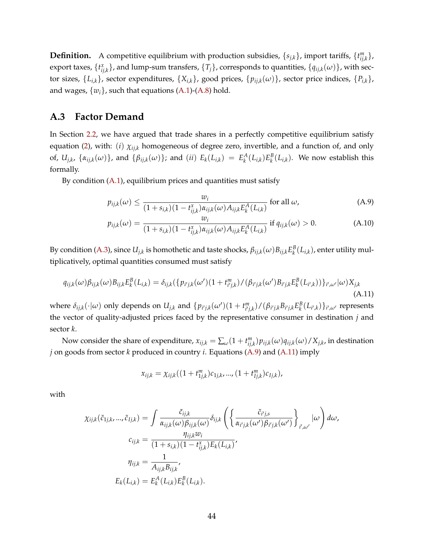**Definition.** A competitive equilibrium with production subsidies,  $\{s_{j,k}\}$ , import tariffs,  $\{t_{ij,k}^m\}$ , export taxes,  $\{t_{ij,k}^x\}$ , and lump-sum transfers,  $\{T_j\}$ , corresponds to quantities,  $\{q_{ij,k}(\omega)\}$ , with sector sizes,  $\{L_{i,k}\}$ , sector expenditures,  $\{X_{i,k}\}$ , good prices,  $\{p_{ij,k}(\omega)\}$ , sector price indices,  $\{P_{i,k}\}$ , and wages,  $\{w_i\}$ , such that equations  $(A.1)-(A.8)$  $(A.1)-(A.8)$  $(A.1)-(A.8)$  hold.

#### <span id="page-45-0"></span>**A.3 Factor Demand**

In Section [2.2,](#page-9-0) we have argued that trade shares in a perfectly competitive equilibrium satisfy equation [\(2\)](#page-10-4), with: (*i*)  $\chi_{ijk}$  homogeneous of degree zero, invertible, and a function of, and only of,  $U_{j,k}$ ,  $\{\alpha_{ij,k}(\omega)\}\$ , and  $\{\beta_{ij,k}(\omega)\}\$ ; and  $(ii)$   $E_k(L_{i,k}) = E_k^A(L_{i,k})E_k^B(L_{i,k})$ . We now establish this formally.

By condition [\(A.1\)](#page-44-1), equilibrium prices and quantities must satisfy

<span id="page-45-1"></span>
$$
p_{ij,k}(\omega) \le \frac{w_i}{(1+s_{i,k})(1-t_{ij,k}^x)\alpha_{ij,k}(\omega)A_{ij,k}E_k^A(L_{i,k})} \text{ for all } \omega,
$$
 (A.9)

$$
p_{ij,k}(\omega) = \frac{w_i}{(1 + s_{i,k})(1 - t_{ij,k}^x)\alpha_{ij,k}(\omega)A_{ij,k}E_k^A(L_{i,k})} \text{ if } q_{ij,k}(\omega) > 0. \tag{A.10}
$$

By condition [\(A.3\)](#page-44-3), since  $U_{j,k}$  is homothetic and taste shocks,  $\beta_{ij,k}(\omega)B_{ij,k}E_{k}^{B}(L_{i,k})$ , enter utility multiplicatively, optimal quantities consumed must satisfy

<span id="page-45-2"></span>
$$
q_{ij,k}(\omega)\beta_{ij,k}(\omega)B_{ij,k}E_{k}^{B}(L_{i,k}) = \delta_{ij,k}(\{p_{i'j,k}(\omega')(1+t_{i'j,k}^{m})/(\beta_{i'j,k}(\omega')B_{i'j,k}E_{k}^{B}(L_{i'k}))\}_{i',\omega'}|\omega)X_{j,k}
$$
\n(A.11)

where  $\delta_{ij,k}(\cdot|\omega)$  only depends on  $U_{j,k}$  and  $\{p_{i'j,k}(\omega')(1+t_{i'j,k}^m)/(\beta_{i'j,k}B_{i'j,k}E_k^B(L_{i',k})\}_{i',\omega'}$  represents the vector of quality-adjusted prices faced by the representative consumer in destination *j* and sector *k*.

Now consider the share of expenditure,  $x_{ij,k} = \sum_{\omega} (1+t_{ij,k}^m)p_{ij,k}(\omega)q_{ij,k}(\omega)/X_{j,k}$ , in destination *j* on goods from sector *k* produced in country *i*. Equations [\(A.9\)](#page-45-1) and [\(A.11\)](#page-45-2) imply

$$
x_{ij,k} = \chi_{ij,k}((1 + t_{1j,k}^m)c_{1j,k}, ..., (1 + t_{Ij,k}^m)c_{Ij,k}),
$$

with

$$
\chi_{ij,k}(\tilde{c}_{1j,k},...,\tilde{c}_{Ij,k}) = \int \frac{\tilde{c}_{ij,k}}{\alpha_{ij,k}(\omega)\beta_{ij,k}(\omega)} \delta_{ij,k} \left( \left\{ \frac{\tilde{c}_{i'j,s}}{\alpha_{i'j,k}(\omega')\beta_{i'j,k}(\omega')}\right\}_{i',\omega'} | \omega \right) d\omega,
$$

$$
c_{ij,k} = \frac{\eta_{ij,k}\omega_i}{(1+s_{i,k})(1-t_{ij,k}^x)E_k(L_{i,k})},
$$

$$
\eta_{ij,k} = \frac{1}{A_{ij,k}B_{ij,k}},
$$

$$
E_k(L_{i,k}) = E_k^A(L_{i,k})E_k^B(L_{i,k}).
$$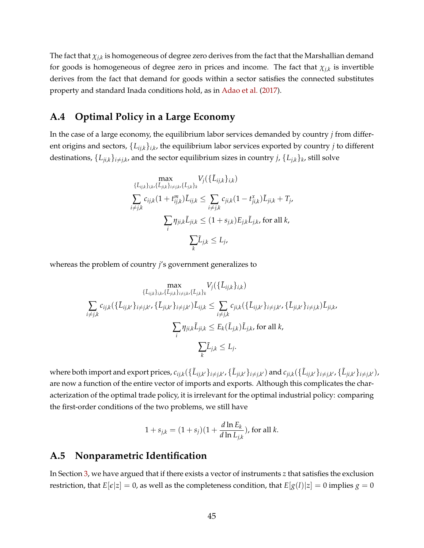The fact that  $\chi_{j,k}$  is homogeneous of degree zero derives from the fact that the Marshallian demand for goods is homogeneous of degree zero in prices and income. The fact that *χj*,*<sup>k</sup>* is invertible derives from the fact that demand for goods within a sector satisfies the connected substitutes property and standard Inada conditions hold, as in [Adao et al.](#page-39-6) [\(2017\)](#page-39-6).

#### <span id="page-46-0"></span>**A.4 Optimal Policy in a Large Economy**

In the case of a large economy, the equilibrium labor services demanded by country *j* from different origins and sectors,  $\{L_{ij,k}\}_{i,k}$ , the equilibrium labor services exported by country  $j$  to different destinations,  $\{L_{ji,k}\}_{i\neq j,k}$ , and the sector equilibrium sizes in country  $j$ ,  $\{L_{j,k}\}_k$ , still solve

$$
\max_{\{\tilde{L}_{ij,k}\}_{i,k},\{\tilde{L}_{ji,k}\}_{i\neq j,k},\{U_{j,k}\}_{k}} V_j(\{\tilde{L}_{ij,k}\}_{i,k})
$$
\n
$$
\sum_{i \neq j,k} c_{ij,k} (1 + t_{ij,k}^m) \tilde{L}_{ij,k} \leq \sum_{i \neq j,k} c_{ji,k} (1 - t_{ji,k}^x) \tilde{L}_{ji,k} + T_j,
$$
\n
$$
\sum_{i} \eta_{ji,k} \tilde{L}_{ji,k} \leq (1 + s_{j,k}) E_{j,k} \tilde{L}_{j,k}, \text{ for all } k,
$$
\n
$$
\sum_{k} \tilde{L}_{j,k} \leq L_j,
$$

whereas the problem of country *j*'s government generalizes to

$$
\max_{\{\tilde{L}_{ij,k}\}_{i,k},\{\tilde{L}_{ji,k}\}_{i\neq j,k'}} V_j(\{\tilde{L}_{ij,k}\}_{i,k})
$$
\n
$$
\sum_{i\neq j,k} c_{ij,k}(\{\tilde{L}_{ij,k'}\}_{i\neq j,k'},\{\tilde{L}_{ji,k'}\}_{i\neq j,k'})\tilde{L}_{ij,k} \leq \sum_{i\neq j,k} c_{ji,k}(\{\tilde{L}_{ij,k'}\}_{i\neq j,k'},\{\tilde{L}_{ji,k'}\}_{i\neq j,k})\tilde{L}_{ji,k},
$$
\n
$$
\sum_{i} \eta_{ji,k}\tilde{L}_{ji,k} \leq E_k(\tilde{L}_{j,k})\tilde{L}_{j,k}, \text{ for all } k,
$$
\n
$$
\sum_{k}\tilde{L}_{j,k} \leq L_j.
$$

where both import and export prices,  $c_{ij,k}(\{\tilde{L}_{ij,k'}\}_{i\neq j,k'},\{\tilde{L}_{ji,k'}\}_{i\neq j,k'})$  and  $c_{ji,k}(\{\tilde{L}_{ij,k'}\}_{i\neq j,k'},\{\tilde{L}_{ji,k'}\}_{i\neq j,k'}),$ are now a function of the entire vector of imports and exports. Although this complicates the characterization of the optimal trade policy, it is irrelevant for the optimal industrial policy: comparing the first-order conditions of the two problems, we still have

$$
1 + s_{j,k} = (1 + s_j)(1 + \frac{d \ln E_k}{d \ln L_{j,k}}), \text{ for all } k.
$$

#### <span id="page-46-1"></span>**A.5 Nonparametric Identification**

In Section [3,](#page-13-0) we have argued that if there exists a vector of instruments *z* that satisfies the exclusion restriction, that  $E[\epsilon|z] = 0$ , as well as the completeness condition, that  $E[g(l)|z] = 0$  implies  $g = 0$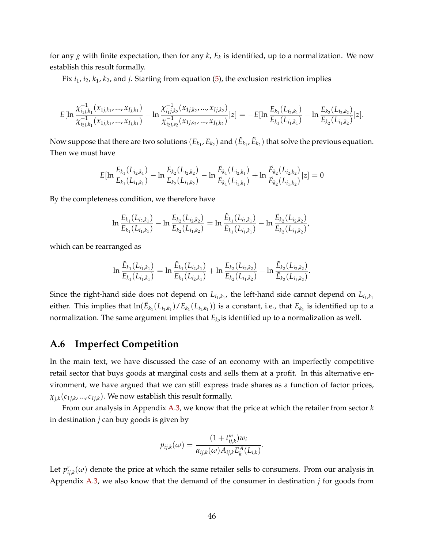for any *g* with finite expectation, then for any *k*, *E<sup>k</sup>* is identified, up to a normalization. We now establish this result formally.

Fix *i*1, *i*2, *k*1, *k*2, and *j*. Starting from equation [\(5\)](#page-14-0), the exclusion restriction implies

$$
E[\ln \frac{\chi_{i_1j,k_1}^{-1}(x_{1j,k_1},...,x_{1j,k_1})}{\chi_{i_2j,k_1}^{-1}(x_{1j,k_1},...,x_{1j,k_1})} - \ln \frac{\chi_{i_1j,k_2}^{-1}(x_{1j,k_2},...,x_{1j,k_2})}{\chi_{i_2j,s_2}^{-1}(x_{1j,s_2},...,x_{1j,k_2})}|z] = -E[\ln \frac{E_{k_1}(L_{i_2,k_1})}{E_{k_1}(L_{i_1,k_1})} - \ln \frac{E_{k_2}(L_{i_2,k_2})}{E_{k_2}(L_{i_1,k_2})}|z].
$$

Now suppose that there are two solutions  $(E_{k_1},E_{k_2})$  and  $(\tilde{E}_{k_1},\tilde{E}_{k_2})$  that solve the previous equation. Then we must have

$$
E[\ln \frac{E_{k_1}(L_{i_2,k_1})}{E_{k_1}(L_{i_1,k_1})} - \ln \frac{E_{k_2}(L_{i_2,k_2})}{E_{k_2}(L_{i_1,k_2})} - \ln \frac{\tilde{E}_{k_1}(L_{i_2,k_1})}{\tilde{E}_{k_1}(L_{i_1,k_1})} + \ln \frac{\tilde{E}_{k_2}(L_{i_2,k_2})}{\tilde{E}_{k_2}(L_{i_1,k_2})}|z] = 0
$$

By the completeness condition, we therefore have

$$
\ln \frac{E_{k_1}(L_{i_2,k_1})}{E_{k_1}(L_{i_1,k_1})} - \ln \frac{E_{k_2}(L_{i_2,k_2})}{E_{k_2}(L_{i_1,k_2})} = \ln \frac{\tilde{E}_{k_1}(L_{i_2,k_1})}{\tilde{E}_{k_1}(L_{i_1,k_1})} - \ln \frac{\tilde{E}_{k_2}(L_{i_2,k_2})}{\tilde{E}_{k_2}(L_{i_1,k_2})},
$$

which can be rearranged as

$$
\ln \frac{\tilde{E}_{k_1}(L_{i_1,k_1})}{E_{k_1}(L_{i_1,k_1})} = \ln \frac{\tilde{E}_{k_1}(L_{i_2,k_1})}{E_{k_1}(L_{i_2,k_1})} + \ln \frac{E_{k_2}(L_{i_2,k_2})}{E_{k_2}(L_{i_1,k_2})} - \ln \frac{\tilde{E}_{k_2}(L_{i_2,k_2})}{\tilde{E}_{k_2}(L_{i_1,k_2})}.
$$

Since the right-hand side does not depend on  $L_{i_1,k_1}$ , the left-hand side cannot depend on  $L_{i_1,k_1}$ either. This implies that  $ln(\tilde{E}_{k_1}(L_{i_1,k_1})/E_{k_1}(L_{i_1,k_1}))$  is a constant, i.e., that  $E_{k_1}$  is identified up to a normalization. The same argument implies that  $E_{k_2}$ is identified up to a normalization as well.

#### <span id="page-47-0"></span>**A.6 Imperfect Competition**

In the main text, we have discussed the case of an economy with an imperfectly competitive retail sector that buys goods at marginal costs and sells them at a profit. In this alternative environment, we have argued that we can still express trade shares as a function of factor prices, *χj*,*k*(*c*1*j*,*<sup>k</sup>* , ..., *cIj*,*k*). We now establish this result formally.

From our analysis in Appendix [A.3,](#page-45-0) we know that the price at which the retailer from sector *k* in destination *j* can buy goods is given by

$$
p_{ij,k}(\omega) = \frac{(1+t_{ij,k}^m)w_i}{\alpha_{ij,k}(\omega)A_{ij,k}E_k^A(L_{i,k})}.
$$

Let  $p_{ijk}^r(\omega)$  denote the price at which the same retailer sells to consumers. From our analysis in Appendix [A.3,](#page-45-0) we also know that the demand of the consumer in destination *j* for goods from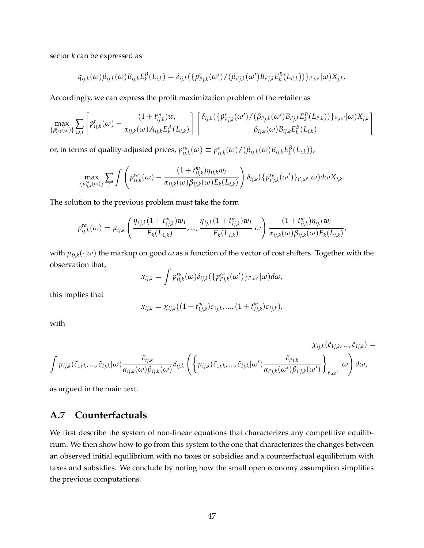sector *k* can be expressed as

$$
q_{ij,k}(\omega)\beta_{ij,k}(\omega)B_{ij,k}E_{k}^{B}(L_{i,k})=\delta_{ij,k}(\{p_{i'j,k}^{r}(\omega')/(\beta_{i'j,k}(\omega')B_{i'j,k}E_{k}^{B}(L_{i'k}))\}_{i',\omega'}|\omega)X_{j,k}.
$$

Accordingly, we can express the profit maximization problem of the retailer as

$$
\max_{\{\tilde{p}_{ij,k}^r(\omega)\}} \sum_{\omega,i} \left[ \tilde{p}_{ij,k}^r(\omega) - \frac{(1+t_{ij,k}^m)w_i}{\alpha_{ij,k}(\omega)A_{ij,k}E_k^A(L_{i,k})} \right] \left[ \frac{\delta_{ij,k}(\{\tilde{p}_{ij,k}^r(\omega')/(\beta_{i'j,k}(\omega')B_{i'j,k}E_k^B(L_{i'k}))\}_{i',\omega'}|\omega)X_{j,k}}{\beta_{ij,k}(\omega)B_{ij,k}E_k^B(L_{i,k})} \right]
$$

or, in terms of quality-adjusted prices,  $p_{ij,k}^{ra}(\omega) \equiv p_{ij,k}^r(\omega) / (\beta_{ij,k}(\omega) B_{ij,k} E_k^B(L_{i,k}))$ ,

$$
\max_{\{\tilde{p}_{ij,k}^{ra}(\omega)\}} \sum_{i} \int \left( \tilde{p}_{ij,k}^{ra}(\omega) - \frac{(1+t_{ij,k}^m)\eta_{ij,k}w_i}{\alpha_{ij,k}(\omega)\beta_{ij,k}(\omega)E_k(L_{i,k})} \right) \delta_{ij,k}(\{\tilde{p}_{i'j,k}^{ra}(\omega')\}_{i',\omega'}|\omega) d\omega X_{j,k}.
$$

The solution to the previous problem must take the form

$$
p_{ij,k}^{ra}(\omega) = \mu_{ij,k} \left( \frac{\eta_{1j,k}(1+t_{1j,k}^m)w_1}{E_k(L_{1,k})}, \dots, \frac{\eta_{1j,k}(1+t_{1j,k}^m)w_I}{E_k(L_{1,k})} | \omega \right) \frac{(1+t_{ij,k}^m) \eta_{ij,k}w_i}{\alpha_{ij,k}(\omega)\beta_{ij,k}(\omega)E_k(L_{i,k})'}
$$

with  $\mu_{ijk}(\cdot|\omega)$  the markup on good  $\omega$  as a function of the vector of cost shifters. Together with the observation that,

$$
x_{ij,k} = \int p_{ij,k}^{ra}(\omega) \delta_{ij,k}(\{p_{i'j,k}^{ra}(\omega')\}_{i',\omega'}|\omega) d\omega,
$$

this implies that

$$
x_{ij,k} = \chi_{ij,k}((1+t_{1j,k}^m)c_{1j,k}, ..., (1+t_{Ij,k}^m)c_{Ij,k}),
$$

with

$$
\chi_{ij,k}(\tilde{c}_{1j,k},...,\tilde{c}_{Ij,k}|\omega) \frac{\tilde{c}_{ij,k}}{\alpha_{ij,k}(\omega)\beta_{ij,k}(\omega)} \delta_{ij,k} \left( \left\{ \mu_{ij,k}(\tilde{c}_{1j,k},...,\tilde{c}_{Ij,k}|\omega') \frac{\tilde{c}_{i'j,k}}{\alpha_{i'j,k}(\omega')\beta_{i'j,k}(\omega')}\right\}_{i',\omega'} |\omega \right) d\omega,
$$

as argued in the main text.

#### <span id="page-48-0"></span>**A.7 Counterfactuals**

We first describe the system of non-linear equations that characterizes any competitive equilibrium. We then show how to go from this system to the one that characterizes the changes between an observed initial equilibrium with no taxes or subsidies and a counterfactual equilibrium with taxes and subsidies. We conclude by noting how the small open economy assumption simplifies the previous computations.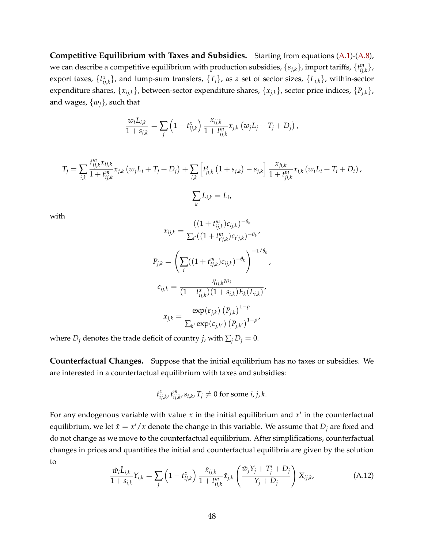**Competitive Equilibrium with Taxes and Subsidies.** Starting from equations [\(A.1\)](#page-44-1)-[\(A.8\)](#page-44-2), we can describe a competitive equilibrium with production subsidies,  $\{s_{j,k}\}$ , import tariffs,  $\{t^m_{ij,k}\}$ , export taxes,  $\{t_{ij,k}^x\}$ , and lump-sum transfers,  $\{T_j\}$ , as a set of sector sizes,  $\{L_{i,k}\}$ , within-sector expenditure shares,  $\{x_{i,j,k}\}\$ , between-sector expenditure shares,  $\{x_{j,k}\}\$ , sector price indices,  $\{P_{j,k}\}\$ , and wages,  $\{w_i\}$ , such that

$$
\frac{w_i L_{i,k}}{1 + s_{i,k}} = \sum_j \left( 1 - t_{ij,k}^x \right) \frac{x_{ij,k}}{1 + t_{ij,k}^m} x_{j,k} \left( w_j L_j + T_j + D_j \right),
$$

$$
T_{j} = \sum_{i,k} \frac{t_{ij,k}^{m} x_{ij,k}}{1 + t_{ij,k}^{m}} x_{j,k} (w_{j}L_{j} + T_{j} + D_{j}) + \sum_{i,k} \left[ t_{ji,k}^{x} (1 + s_{j,k}) - s_{j,k} \right] \frac{x_{ji,k}}{1 + t_{ji,k}^{m}} x_{i,k} (w_{i}L_{i} + T_{i} + D_{i}),
$$
\n
$$
\sum_{k} L_{i,k} = L_{i},
$$
\n
$$
x_{ij,k} = \frac{((1 + t_{ij,k}^{m})c_{ij,k})^{-\theta_{k}}}{\sum_{k} ((1 + t_{ij,k}^{m})c_{ij,k})^{-\theta_{k}}},
$$

with

$$
x_{ij,k} = \sum_{i'} ((1 + t_{i'j,k}^m) c_{i'j,k})^{-\theta_k'}
$$

$$
P_{j,k} = \left(\sum_i ((1 + t_{ij,k}^m) c_{ij,k})^{-\theta_k}\right)^{-1/\theta_k},
$$

$$
c_{ij,k} = \frac{\eta_{ij,k} w_i}{(1 - t_{ij,k}^x)(1 + s_{i,k})E_k(L_{i,k})},
$$

$$
x_{j,k} = \frac{\exp(\varepsilon_{j,k}) (P_{j,k})^{1-\rho}}{\sum_{k'} \exp(\varepsilon_{j,k'}) (P_{j,k'})^{1-\rho'}}
$$

where *D*<sup>*j*</sup> denotes the trade deficit of country *j*, with  $\sum_i D_j = 0$ .

**Counterfactual Changes.** Suppose that the initial equilibrium has no taxes or subsidies. We are interested in a counterfactual equilibrium with taxes and subsidies:

$$
t_{ij,k}^x, t_{ij,k}^m, s_{i,k}, T_j \neq 0 \text{ for some } i, j, k.
$$

For any endogenous variable with value  $x$  in the initial equilibrium and  $x'$  in the counterfactual equilibrium, we let  $\hat{x} = x'/x$  denote the change in this variable. We assume that  $D_j$  are fixed and do not change as we move to the counterfactual equilibrium. After simplifications, counterfactual changes in prices and quantities the initial and counterfactual equilibria are given by the solution to

<span id="page-49-0"></span>
$$
\frac{\hat{w}_{i}\hat{L}_{i,k}}{1+s_{i,k}}Y_{i,k} = \sum_{j} \left(1-t_{ij,k}^{x}\right) \frac{\hat{x}_{ij,k}}{1+t_{ij,k}^{m}} \hat{x}_{j,k} \left(\frac{\hat{w}_{j}Y_{j}+T'_{j}+D_{j}}{Y_{j}+D_{j}}\right) X_{ij,k},
$$
\n(A.12)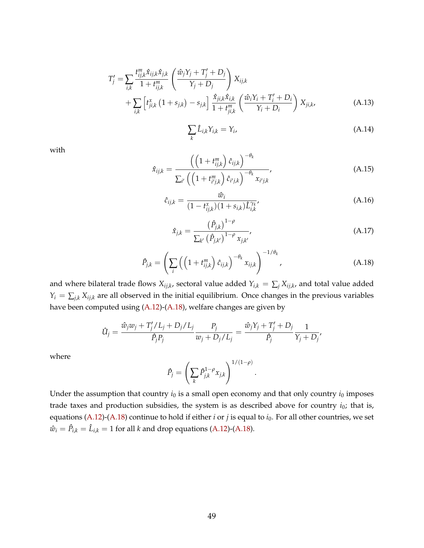$$
T'_{j} = \sum_{i,k} \frac{t_{ij,k}^{m} \hat{x}_{ij,k} \hat{x}_{j,k}}{1 + t_{ij,k}^{m}} \left( \frac{\hat{w}_{j} Y_{j} + T'_{j} + D_{j}}{Y_{j} + D_{j}} \right) X_{ij,k} + \sum_{i,k} \left[ t_{ji,k}^{x} \left( 1 + s_{j,k} \right) - s_{j,k} \right] \frac{\hat{x}_{ji,k} \hat{x}_{i,k}}{1 + t_{ji,k}^{m}} \left( \frac{\hat{w}_{i} Y_{i} + T'_{i} + D_{i}}{Y_{i} + D_{i}} \right) X_{ji,k}, \tag{A.13}
$$

$$
\sum_{k} \hat{L}_{i,k} Y_{i,k} = Y_i, \tag{A.14}
$$

with

$$
\hat{x}_{ij,k} = \frac{\left(\left(1 + t_{ij,k}^m\right)\hat{c}_{ij,k}\right)^{-\theta_k}}{\sum_{i'} \left(\left(1 + t_{i'j,k}^m\right)\hat{c}_{i'j,k}\right)^{-\theta_k} x_{i'j,k}},\tag{A.15}
$$

$$
\hat{c}_{ij,k} = \frac{\hat{w}_i}{(1 - t_{ij,k}^x)(1 + s_{i,k})\hat{L}_{i,k}^{\gamma_k}}\tag{A.16}
$$

$$
\hat{x}_{j,k} = \frac{\left(\hat{P}_{j,k}\right)^{1-\rho}}{\sum_{k'} \left(\hat{P}_{j,k'}\right)^{1-\rho} x_{j,k'}}
$$
\n(A.17)

<span id="page-50-0"></span>
$$
\hat{P}_{j,k} = \left(\sum_{i} \left(\left(1 + t_{ij,k}^{m}\right) \hat{c}_{ij,k}\right)^{-\theta_k} x_{ij,k}\right)^{-1/\theta_k}, \tag{A.18}
$$

and where bilateral trade flows  $X_{ij,k}$ , sectoral value added  $Y_{i,k} = \sum_j X_{ij,k}$ , and total value added  $Y_i = \sum_{j,k} X_{ij,k}$  are all observed in the initial equilibrium. Once changes in the previous variables have been computed using [\(A.12\)](#page-49-0)-[\(A.18\)](#page-50-0), welfare changes are given by

$$
\hat{U}_j = \frac{\hat{w}_j w_j + T'_j / L_j + D_j / L_j}{\hat{P}_j P_j} \frac{P_j}{w_j + D_j / L_j} = \frac{\hat{w}_j Y_j + T'_j + D_j}{\hat{P}_j} \frac{1}{Y_j + D_j},
$$

where

$$
\hat{P}_j = \left(\sum_k \hat{P}_{j,k}^{1-\rho} x_{j,k}\right)^{1/(1-\rho)}.
$$

Under the assumption that country  $i_0$  is a small open economy and that only country  $i_0$  imposes trade taxes and production subsidies, the system is as described above for country *i*0; that is, equations [\(A.12\)](#page-49-0)-[\(A.18\)](#page-50-0) continue to hold if either *i* or *j* is equal to *i*0. For all other countries, we set  $\hat{w}_i = \hat{P}_{i,k} = \hat{L}_{i,k} = 1$  for all *k* and drop equations [\(A.12\)](#page-49-0)-[\(A.18\)](#page-50-0).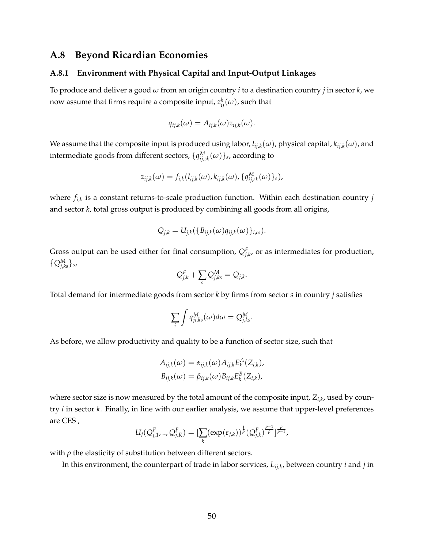#### **A.8 Beyond Ricardian Economies**

#### <span id="page-51-0"></span>**A.8.1 Environment with Physical Capital and Input-Output Linkages**

To produce and deliver a good *ω* from an origin country *i* to a destination country *j* in sector *k*, we now assume that firms require a composite input,  $z_{ij}^k(\omega)$ , such that

$$
q_{ij,k}(\omega) = A_{ij,k}(\omega) z_{ij,k}(\omega).
$$

We assume that the composite input is produced using labor,  $l_{ijk}(\omega)$ , physical capital,  $k_{ijk}(\omega)$ , and intermediate goods from different sectors,  $\{q_{ij,sk}^{M}(\omega)\}_{s}$ , according to

$$
z_{ij,k}(\omega) = f_{i,k}(l_{ij,k}(\omega), k_{ij,k}(\omega), \{q_{ij,sk}^M(\omega)\}_s),
$$

where *fi*,*<sup>k</sup>* is a constant returns-to-scale production function. Within each destination country *j* and sector *k*, total gross output is produced by combining all goods from all origins,

$$
Q_{j,k} = U_{j,k}(\{B_{ij,k}(\omega)q_{ij,k}(\omega)\}_{i,\omega}).
$$

Gross output can be used either for final consumption,  $Q_{j,k}^F$ , or as intermediates for production,  $\{Q^{M}_{j,ks}\}_{s}$ 

$$
Q_{j,k}^F + \sum_s Q_{j,ks}^M = Q_{j,k}.
$$

Total demand for intermediate goods from sector *k* by firms from sector *s* in country *j* satisfies

$$
\sum_i \int q_{ji,ks}^M(\omega) d\omega = Q_{j,ks}^M.
$$

As before, we allow productivity and quality to be a function of sector size, such that

$$
A_{ij,k}(\omega) = \alpha_{ij,k}(\omega) A_{ij,k} E_k^A(Z_{i,k}),
$$
  
\n
$$
B_{ij,k}(\omega) = \beta_{ij,k}(\omega) B_{ij,k} E_k^B(Z_{i,k}),
$$

where sector size is now measured by the total amount of the composite input,  $Z_{i,k}$ , used by country *i* in sector *k*. Finally, in line with our earlier analysis, we assume that upper-level preferences are CES ,

$$
U_j(Q_{j,1}^F,...,Q_{j,K}^F) = \left[\sum_k (\exp(\varepsilon_{j,k}))^{\frac{1}{\rho}} (Q_{j,k}^F)^{\frac{\rho-1}{\rho}}\right]^{\frac{\rho}{\rho-1}},
$$

with *ρ* the elasticity of substitution between different sectors.

In this environment, the counterpart of trade in labor services, *Lij*,*<sup>k</sup>* , between country *i* and *j* in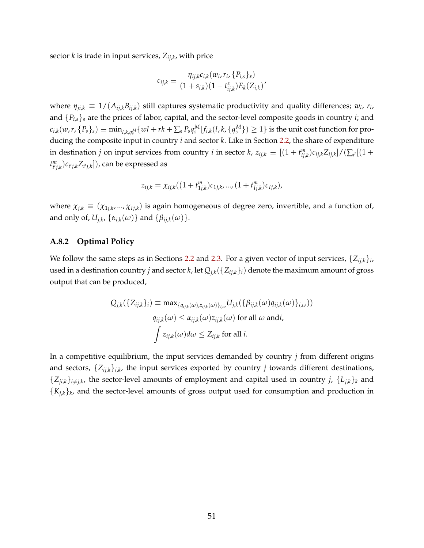sector *k* is trade in input services, *Zij*,*<sup>k</sup>* , with price

$$
c_{ij,k} \equiv \frac{\eta_{ij,k}c_{i,k}(w_i, r_i, \{P_{i,s}\}_s)}{(1 + s_{i,k})(1 - t_{ij,k}^x)E_k(Z_{i,k})'}
$$

where  $\eta_{ji,k} \equiv 1/(A_{ij,k}B_{ij,k})$  still captures systematic productivity and quality differences;  $w_i$ ,  $r_i$ , and {*Pi*,*s*}*<sup>s</sup>* are the prices of labor, capital, and the sector-level composite goods in country *i*; and  $c_{i,k}(w,r,\{P_s\}_s)\equiv\min_{l,k,q_s^M}\{wl+rk+\sum_sP_sq_s^M|f_{i,k}(l,k,\{q_s^M\})\geq 1\}$  is the unit cost function for producing the composite input in country *i* and sector *k*. Like in Section [2.2,](#page-9-0) the share of expenditure in destination *j* on input services from country *i* in sector *k*,  $z_{ij,k} \equiv [(1+t_{ij,k}^m)c_{ij,k}Z_{ij,k}]/(\sum_{i'}[(1+t_{ij,k}^m)c_{ij,k}Z_{ij,k}]$  $(t_{i'j,k}^m) c_{i'j,k} \mathbf{Z}_{i'j,k}])$ , can be expressed as

$$
z_{ij,k} = \chi_{ij,k}((1 + t_{1j,k}^m)c_{1j,k}, ..., (1 + t_{Ij,k}^m)c_{Ij,k}),
$$

where  $\chi_{j,k} \equiv (\chi_{1j,k},...,\chi_{Ij,k})$  is again homogeneous of degree zero, invertible, and a function of, and only of,  $U_{j,k}$ ,  $\{\alpha_{i,k}(\omega)\}\$  and  $\{\beta_{ij,k}(\omega)\}.$ 

#### <span id="page-52-0"></span>**A.8.2 Optimal Policy**

We follow the same steps as in Sections [2.2](#page-9-0) and [2.3.](#page-11-4) For a given vector of input services, {*Zij*,*k*}*<sup>i</sup>* , used in a destination country *j* and sector *k*, let  $Q_{i,k}(\{Z_{i,j,k}\}_i)$  denote the maximum amount of gross output that can be produced,

$$
Q_{j,k}(\{Z_{ij,k}\}_i) \equiv \max_{\{q_{ij,k}(\omega), z_{ij,k}(\omega)\}_{i,\omega}} U_{j,k}(\{\beta_{ij,k}(\omega)q_{ij,k}(\omega)\}_{i,\omega}))
$$

$$
q_{ij,k}(\omega) \le \alpha_{ij,k}(\omega)z_{ij,k}(\omega) \text{ for all } \omega \text{ and } i,
$$

$$
\int z_{ij,k}(\omega)d\omega \le Z_{ij,k} \text{ for all } i.
$$

In a competitive equilibrium, the input services demanded by country *j* from different origins and sectors, {*Zij*,*k*}*i*,*<sup>k</sup>* , the input services exported by country *j* towards different destinations,  $\{Z_{ji,k}\}_{i\neq j,k}$ , the sector-level amounts of employment and capital used in country *j*,  $\{L_{j,k}\}_k$  and  ${K_{j,k}}_k$ , and the sector-level amounts of gross output used for consumption and production in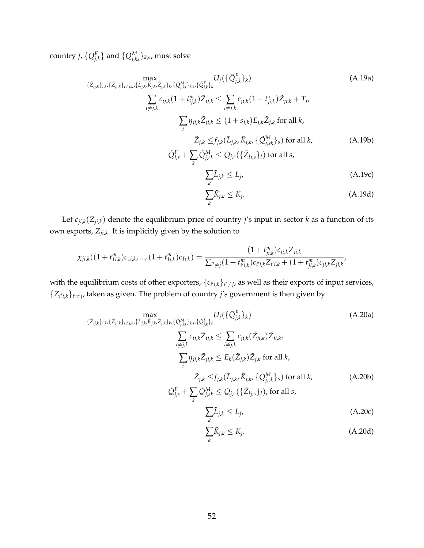country  $j$ ,  $\{Q^{F}_{j,k}\}$  and  $\{Q^{M}_{j,ks}\}_{k,s}$ , must solve

<span id="page-53-0"></span>
$$
\max_{\{\tilde{Z}_{ij,k}\}_{i,k},\{\tilde{Z}_{ji,k}\}_{i\neq j,k},\{\tilde{Q}_{j,k}^{M}\}_{k,\neq j,k}\}} \left(\tilde{Q}_{j,k}^{K}\right)_{k}
$$
\n(A.19a)  
\n
$$
\sum_{i\neq j,k} c_{ij,k} (1+t_{ij,k}^{m}) \tilde{Z}_{ij,k} \leq \sum_{i\neq j,k} c_{ji,k} (1-t_{ji,k}^{x}) \tilde{Z}_{ji,k} + T_{j},
$$
\n
$$
\sum_{i} \eta_{ji,k} \tilde{Z}_{ji,k} \leq (1+s_{j,k}) E_{j,k} \tilde{Z}_{j,k} \text{ for all } k,
$$
\n
$$
\tilde{Z}_{j,k} \leq f_{j,k} (\tilde{L}_{j,k}, \tilde{K}_{j,k}, \{\tilde{Q}_{j,s}^{M}\}_{s}) \text{ for all } k,
$$
\n(A.19b)  
\n
$$
\tilde{Q}_{j,s}^{F} + \sum_{k} \tilde{Q}_{j,s}^{M} \leq Q_{j,s} (\{\tilde{Z}_{ljs}\}_{l}) \text{ for all } s,
$$

$$
\sum_{k} \tilde{L}_{j,k} \le L_j,\tag{A.19c}
$$

<span id="page-53-1"></span>
$$
\sum_{k} \tilde{K}_{j,k} \le K_j. \tag{A.19d}
$$

Let  $c_{ji,k}(Z_{ji,k})$  denote the equilibrium price of country *j*'s input in sector *k* as a function of its own exports, *Zji*,*<sup>k</sup>* . It is implicitly given by the solution to

$$
\chi_{ji,k}((1+t_{1i,k}^m)c_{1i,k},..., (1+t_{Ii,k}^m)c_{Ii,k}) = \frac{(1+t_{ji,k}^m)c_{ji,k}Z_{ji,k}}{\sum_{i' \neq j}(1+t_{i'i,k}^m)c_{i'i,k}Z_{i'i,k} + (1+t_{ji,k}^m)c_{ji,k}Z_{ji,k'}}
$$

with the equilibrium costs of other exporters,  $\{c_{i'i,k}\}_{i'\neq j}$ , as well as their exports of input services,  $\{Z_{i'i,k}\}_{i'\neq j}$ , taken as given. The problem of country *j*'s government is then given by

$$
\max_{\{\tilde{Z}_{ij,k}\}_{i,k},\{\tilde{Z}_{ji,k}\}_{i\neq j,k},\{\tilde{Q}_{j,k}^M\}_{k,s},\{\tilde{Q}_{j,k}^F\}_{k}} U_j(\{\tilde{Q}_{j,k}^F\}_{k})
$$
\n(A.20a)  
\n
$$
\sum_{i\neq j,k} c_{ij,k} \tilde{Z}_{ij,k} \leq \sum_{i\neq j,k} c_{ji,k} (\tilde{Z}_{ji,k}) \tilde{Z}_{ji,k},
$$
\n
$$
\sum_{i} \eta_{ji,k} \tilde{Z}_{ji,k} \leq E_k(\tilde{Z}_{j,k}) \tilde{Z}_{j,k} \text{ for all } k,
$$
\n
$$
\tilde{Z}_{j,k} \leq f_{j,k} (\tilde{L}_{j,k}, \tilde{K}_{j,k}, \{\tilde{Q}_{j,sk}^M\}_{s}) \text{ for all } k,
$$
\n(A.20b)  
\n
$$
\tilde{Q}_{j,s}^F + \sum_{k} \tilde{Q}_{j,sk}^M \leq Q_{j,s}(\{\tilde{Z}_{lj,s}\}_1), \text{ for all } s,
$$

$$
\sum_{k} \tilde{L}_{j,k} \le L_j,\tag{A.20c}
$$

$$
\sum_{k} \tilde{K}_{j,k} \le K_j. \tag{A.20d}
$$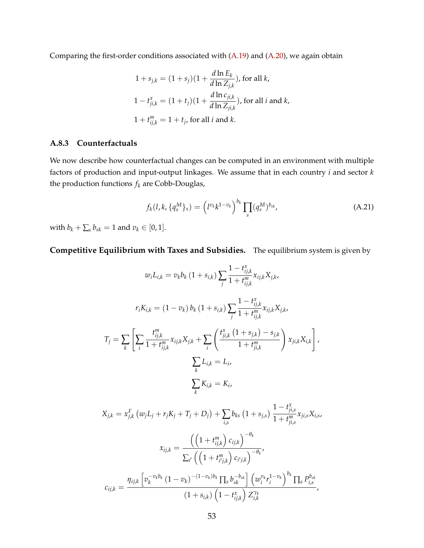Comparing the first-order conditions associated with [\(A.19\)](#page-53-0) and [\(A.20\)](#page-53-1), we again obtain

$$
1 + s_{j,k} = (1 + s_j)(1 + \frac{d \ln E_k}{d \ln Z_{j,k}}), \text{ for all } k,
$$
  

$$
1 - t_{ji,k}^x = (1 + t_j)(1 + \frac{d \ln c_{ji,k}}{d \ln Z_{ji,k}}), \text{ for all } i \text{ and } k,
$$
  

$$
1 + t_{ij,k}^m = 1 + t_j, \text{ for all } i \text{ and } k.
$$

#### <span id="page-54-0"></span>**A.8.3 Counterfactuals**

We now describe how counterfactual changes can be computed in an environment with multiple factors of production and input-output linkages. We assume that in each country *i* and sector *k* the production functions  $f_k$  are Cobb-Douglas,

<span id="page-54-1"></span>
$$
f_k(l, k, \{q_s^M\}_s) = \left(l^{v_k}k^{1-v_k}\right)^{b_k} \prod_s (q_s^M)^{b_{sk}}, \tag{A.21}
$$

with  $b_k + \sum_s b_{sk} = 1$  and  $v_k \in [0, 1]$ .

**Competitive Equilibrium with Taxes and Subsidies.** The equilibrium system is given by

$$
w_{i}L_{i,k} = v_{k}b_{k} (1 + s_{i,k}) \sum_{j} \frac{1 - t_{ij,k}^{x}}{1 + t_{ij,k}^{m}} x_{ij,k} X_{j,k},
$$

$$
r_{i}K_{i,k} = (1 - v_{k}) b_{k} (1 + s_{i,k}) \sum_{j} \frac{1 - t_{ij,k}^{x}}{1 + t_{ij,k}^{m}} x_{ij,k} X_{j,k},
$$

$$
T_{j} = \sum_{k} \left[ \sum_{i} \frac{t_{ij,k}^{m}}{1 + t_{ij,k}^{m}} x_{ij,k} X_{j,k} + \sum_{i} \left( \frac{t_{ji,k}^{x} (1 + s_{j,k}) - s_{j,k}}{1 + t_{ji,k}^{m}} \right) x_{ji,k} X_{i,k} \right],
$$

$$
\sum_{k} L_{i,k} = L_{i},
$$

$$
\sum_{k} K_{i,k} = K_{i},
$$

$$
X_{j,k} = x_{j,k}^{F} (w_{j}L_{j} + r_{j}K_{j} + T_{j} + D_{j}) + \sum_{i,s} b_{ks} (1 + s_{j,s}) \frac{1 - t_{ji,s}^{x}}{1 + t_{ji,s}^{m}} x_{ji,s} X_{i,s},
$$

$$
x_{ij,k} = \frac{\left( \left( 1 + t_{ij,k}^{m} \right) c_{ij,k} \right)^{-\theta_{k}}}{\sum_{i'} \left( \left( 1 + t_{i'j,k}^{m} \right) c_{i'j,k} \right)^{-\theta_{k'}}}{\left( 1 + t_{i'j,k}^{m} \right) c_{i'j,k}}.
$$

$$
c_{ij,k} = \frac{\eta_{ij,k} \left[ v_{k}^{-v_{k}b_{k}} (1 - v_{k})^{-(1 - v_{k})b_{k}} \prod_{s} b_{sk}^{-b_{sk}} \right] \left( w_{i}^{v_{k}} r_{i}^{1 - v_{k}} \right)^{b_{k}} \prod_{s} P_{i,s}^{b_{sk}}}{\left( 1 + s_{i,k} \right) \left( 1 - t_{ij,k}^{x} \right) Z_{i,k}^{\gamma_{k}}},
$$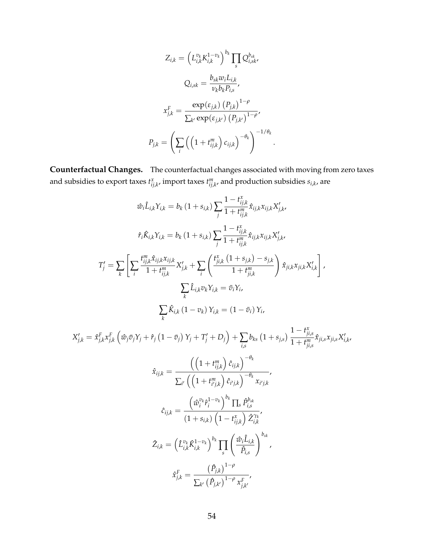$$
Z_{i,k} = \left(L_{i,k}^{v_k} K_{i,k}^{1-v_k}\right)^{b_k} \prod_s Q_{i,sk}^{b_{sk}},
$$

$$
Q_{i,sk} = \frac{b_{sk} w_i L_{i,k}}{v_k b_k P_{i,s}},
$$

$$
x_{j,k}^F = \frac{\exp(\varepsilon_{j,k}) (P_{j,k})^{1-\rho}}{\sum_{k'} \exp(\varepsilon_{j,k'}) (P_{j,k'})^{1-\rho}},
$$

$$
P_{j,k} = \left(\sum_i \left(\left(1 + t_{ij,k}^m\right) c_{ij,k}\right)^{-\theta_k}\right)^{-1/\theta_k}.
$$

**Counterfactual Changes.** The counterfactual changes associated with moving from zero taxes and subsidies to export taxes  $t_{ij,k'}^x$  import taxes  $t_{ij,k'}^m$  and production subsidies  $s_{i,k}$ , are

$$
\hat{w}_{i}\hat{L}_{i,k}Y_{i,k} = b_{k} (1 + s_{i,k}) \sum_{j} \frac{1 - t_{ij,k}^{x}}{1 + t_{ij,k}^{m}} \hat{x}_{ij,k}x_{ij,k}X'_{j,k},
$$
\n
$$
\hat{r}_{i}\hat{K}_{i,k}Y_{j,k} = b_{k} (1 + s_{i,k}) \sum_{j} \frac{1 - t_{ij,k}^{x}}{1 + t_{ij,k}^{m}} \hat{x}_{ij,k}x_{ij,k}X'_{j,k},
$$
\n
$$
T'_{j} = \sum_{k} \left[ \sum_{i} \frac{t_{ij,k}^{m} \hat{x}_{ij,k}x_{ij,k}}{1 + t_{ij,k}^{m}} X'_{j,k} + \sum_{i} \left( \frac{t_{j,k}^{x}}{1 + t_{j,k}^{m}} \right) \hat{x}_{ji,k}x_{ij,k}X'_{i,k} \right],
$$
\n
$$
\sum_{k} \hat{L}_{i,k}v_{k}Y_{i,k} = \bar{v}_{i}Y_{i},
$$
\n
$$
\sum_{k} \hat{K}_{i,k} (1 - v_{k}) Y_{i,k} = (1 - \bar{v}_{i}) Y_{i},
$$
\n
$$
X'_{j,k} = \hat{x}_{j,k}^{F} x_{j,k}^{F} \left( \hat{w}_{j}\bar{v}_{j}Y_{j} + \hat{r}_{j} (1 - \bar{v}_{j}) Y_{j} + T'_{j} + D_{j} \right) + \sum_{i,s} b_{ks} (1 + s_{j,s}) \frac{1 - t_{jis}^{x}}{1 + t_{jis}^{m}} \hat{x}_{ji,s}x_{ij,s}X'_{i,k},
$$
\n
$$
\hat{x}_{ijk} = \frac{\left( \left( 1 + t_{ij,k}^{m} \right) \hat{c}_{ij,k} \right)^{-\theta_{k}}}{\sum_{i} \left( \left( 1 + t_{ij,k}^{m} \right) \hat{c}_{ij,k} \right)^{-\theta_{k}} x_{ij,k},
$$
\n
$$
\hat{c}_{ijk} = \frac{\left( \hat{w}_{i}^{v_{k}} \hat{r}_{i}^{1 - v_{k}} \right)^{b_{k}} \prod_{s} \hat{P}_{i,s}^{b_{s}}}{\left( \hat{P}_{i,s} \right)^{F}}.
$$
\n
$$
\hat{z}_{i,k} = \left( \hat{L}_{i,k}^{
$$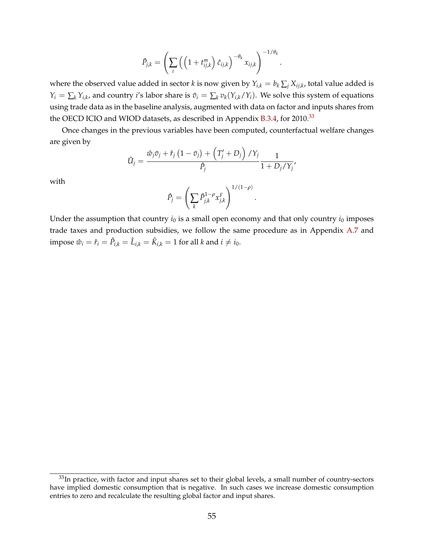$$
\hat{P}_{j,k} = \left(\sum_i \left(\left(1 + t_{ij,k}^m\right) \hat{c}_{ij,k}\right)^{-\theta_k} x_{ij,k}\right)^{-1/\theta_k}.
$$

where the observed value added in sector *k* is now given by  $Y_{i,k} = b_k \sum_j X_{ij,k}$ , total value added is  $Y_i = \sum_k Y_{i,k}$ , and country *i*'s labor share is  $\bar{v}_i = \sum_k v_k(Y_{i,k}/Y_i)$ . We solve this system of equations using trade data as in the baseline analysis, augmented with data on factor and inputs shares from the OECD ICIO and WIOD datasets, as described in Appendix [B.3.4,](#page-63-0) for 2010.<sup>[33](#page-56-0)</sup>

Once changes in the previous variables have been computed, counterfactual welfare changes are given by

$$
\hat{U}_j = \frac{\hat{w}_j \bar{v}_j + \hat{r}_j (1 - \bar{v}_j) + (T'_j + D_j) / Y_j}{\hat{P}_j} \frac{1}{1 + D_j / Y_j},
$$

with

$$
\hat{P}_j = \left(\sum_k \hat{P}_{j,k}^{1-\rho} x_{j,k}^F\right)^{1/(1-\rho)}.
$$

Under the assumption that country  $i_0$  is a small open economy and that only country  $i_0$  imposes trade taxes and production subsidies, we follow the same procedure as in Appendix [A.7](#page-48-0) and  $\text{impose } \hat{w}_i = \hat{r}_i = \hat{P}_{i,k} = \hat{L}_{i,k} = \hat{K}_{i,k} = 1 \text{ for all } k \text{ and } i \neq i_0.$ 

<span id="page-56-0"></span> $33$ In practice, with factor and input shares set to their global levels, a small number of country-sectors have implied domestic consumption that is negative. In such cases we increase domestic consumption entries to zero and recalculate the resulting global factor and input shares.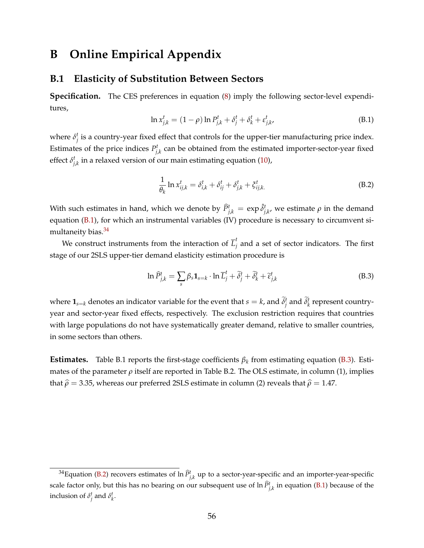### **B Online Empirical Appendix**

#### <span id="page-57-0"></span>**B.1 Elasticity of Substitution Between Sectors**

**Specification.** The CES preferences in equation [\(8\)](#page-18-3) imply the following sector-level expenditures,

<span id="page-57-1"></span>
$$
\ln x_{j,k}^t = (1 - \rho) \ln P_{j,k}^t + \delta_j^t + \delta_k^t + \varepsilon_{j,k}^t,
$$
\n(B.1)

where  $\delta_j^t$  is a country-year fixed effect that controls for the upper-tier manufacturing price index. Estimates of the price indices  $P_{j,k}^t$  can be obtained from the estimated importer-sector-year fixed effect  $\delta_{j,k}^t$  in a relaxed version of our main estimating equation [\(10\)](#page-19-1),

<span id="page-57-4"></span>
$$
\frac{1}{\theta_k} \ln x_{ij,k}^t = \delta_{i,k}^t + \delta_{ij}^t + \delta_{j,k}^t + \xi_{ij,k}^t
$$
 (B.2)

With such estimates in hand, which we denote by  $\widehat{P}_{j,k}^t = \exp \hat{\delta}_{j,k}^t$ , we estimate  $\rho$  in the demand equation [\(B.1\)](#page-57-1), for which an instrumental variables (IV) procedure is necessary to circumvent si-multaneity bias.<sup>[34](#page-57-2)</sup>

We construct instruments from the interaction of  $\overline{L}_j^t$  and a set of sector indicators. The first stage of our 2SLS upper-tier demand elasticity estimation procedure is

<span id="page-57-3"></span>
$$
\ln \widehat{P}_{j,k}^t = \sum_{s} \beta_s \mathbf{1}_{s=k} \cdot \ln \overline{L}_j^t + \widetilde{\delta}_j^t + \widetilde{\delta}_k^t + \widetilde{\epsilon}_{j,k}^t \tag{B.3}
$$

where  $\mathbf{1}_{s=k}$  denotes an indicator variable for the event that  $s=k$ , and  $\tilde{\delta}^t_j$  and  $\tilde{\delta}^t_k$  represent countryyear and sector-year fixed effects, respectively. The exclusion restriction requires that countries with large populations do not have systematically greater demand, relative to smaller countries, in some sectors than others.

**Estimates.** Table B.1 reports the first-stage coefficients  $\beta_k$  from estimating equation [\(B.3\)](#page-57-3). Estimates of the parameter  $\rho$  itself are reported in Table B.2. The OLS estimate, in column (1), implies that  $\hat{\rho} = 3.35$ , whereas our preferred 2SLS estimate in column (2) reveals that  $\hat{\rho} = 1.47$ .

<span id="page-57-2"></span><sup>&</sup>lt;sup>34</sup>Equation [\(B.2\)](#page-57-4) recovers estimates of  $\ln \widehat{P}_{j,k}^t$  up to a sector-year-specific and an importer-year-specific scale factor only, but this has no bearing on our subsequent use of  $\ln \widehat{P}_{j,k}^t$  in equation [\(B.1\)](#page-57-1) because of the inclusion of  $\delta^t_j$  and  $\delta^t_k$ .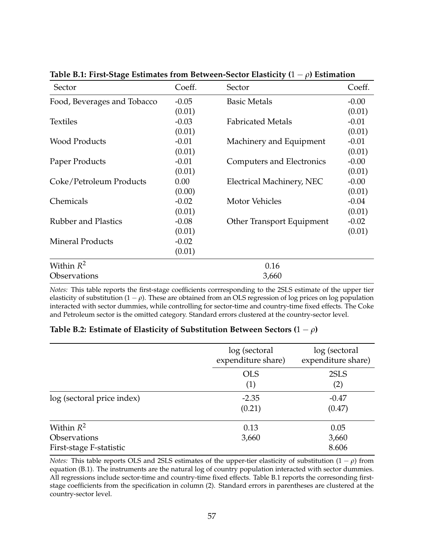| Sector                      | Coeff.  | Sector                    | Coeff.  |
|-----------------------------|---------|---------------------------|---------|
| Food, Beverages and Tobacco | $-0.05$ | <b>Basic Metals</b>       | $-0.00$ |
|                             | (0.01)  |                           | (0.01)  |
| <b>Textiles</b>             | $-0.03$ | <b>Fabricated Metals</b>  | $-0.01$ |
|                             | (0.01)  |                           | (0.01)  |
| <b>Wood Products</b>        | $-0.01$ | Machinery and Equipment   | $-0.01$ |
|                             | (0.01)  |                           | (0.01)  |
| Paper Products              | $-0.01$ | Computers and Electronics | $-0.00$ |
|                             | (0.01)  |                           | (0.01)  |
| Coke/Petroleum Products     | 0.00    | Electrical Machinery, NEC | $-0.00$ |
|                             | (0.00)  |                           | (0.01)  |
| Chemicals                   | $-0.02$ | <b>Motor Vehicles</b>     | $-0.04$ |
|                             | (0.01)  |                           | (0.01)  |
| <b>Rubber and Plastics</b>  | $-0.08$ | Other Transport Equipment | $-0.02$ |
|                             | (0.01)  |                           | (0.01)  |
| <b>Mineral Products</b>     | $-0.02$ |                           |         |
|                             | (0.01)  |                           |         |
| Within $R^2$                |         | 0.16                      |         |
| Observations                |         | 3,660                     |         |

**Table B.1: First-Stage Estimates from Between-Sector Elasticity (**1 − *ρ***) Estimation**

*Notes:* This table reports the first-stage coefficients corrresponding to the 2SLS estimate of the upper tier elasticity of substitution  $(1 - \rho)$ . These are obtained from an OLS regression of log prices on log population interacted with sector dummies, while controlling for sector-time and country-time fixed effects. The Coke and Petroleum sector is the omitted category. Standard errors clustered at the country-sector level.

#### **Table B.2: Estimate of Elasticity of Substitution Between Sectors**  $(1 - \rho)$

|                            | log (sectoral<br>expenditure share) | log (sectoral<br>expenditure share) |
|----------------------------|-------------------------------------|-------------------------------------|
|                            | <b>OLS</b><br>(1)                   | 2SLS<br>(2)                         |
| log (sectoral price index) | $-2.35$<br>(0.21)                   | $-0.47$<br>(0.47)                   |
| Within $R^2$               | 0.13                                | 0.05                                |
| Observations               | 3,660                               | 3,660                               |
| First-stage F-statistic    |                                     | 8.606                               |

*Notes:* This table reports OLS and 2SLS estimates of the upper-tier elasticity of substitution  $(1 - \rho)$  from equation (B.1). The instruments are the natural log of country population interacted with sector dummies. All regressions include sector-time and country-time fixed effects. Table B.1 reports the corresonding firststage coefficients from the specification in column (2). Standard errors in parentheses are clustered at the country-sector level.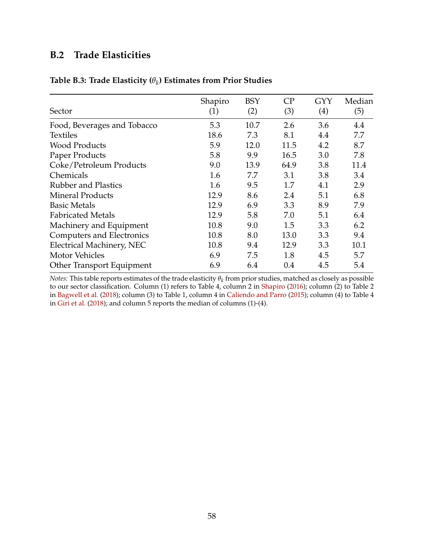### **B.2 Trade Elasticities**

|                                  | Shapiro | <b>BSY</b> | CP   | <b>GYY</b> | Median |
|----------------------------------|---------|------------|------|------------|--------|
| Sector                           | (1)     | (2)        | (3)  | (4)        | (5)    |
| Food, Beverages and Tobacco      | 5.3     | 10.7       | 2.6  | 3.6        | 4.4    |
| <b>Textiles</b>                  | 18.6    | 7.3        | 8.1  | 4.4        | 7.7    |
| <b>Wood Products</b>             | 5.9     | 12.0       | 11.5 | 4.2        | 8.7    |
| <b>Paper Products</b>            | 5.8     | 9.9        | 16.5 | 3.0        | 7.8    |
| Coke/Petroleum Products          | 9.0     | 13.9       | 64.9 | 3.8        | 11.4   |
| Chemicals                        | 1.6     | 7.7        | 3.1  | 3.8        | 3.4    |
| <b>Rubber and Plastics</b>       | 1.6     | 9.5        | 1.7  | 4.1        | 2.9    |
| <b>Mineral Products</b>          | 12.9    | 8.6        | 2.4  | 5.1        | 6.8    |
| <b>Basic Metals</b>              | 12.9    | 6.9        | 3.3  | 8.9        | 7.9    |
| <b>Fabricated Metals</b>         | 12.9    | 5.8        | 7.0  | 5.1        | 6.4    |
| Machinery and Equipment          | 10.8    | 9.0        | 1.5  | 3.3        | 6.2    |
| <b>Computers and Electronics</b> | 10.8    | 8.0        | 13.0 | 3.3        | 9.4    |
| <b>Electrical Machinery, NEC</b> | 10.8    | 9.4        | 12.9 | 3.3        | 10.1   |
| <b>Motor Vehicles</b>            | 6.9     | 7.5        | 1.8  | 4.5        | 5.7    |
| Other Transport Equipment        | 6.9     | 6.4        | 0.4  | 4.5        | 5.4    |

### **Table B.3: Trade Elasticity (***θ<sup>k</sup>* **) Estimates from Prior Studies**

*Notes:* This table reports estimates of the trade elasticity *θ<sup>k</sup>* from prior studies, matched as closely as possible to our sector classification. Column (1) refers to Table 4, column 2 in [Shapiro](#page-42-4) [\(2016\)](#page-42-4); column (2) to Table 2 in [Bagwell et al.](#page-39-9) [\(2018\)](#page-39-9); column (3) to Table 1, column 4 in [Caliendo and Parro](#page-39-10) [\(2015\)](#page-39-10); column (4) to Table 4 in [Giri et al.](#page-40-9) [\(2018\)](#page-40-9); and column 5 reports the median of columns (1)-(4).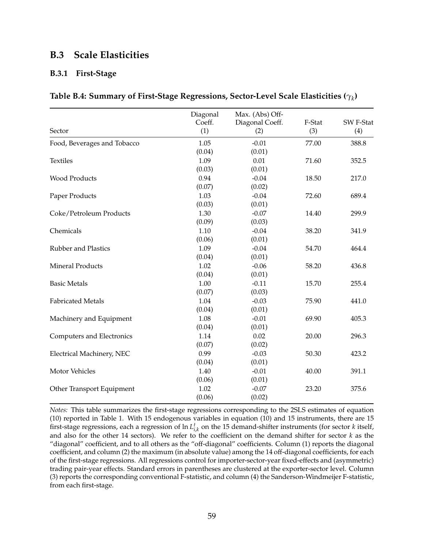### **B.3 Scale Elasticities**

#### **B.3.1 First-Stage**

|                             | Diagonal<br>Coeff. | Max. (Abs) Off-<br>Diagonal Coeff. | F-Stat | SW F-Stat |
|-----------------------------|--------------------|------------------------------------|--------|-----------|
| Sector                      | (1)                | (2)                                | (3)    | (4)       |
| Food, Beverages and Tobacco | 1.05               | $-0.01$                            | 77.00  | 388.8     |
|                             | (0.04)             | (0.01)                             |        |           |
| <b>Textiles</b>             | 1.09               | 0.01                               | 71.60  | 352.5     |
|                             | (0.03)             | (0.01)                             |        |           |
| <b>Wood Products</b>        | 0.94               | $-0.04$                            | 18.50  | 217.0     |
|                             | (0.07)             | (0.02)                             |        |           |
| Paper Products              | 1.03               | $-0.04$                            | 72.60  | 689.4     |
|                             | (0.03)             | (0.01)                             |        |           |
| Coke/Petroleum Products     | 1.30               | $-0.07$                            | 14.40  | 299.9     |
|                             | (0.09)             | (0.03)                             |        |           |
| Chemicals                   | 1.10               | $-0.04$                            | 38.20  | 341.9     |
|                             | (0.06)             | (0.01)                             |        |           |
| Rubber and Plastics         | 1.09               | $-0.04$                            | 54.70  | 464.4     |
|                             | (0.04)             | (0.01)                             |        |           |
| <b>Mineral Products</b>     | 1.02               | $-0.06$                            | 58.20  | 436.8     |
|                             | (0.04)             | (0.01)                             |        |           |
| <b>Basic Metals</b>         | 1.00               | $-0.11$                            | 15.70  | 255.4     |
|                             | (0.07)             | (0.03)                             |        |           |
| <b>Fabricated Metals</b>    | 1.04               | $-0.03$                            | 75.90  | 441.0     |
|                             | (0.04)             | (0.01)                             |        |           |
| Machinery and Equipment     | 1.08               | $-0.01$                            | 69.90  | 405.3     |
|                             | (0.04)             | (0.01)                             |        |           |
| Computers and Electronics   | 1.14               | 0.02                               | 20.00  | 296.3     |
|                             | (0.07)             | (0.02)                             |        |           |
| Electrical Machinery, NEC   | 0.99               | $-0.03$                            | 50.30  | 423.2     |
|                             | (0.04)             | (0.01)                             |        |           |
| Motor Vehicles              | 1.40               | $-0.01$                            | 40.00  | 391.1     |
|                             | (0.06)             | (0.01)                             |        |           |
| Other Transport Equipment   | 1.02               | $-0.07$                            | 23.20  | 375.6     |
|                             | (0.06)             | (0.02)                             |        |           |

### **Table B.4: Summary of First-Stage Regressions, Sector-Level Scale Elasticities (***γ<sup>k</sup>* **)**

*Notes:* This table summarizes the first-stage regressions corresponding to the 2SLS estimates of equation (10) reported in Table 1. With 15 endogenous variables in equation (10) and 15 instruments, there are 15 first-stage regressions, each a regression of  $\ln L_{i,k}^t$  on the 15 demand-shifter instruments (for sector *k* itself, and also for the other 14 sectors). We refer to the coefficient on the demand shifter for sector *k* as the "diagonal" coefficient, and to all others as the "off-diagonal" coefficients. Column (1) reports the diagonal coefficient, and column (2) the maximum (in absolute value) among the 14 off-diagonal coefficients, for each of the first-stage regressions. All regressions control for importer-sector-year fixed-effects and (asymmetric) trading pair-year effects. Standard errors in parentheses are clustered at the exporter-sector level. Column (3) reports the corresponding conventional F-statistic, and column (4) the Sanderson-Windmeijer F-statistic, from each first-stage.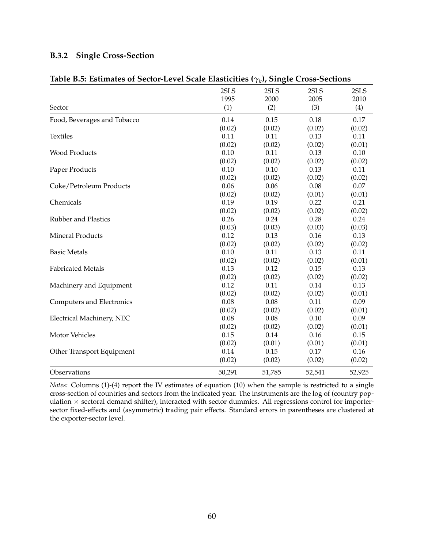#### **B.3.2 Single Cross-Section**

|                             | 2SLS   | 2SLS     | 2SLS     | 2SLS     |
|-----------------------------|--------|----------|----------|----------|
|                             | 1995   | 2000     | 2005     | 2010     |
| Sector                      | (1)    | (2)      | (3)      | (4)      |
| Food, Beverages and Tobacco | 0.14   | 0.15     | 0.18     | 0.17     |
|                             | (0.02) | (0.02)   | (0.02)   | (0.02)   |
| <b>Textiles</b>             | 0.11   | 0.11     | 0.13     | 0.11     |
|                             | (0.02) | (0.02)   | (0.02)   | (0.01)   |
| <b>Wood Products</b>        | 0.10   | $0.11\,$ | 0.13     | 0.10     |
|                             | (0.02) | (0.02)   | (0.02)   | (0.02)   |
| Paper Products              | 0.10   | 0.10     | 0.13     | 0.11     |
|                             | (0.02) | (0.02)   | (0.02)   | (0.02)   |
| Coke/Petroleum Products     | 0.06   | 0.06     | $0.08\,$ | $0.07\,$ |
|                             | (0.02) | (0.02)   | (0.01)   | (0.01)   |
| Chemicals                   | 0.19   | 0.19     | 0.22     | 0.21     |
|                             | (0.02) | (0.02)   | (0.02)   | (0.02)   |
| Rubber and Plastics         | 0.26   | 0.24     | 0.28     | 0.24     |
|                             | (0.03) | (0.03)   | (0.03)   | (0.03)   |
| Mineral Products            | 0.12   | 0.13     | 0.16     | 0.13     |
|                             | (0.02) | (0.02)   | (0.02)   | (0.02)   |
| <b>Basic Metals</b>         | 0.10   | 0.11     | 0.13     | 0.11     |
|                             | (0.02) | (0.02)   | (0.02)   | (0.01)   |
| <b>Fabricated Metals</b>    | 0.13   | 0.12     | 0.15     | 0.13     |
|                             | (0.02) | (0.02)   | (0.02)   | (0.02)   |
| Machinery and Equipment     | 0.12   | 0.11     | 0.14     | 0.13     |
|                             | (0.02) | (0.02)   | (0.02)   | (0.01)   |
| Computers and Electronics   | 0.08   | 0.08     | 0.11     | 0.09     |
|                             | (0.02) | (0.02)   | (0.02)   | (0.01)   |
| Electrical Machinery, NEC   | 0.08   | 0.08     | 0.10     | 0.09     |
|                             | (0.02) | (0.02)   | (0.02)   | (0.01)   |
| Motor Vehicles              | 0.15   | 0.14     | 0.16     | 0.15     |
|                             | (0.02) | (0.01)   | (0.01)   | (0.01)   |
| Other Transport Equipment   | 0.14   | 0.15     | 0.17     | 0.16     |
|                             | (0.02) | (0.02)   | (0.02)   | (0.02)   |
| Observations                | 50,291 | 51,785   | 52,541   | 52,925   |

### **Table B.5: Estimates of Sector-Level Scale Elasticities (***γ<sup>k</sup>* **), Single Cross-Sections**

*Notes:* Columns (1)-(4) report the IV estimates of equation (10) when the sample is restricted to a single cross-section of countries and sectors from the indicated year. The instruments are the log of (country population  $\times$  sectoral demand shifter), interacted with sector dummies. All regressions control for importersector fixed-effects and (asymmetric) trading pair effects. Standard errors in parentheses are clustered at the exporter-sector level.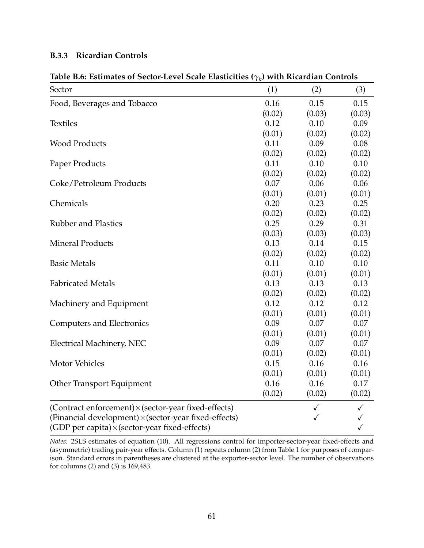#### **B.3.3 Ricardian Controls**

| Sector                                                | (1)    | (2)          | (3)          |
|-------------------------------------------------------|--------|--------------|--------------|
| Food, Beverages and Tobacco                           | 0.16   | 0.15         | 0.15         |
|                                                       | (0.02) | (0.03)       | (0.03)       |
| <b>Textiles</b>                                       | 0.12   | 0.10         | 0.09         |
|                                                       | (0.01) | (0.02)       | (0.02)       |
| <b>Wood Products</b>                                  | 0.11   | 0.09         | 0.08         |
|                                                       | (0.02) | (0.02)       | (0.02)       |
| <b>Paper Products</b>                                 | 0.11   | 0.10         | 0.10         |
|                                                       | (0.02) | (0.02)       | (0.02)       |
| Coke/Petroleum Products                               | 0.07   | 0.06         | 0.06         |
|                                                       | (0.01) | (0.01)       | (0.01)       |
| Chemicals                                             | 0.20   | 0.23         | 0.25         |
|                                                       | (0.02) | (0.02)       | (0.02)       |
| <b>Rubber and Plastics</b>                            | 0.25   | 0.29         | 0.31         |
|                                                       | (0.03) | (0.03)       | (0.03)       |
| <b>Mineral Products</b>                               | 0.13   | 0.14         | 0.15         |
|                                                       | (0.02) | (0.02)       | (0.02)       |
| <b>Basic Metals</b>                                   | 0.11   | 0.10         | 0.10         |
|                                                       | (0.01) | (0.01)       | (0.01)       |
| <b>Fabricated Metals</b>                              | 0.13   | 0.13         | 0.13         |
|                                                       | (0.02) | (0.02)       | (0.02)       |
| Machinery and Equipment                               | 0.12   | 0.12         | 0.12         |
|                                                       | (0.01) | (0.01)       | (0.01)       |
| <b>Computers and Electronics</b>                      | 0.09   | 0.07         | 0.07         |
|                                                       | (0.01) | (0.01)       | (0.01)       |
| <b>Electrical Machinery, NEC</b>                      | 0.09   | 0.07         | 0.07         |
|                                                       | (0.01) | (0.02)       | (0.01)       |
| <b>Motor Vehicles</b>                                 | 0.15   | 0.16         | 0.16         |
|                                                       | (0.01) | (0.01)       | (0.01)       |
| Other Transport Equipment                             | 0.16   | 0.16         | 0.17         |
|                                                       | (0.02) | (0.02)       | (0.02)       |
| (Contract enforcement) × (sector-year fixed-effects)  |        | $\checkmark$ | $\checkmark$ |
| (Financial development) × (sector-year fixed-effects) |        | $\checkmark$ |              |
| (GDP per capita) $\times$ (sector-year fixed-effects) |        |              | $\checkmark$ |

**Table B.6: Estimates of Sector-Level Scale Elasticities (***γ<sup>k</sup>* **) with Ricardian Controls**

*Notes:* 2SLS estimates of equation (10). All regressions control for importer-sector-year fixed-effects and (asymmetric) trading pair-year effects. Column (1) repeats column (2) from Table 1 for purposes of comparison. Standard errors in parentheses are clustered at the exporter-sector level. The number of observations for columns (2) and (3) is 169,483.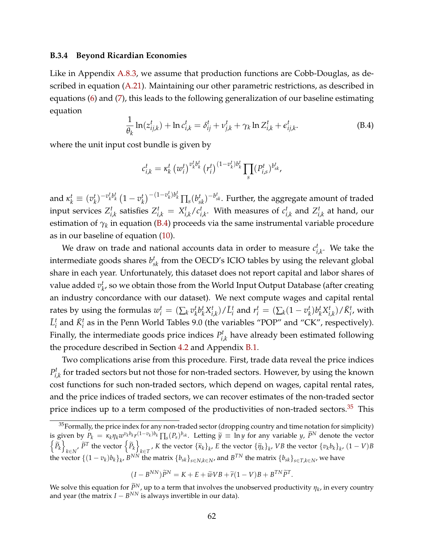#### <span id="page-63-0"></span>**B.3.4 Beyond Ricardian Economies**

Like in Appendix [A.8.3,](#page-54-0) we assume that production functions are Cobb-Douglas, as described in equation [\(A.21\)](#page-54-1). Maintaining our other parametric restrictions, as described in equations [\(6\)](#page-18-0) and [\(7\)](#page-18-1), this leads to the following generalization of our baseline estimating equation

<span id="page-63-1"></span>
$$
\frac{1}{\theta_k} \ln(z_{ij,k}^t) + \ln c_{i,k}^t = \delta_{ij}^t + \nu_{j,k}^t + \gamma_k \ln Z_{i,k}^t + \epsilon_{ij,k}^t.
$$
 (B.4)

where the unit input cost bundle is given by

$$
c_{i,k}^{t} = \kappa_{k}^{t} (w_{i}^{t})^{v_{k}^{t} b_{k}^{t}} (r_{i}^{t})^{(1-v_{k}^{t}) b_{k}^{t}} \prod_{s} (P_{i,s}^{t})^{b_{s k}^{t}},
$$

and  $\kappa_k^t \equiv (v_k^t)$  $\int_k^t e^{-v_k^t b_k^t} \left(1-v_k^t\right)$  $\int_{k}^{t}\int_{t}^{-(1-v_{k}^{t})b_{k}^{t}}\prod_{s}(b_{sk}^{t})^{-b_{sk}^{t}}.$  Further, the aggregate amount of traded input services *Z t*  $\mathbf{z}_{i,k}^t$  satisfies  $Z_{i,k}^t = X_{i,k}^t$  $\int_{i,k}^{t}/c_i^t$  $i_{i,k}$ . With measures of  $c_i^t$  $_{i,k}^t$  and  $Z_{i,j}^t$ *i*,*k* at hand, our estimation of  $\gamma_k$  in equation [\(B.4\)](#page-63-1) proceeds via the same instrumental variable procedure as in our baseline of equation [\(10\)](#page-19-1).

We draw on trade and national accounts data in order to measure  $c_i^t$ *i*,*k* . We take the intermediate goods shares  $b_{sk}^t$  from the OECD's ICIO tables by using the relevant global share in each year. Unfortunately, this dataset does not report capital and labor shares of value added *v t k* , so we obtain those from the World Input Output Database (after creating an industry concordance with our dataset). We next compute wages and capital rental rates by using the formulas  $w_i^t = (\sum_k v_k^t)$  ${}^t_k b^t_k X^t_{i}$  $\sum_{i,k}^{t}$ )/ $\overline{L}_{i}^{t}$  and  $r_{i}^{t} = (\sum_{k} (1 - v_{k}^{t})$  $\binom{t}{k}$ *b*<sup> $t$ </sup><sub>*k*</sub> $X_i^t$  $_{i,k}^{t})$  /  $\bar{K}_{i}^{t}$  , with  $\bar{L}_i^t$  and  $\bar{K}_i^t$  as in the Penn World Tables 9.0 (the variables "POP" and "CK", respectively). Finally, the intermediate goods price indices *P t i*,*k* have already been estimated following the procedure described in Section [4.2](#page-19-2) and Appendix [B.1.](#page-57-0)

Two complications arise from this procedure. First, trade data reveal the price indices *P t*  $\boldsymbol{h}_{i,k}^t$  for traded sectors but not those for non-traded sectors. However, by using the known cost functions for such non-traded sectors, which depend on wages, capital rental rates, and the price indices of traded sectors, we can recover estimates of the non-traded sector price indices up to a term composed of the productivities of non-traded sectors.<sup>[35](#page-63-2)</sup> This

$$
(I - B^{NN})\widetilde{P}^N = K + E + \widetilde{w}VB + \widetilde{r}(1 - V)B + B^{TN}\widetilde{P}^T.
$$

<span id="page-63-2"></span> $35$  Formally, the price index for any non-traded sector (dropping country and time notation for simplicity) is given by  $P_k = \kappa_k \eta_k w^{v_k b_k} r^{(1-v_k) b_k} \prod_s (P_s)^{b_{sk}}$ . Letting  $\widetilde{y} \equiv \ln y$  for any variable y,  $\widetilde{P}^N$  denote the vector  $\left\{\widetilde{P}_k\right\}$  $\left\{ \widetilde{P}_{k}\right\}$ ,  $\widetilde{P}^{T}$  the vector  $\left\{ \widetilde{P}_{k}\right\}$  $\kappa \in T$ , *K* the vector  $\{\widetilde{\kappa}_k\}_k$ , *E* the vector  $\{\widetilde{\eta}_k\}_k$ , *VB* the vector  $\{v_k b_k\}_k$ ,  $(1 - V)B$ the vector  $\{(1-v_k)b_k\}_{k'}$   $B^{NN}$  the matrix  $\{b_{sk}\}_{s\in N,k\in N'}$  and  $B^{TN}$  the matrix  $\{b_{sk}\}_{s\in T,k\in N'}$ , we have

We solve this equation for  $\tilde{P}^N$ , up to a term that involves the unobserved productivity  $\eta_k$ , in every country and year (the matrix  $I - B^{NN}$  is always invertible in our data).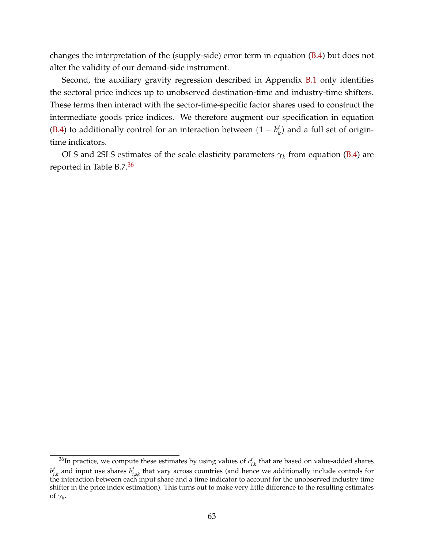changes the interpretation of the (supply-side) error term in equation [\(B.4\)](#page-63-1) but does not alter the validity of our demand-side instrument.

Second, the auxiliary gravity regression described in Appendix [B.1](#page-57-0) only identifies the sectoral price indices up to unobserved destination-time and industry-time shifters. These terms then interact with the sector-time-specific factor shares used to construct the intermediate goods price indices. We therefore augment our specification in equation [\(B.4\)](#page-63-1) to additionally control for an interaction between  $(1 - b_k^t)$  $\binom{t}{k}$  and a full set of origintime indicators.

OLS and 2SLS estimates of the scale elasticity parameters  $\gamma_k$  from equation [\(B.4\)](#page-63-1) are reported in Table B.7.[36](#page-64-0)

<span id="page-64-0"></span> $^{36}$ In practice, we compute these estimates by using values of  $c_{i,k}^t$  that are based on value-added shares  $b_{i,k}^t$  and input use shares  $b_{i,sk}^t$  that vary across countries (and hence we additionally include controls for the interaction between each input share and a time indicator to account for the unobserved industry time shifter in the price index estimation). This turns out to make very little difference to the resulting estimates of *γ<sup>k</sup>* .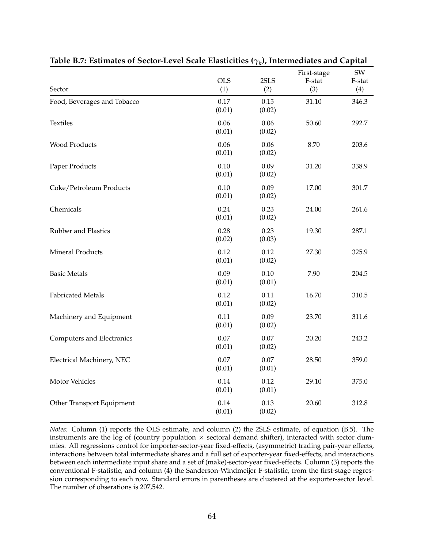| Sector                      | <b>OLS</b><br>(1) | 2SLS<br>(2)    | First-stage<br>F-stat<br>(3) | SW<br>F-stat<br>(4) |
|-----------------------------|-------------------|----------------|------------------------------|---------------------|
| Food, Beverages and Tobacco | 0.17<br>(0.01)    | 0.15<br>(0.02) | 31.10                        | 346.3               |
| <b>Textiles</b>             | 0.06<br>(0.01)    | 0.06<br>(0.02) | 50.60                        | 292.7               |
| <b>Wood Products</b>        | 0.06<br>(0.01)    | 0.06<br>(0.02) | 8.70                         | 203.6               |
| Paper Products              | 0.10<br>(0.01)    | 0.09<br>(0.02) | 31.20                        | 338.9               |
| Coke/Petroleum Products     | 0.10<br>(0.01)    | 0.09<br>(0.02) | 17.00                        | 301.7               |
| Chemicals                   | 0.24<br>(0.01)    | 0.23<br>(0.02) | 24.00                        | 261.6               |
| Rubber and Plastics         | 0.28<br>(0.02)    | 0.23<br>(0.03) | 19.30                        | 287.1               |
| <b>Mineral Products</b>     | 0.12<br>(0.01)    | 0.12<br>(0.02) | 27.30                        | 325.9               |
| <b>Basic Metals</b>         | 0.09<br>(0.01)    | 0.10<br>(0.01) | 7.90                         | 204.5               |
| <b>Fabricated Metals</b>    | 0.12<br>(0.01)    | 0.11<br>(0.02) | 16.70                        | 310.5               |
| Machinery and Equipment     | 0.11<br>(0.01)    | 0.09<br>(0.02) | 23.70                        | 311.6               |
| Computers and Electronics   | 0.07<br>(0.01)    | 0.07<br>(0.02) | 20.20                        | 243.2               |
| Electrical Machinery, NEC   | 0.07<br>(0.01)    | 0.07<br>(0.01) | 28.50                        | 359.0               |
| Motor Vehicles              | 0.14<br>(0.01)    | 0.12<br>(0.01) | 29.10                        | 375.0               |
| Other Transport Equipment   | 0.14<br>(0.01)    | 0.13<br>(0.02) | 20.60                        | 312.8               |

| Table B.7: Estimates of Sector-Level Scale Elasticities $(\gamma_k)$ , Intermediates and Capital |  |
|--------------------------------------------------------------------------------------------------|--|
|--------------------------------------------------------------------------------------------------|--|

*Notes:* Column (1) reports the OLS estimate, and column (2) the 2SLS estimate, of equation (B.5). The instruments are the log of (country population  $\times$  sectoral demand shifter), interacted with sector dummies. All regressions control for importer-sector-year fixed-effects, (asymmetric) trading pair-year effects, interactions between total intermediate shares and a full set of exporter-year fixed-effects, and interactions between each intermediate input share and a set of (make)-sector-year fixed-effects. Column (3) reports the conventional F-statistic, and column (4) the Sanderson-Windmeijer F-statistic, from the first-stage regression corresponding to each row. Standard errors in parentheses are clustered at the exporter-sector level. The number of obserations is 207,542.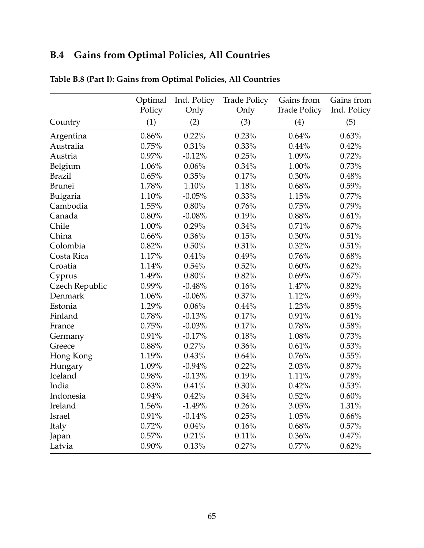# **B.4 Gains from Optimal Policies, All Countries**

|                | Optimal<br>Policy | Ind. Policy<br>Only | <b>Trade Policy</b><br>Only | Gains from<br><b>Trade Policy</b> | Gains from<br>Ind. Policy |
|----------------|-------------------|---------------------|-----------------------------|-----------------------------------|---------------------------|
| Country        | (1)               | (2)                 | (3)                         | (4)                               | (5)                       |
| Argentina      | 0.86%             | 0.22%               | 0.23%                       | 0.64%                             | 0.63%                     |
| Australia      | 0.75%             | 0.31%               | 0.33%                       | 0.44%                             | 0.42%                     |
| Austria        | 0.97%             | $-0.12%$            | 0.25%                       | 1.09%                             | 0.72%                     |
| Belgium        | 1.06%             | 0.06%               | 0.34%                       | 1.00%                             | 0.73%                     |
| <b>Brazil</b>  | 0.65%             | 0.35%               | 0.17%                       | $0.30\%$                          | 0.48%                     |
| <b>Brunei</b>  | 1.78%             | 1.10%               | 1.18%                       | 0.68%                             | 0.59%                     |
| Bulgaria       | 1.10%             | $-0.05%$            | 0.33%                       | 1.15%                             | 0.77%                     |
| Cambodia       | 1.55%             | 0.80%               | 0.76%                       | 0.75%                             | 0.79%                     |
| Canada         | 0.80%             | $-0.08%$            | 0.19%                       | 0.88%                             | 0.61%                     |
| Chile          | 1.00%             | 0.29%               | 0.34%                       | 0.71%                             | 0.67%                     |
| China          | 0.66%             | 0.36%               | 0.15%                       | 0.30%                             | 0.51%                     |
| Colombia       | 0.82%             | 0.50%               | 0.31%                       | 0.32%                             | 0.51%                     |
| Costa Rica     | 1.17%             | 0.41%               | 0.49%                       | 0.76%                             | 0.68%                     |
| Croatia        | 1.14%             | 0.54%               | 0.52%                       | 0.60%                             | 0.62%                     |
| Cyprus         | 1.49%             | 0.80%               | 0.82%                       | 0.69%                             | 0.67%                     |
| Czech Republic | 0.99%             | $-0.48%$            | 0.16%                       | 1.47%                             | 0.82%                     |
| Denmark        | 1.06%             | $-0.06%$            | 0.37%                       | 1.12%                             | 0.69%                     |
| Estonia        | 1.29%             | 0.06%               | 0.44%                       | 1.23%                             | 0.85%                     |
| Finland        | 0.78%             | $-0.13%$            | 0.17%                       | 0.91%                             | 0.61%                     |
| France         | 0.75%             | $-0.03%$            | 0.17%                       | 0.78%                             | 0.58%                     |
| Germany        | 0.91%             | $-0.17%$            | 0.18%                       | 1.08%                             | 0.73%                     |
| Greece         | 0.88%             | 0.27%               | 0.36%                       | 0.61%                             | 0.53%                     |
| Hong Kong      | 1.19%             | 0.43%               | 0.64%                       | 0.76%                             | 0.55%                     |
| Hungary        | 1.09%             | $-0.94%$            | 0.22%                       | 2.03%                             | 0.87%                     |
| Iceland        | 0.98%             | $-0.13%$            | 0.19%                       | 1.11%                             | 0.78%                     |
| India          | 0.83%             | 0.41%               | 0.30%                       | 0.42%                             | 0.53%                     |
| Indonesia      | 0.94%             | 0.42%               | 0.34%                       | 0.52%                             | 0.60%                     |
| Ireland        | 1.56%             | $-1.49%$            | 0.26%                       | 3.05%                             | 1.31%                     |
| <b>Israel</b>  | 0.91%             | $-0.14%$            | 0.25%                       | 1.05%                             | 0.66%                     |
| Italy          | 0.72%             | 0.04%               | 0.16%                       | 0.68%                             | 0.57%                     |
| Japan          | 0.57%             | 0.21%               | 0.11%                       | 0.36%                             | 0.47%                     |
| Latvia         | 0.90%             | 0.13%               | 0.27%                       | 0.77%                             | 0.62%                     |

### **Table B.8 (Part I): Gains from Optimal Policies, All Countries**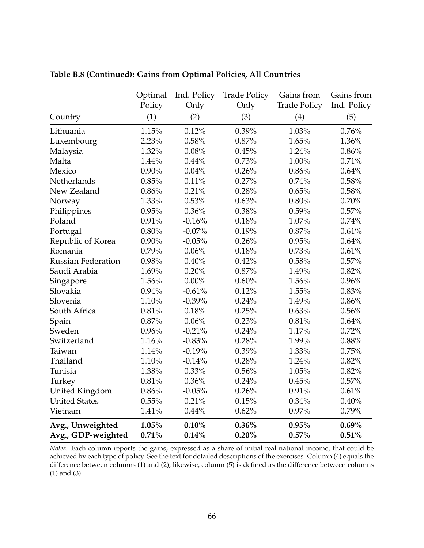|                           | Optimal<br>Policy | Ind. Policy<br>Only | <b>Trade Policy</b><br>Only | Gains from<br><b>Trade Policy</b> | Gains from<br>Ind. Policy |
|---------------------------|-------------------|---------------------|-----------------------------|-----------------------------------|---------------------------|
| Country                   | (1)               | (2)                 | (3)                         | (4)                               | (5)                       |
| Lithuania                 | 1.15%             | 0.12%               | 0.39%                       | 1.03%                             | 0.76%                     |
| Luxembourg                | 2.23%             | 0.58%               | 0.87%                       | 1.65%                             | 1.36%                     |
| Malaysia                  | 1.32%             | 0.08%               | 0.45%                       | 1.24%                             | 0.86%                     |
| Malta                     | 1.44%             | 0.44%               | 0.73%                       | $1.00\%$                          | 0.71%                     |
| Mexico                    | $0.90\%$          | 0.04%               | 0.26%                       | 0.86%                             | 0.64%                     |
| Netherlands               | 0.85%             | 0.11%               | 0.27%                       | 0.74%                             | 0.58%                     |
| New Zealand               | 0.86%             | 0.21%               | 0.28%                       | 0.65%                             | 0.58%                     |
| Norway                    | 1.33%             | 0.53%               | 0.63%                       | 0.80%                             | 0.70%                     |
| Philippines               | 0.95%             | 0.36%               | 0.38%                       | 0.59%                             | 0.57%                     |
| Poland                    | 0.91%             | $-0.16%$            | 0.18%                       | $1.07\%$                          | 0.74%                     |
| Portugal                  | 0.80%             | $-0.07\%$           | 0.19%                       | 0.87%                             | 0.61%                     |
| Republic of Korea         | 0.90%             | $-0.05%$            | 0.26%                       | 0.95%                             | 0.64%                     |
| Romania                   | 0.79%             | 0.06%               | 0.18%                       | 0.73%                             | 0.61%                     |
| <b>Russian Federation</b> | 0.98%             | 0.40%               | 0.42%                       | 0.58%                             | 0.57%                     |
| Saudi Arabia              | 1.69%             | 0.20%               | 0.87%                       | 1.49%                             | 0.82%                     |
| Singapore                 | 1.56%             | $0.00\%$            | 0.60%                       | 1.56%                             | 0.96%                     |
| Slovakia                  | 0.94%             | $-0.61%$            | 0.12%                       | 1.55%                             | 0.83%                     |
| Slovenia                  | 1.10%             | $-0.39%$            | 0.24%                       | 1.49%                             | 0.86%                     |
| South Africa              | 0.81%             | 0.18%               | 0.25%                       | 0.63%                             | 0.56%                     |
| Spain                     | 0.87%             | 0.06%               | 0.23%                       | 0.81%                             | 0.64%                     |
| Sweden                    | 0.96%             | $-0.21%$            | 0.24%                       | 1.17%                             | 0.72%                     |
| Switzerland               | 1.16%             | $-0.83%$            | 0.28%                       | 1.99%                             | 0.88%                     |
| Taiwan                    | 1.14%             | $-0.19%$            | 0.39%                       | 1.33%                             | 0.75%                     |
| Thailand                  | 1.10%             | $-0.14%$            | 0.28%                       | 1.24%                             | 0.82%                     |
| Tunisia                   | 1.38%             | 0.33%               | 0.56%                       | 1.05%                             | 0.82%                     |
| Turkey                    | 0.81%             | 0.36%               | 0.24%                       | 0.45%                             | 0.57%                     |
| United Kingdom            | 0.86%             | $-0.05%$            | 0.26%                       | 0.91%                             | 0.61%                     |
| <b>United States</b>      | 0.55%             | 0.21%               | 0.15%                       | 0.34%                             | 0.40%                     |
| Vietnam                   | 1.41%             | 0.44%               | 0.62%                       | 0.97%                             | 0.79%                     |
| Avg., Unweighted          | 1.05%             | 0.10%               | $0.36\%$                    | 0.95%                             | $0.69\%$                  |
| Avg., GDP-weighted        | 0.71%             | 0.14%               | 0.20%                       | 0.57%                             | 0.51%                     |

**Table B.8 (Continued): Gains from Optimal Policies, All Countries**

*Notes:* Each column reports the gains, expressed as a share of initial real national income, that could be achieved by each type of policy. See the text for detailed descriptions of the exercises. Column (4) equals the difference between columns (1) and (2); likewise, column (5) is defined as the difference between columns (1) and (3).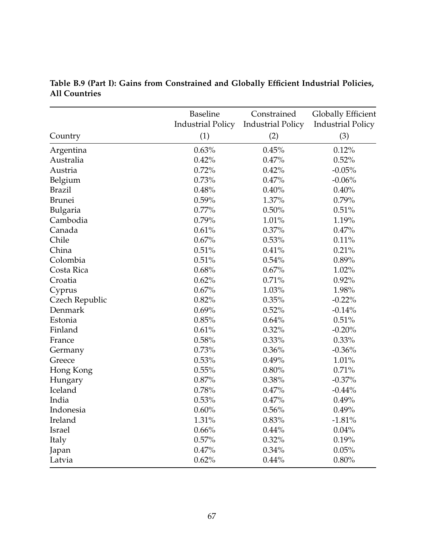|                | <b>Baseline</b><br><b>Industrial Policy</b> | Constrained<br><b>Industrial Policy</b> | <b>Globally Efficient</b><br><b>Industrial Policy</b> |
|----------------|---------------------------------------------|-----------------------------------------|-------------------------------------------------------|
| Country        | (1)                                         | (2)                                     | (3)                                                   |
| Argentina      | 0.63%                                       | 0.45%                                   | 0.12%                                                 |
| Australia      | 0.42%                                       | 0.47%                                   | 0.52%                                                 |
| Austria        | 0.72%                                       | 0.42%                                   | $-0.05%$                                              |
| Belgium        | 0.73%                                       | 0.47%                                   | $-0.06%$                                              |
| <b>Brazil</b>  | 0.48%                                       | 0.40%                                   | 0.40%                                                 |
| <b>Brunei</b>  | 0.59%                                       | 1.37%                                   | 0.79%                                                 |
| Bulgaria       | 0.77%                                       | 0.50%                                   | 0.51%                                                 |
| Cambodia       | 0.79%                                       | 1.01%                                   | 1.19%                                                 |
| Canada         | 0.61%                                       | 0.37%                                   | 0.47%                                                 |
| Chile          | 0.67%                                       | 0.53%                                   | 0.11%                                                 |
| China          | 0.51%                                       | 0.41%                                   | 0.21%                                                 |
| Colombia       | 0.51%                                       | 0.54%                                   | 0.89%                                                 |
| Costa Rica     | 0.68%                                       | 0.67%                                   | 1.02%                                                 |
| Croatia        | 0.62%                                       | 0.71%                                   | 0.92%                                                 |
| Cyprus         | 0.67%                                       | 1.03%                                   | 1.98%                                                 |
| Czech Republic | 0.82%                                       | 0.35%                                   | $-0.22%$                                              |
| Denmark        | 0.69%                                       | 0.52%                                   | $-0.14%$                                              |
| Estonia        | 0.85%                                       | 0.64%                                   | 0.51%                                                 |
| Finland        | 0.61%                                       | 0.32%                                   | $-0.20%$                                              |
| France         | 0.58%                                       | 0.33%                                   | 0.33%                                                 |
| Germany        | 0.73%                                       | 0.36%                                   | $-0.36%$                                              |
| Greece         | 0.53%                                       | 0.49%                                   | 1.01%                                                 |
| Hong Kong      | 0.55%                                       | 0.80%                                   | 0.71%                                                 |
| Hungary        | 0.87%                                       | 0.38%                                   | $-0.37%$                                              |
| Iceland        | 0.78%                                       | 0.47%                                   | $-0.44%$                                              |
| India          | 0.53%                                       | 0.47%                                   | 0.49%                                                 |
| Indonesia      | 0.60%                                       | 0.56%                                   | 0.49%                                                 |
| Ireland        | 1.31%                                       | 0.83%                                   | $-1.81%$                                              |
| <b>Israel</b>  | 0.66%                                       | 0.44%                                   | 0.04%                                                 |
| Italy          | 0.57%                                       | 0.32%                                   | 0.19%                                                 |
| Japan          | 0.47%                                       | 0.34%                                   | 0.05%                                                 |
| Latvia         | 0.62%                                       | 0.44%                                   | 0.80%                                                 |

**Table B.9 (Part I): Gains from Constrained and Globally Efficient Industrial Policies, All Countries**